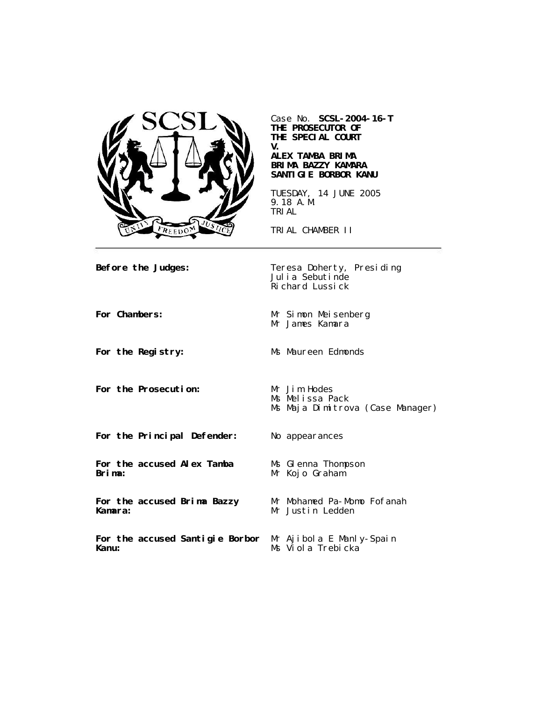

Case No. **SCSL-2004-16-T THE PROSECUTOR OF THE SPECIAL COURT V.**

**ALEX TAMBA BRIMA BRIMA BAZZY KAMARA SANTIGIE BORBOR KANU**

TUESDAY, 14 JUNE 2005 9.18 A.M. TRIAL

TRIAL CHAMBER II

**Before the Judges:** Teresa Doherty, Presiding Julia Sebutinde Richard Lussick

For the Prosecution: Mr Jim Hodes

For Chambers: Mr Simon Meisenberg Mr James Kamara

For the Registry: Ms Maureen Edmonds

Ms Melissa Pack Ms Maja Dimitrova (Case Manager)

**For the Principal Defender:** No appearances

**For the accused Alex Tamba Brima:**

**For the accused Brima Bazzy Kamara:**

**Kanu:**

Ms GI enna Thompson Mr Kojo Graham<sup>'</sup>

Mr Mohamed Pa-Momo Fofanah Mr Justin Ledden

**For the accused Santigie Borbor**  Mr Ajibola E Manly-Spain Ms Viola Trebicka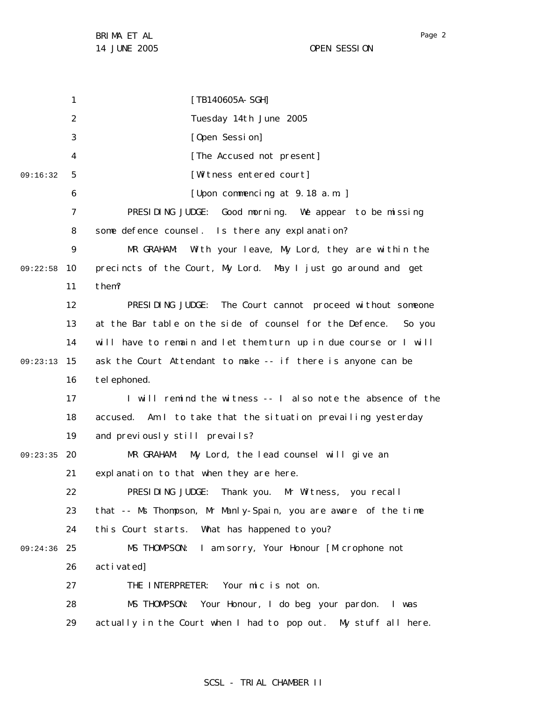1 2 3 4 5 6 7 8 9 09:22:58 10 11 12 13 14 15 09:23:13 16 17 18 19 09:23:35 20 21 22 23 24 25 09:24:36 26 27 28 29 09:16:32 [TB140605A-SGH] Tuesday 14th June 2005 [Open Session] [The Accused not present] [Witness entered court] [Upon commencing at 9.18 a.m. ] PRESIDING JUDGE: Good morning. We appear to be missing some defence counsel. Is there any explanation? MR GRAHAM: With your leave, My Lord, they are within the precincts of the Court, My Lord. May I just go around and get them? PRESIDING JUDGE: The Court cannot proceed without someone at the Bar table on the side of counsel for the Defence. So you will have to remain and let them turn up in due course or I will ask the Court Attendant to make -- if there is anyone can be tel ephoned. I will remind the witness -- I also note the absence of the accused. Am I to take that the situation prevailing yesterday and previously still prevails? MR GRAHAM: My Lord, the lead counsel will give an explanation to that when they are here. PRESIDING JUDGE: Thank you. Mr Witness, you recall that -- Ms Thompson, Mr Manly-Spain, you are aware of the time this Court starts. What has happened to you? MS THOMPSON: I am sorry, Your Honour [Microphone not activated] THE INTERPRETER: Your mic is not on. MS THOMPSON: Your Honour, I do beg your pardon. I was actually in the Court when I had to pop out. My stuff all here.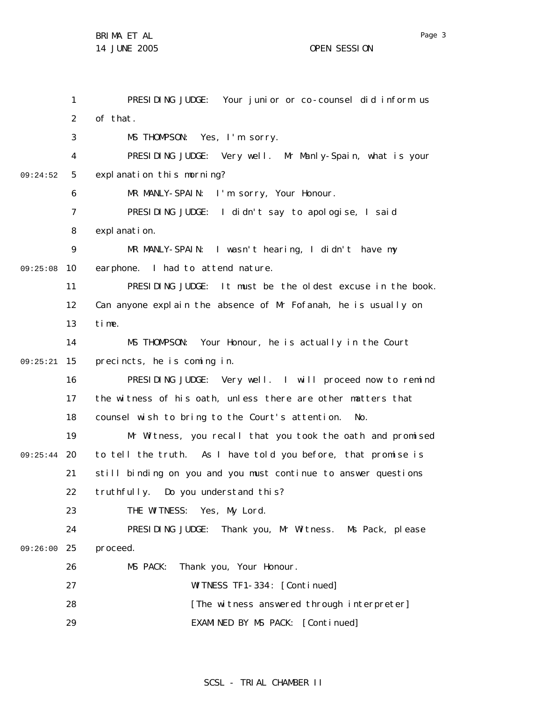|          | 1              | PRESIDING JUDGE: Your junior or co-counsel did inform us       |
|----------|----------------|----------------------------------------------------------------|
|          | $\overline{2}$ | of that.                                                       |
|          | 3              | MS THOMPSON: Yes, I'm sorry.                                   |
|          | 4              | PRESIDING JUDGE: Very well. Mr Manly-Spain, what is your       |
| 09:24:52 | 5              | expl anation this morning?                                     |
|          | 6              | MR MANLY-SPAIN: I'm sorry, Your Honour.                        |
|          | $\overline{7}$ | PRESIDING JUDGE: I didn't say to apologise, I said             |
|          | 8              | expl anati on.                                                 |
|          | 9              | MR MANLY-SPAIN: I wasn't hearing, I didn't have my             |
| 09:25:08 | 10             | earphone. I had to attend nature.                              |
|          | 11             | PRESIDING JUDGE: It must be the oldest excuse in the book.     |
|          | 12             | Can anyone explain the absence of Mr Fofanah, he is usually on |
|          | 13             | time.                                                          |
|          | 14             | MS THOMPSON: Your Honour, he is actually in the Court          |
| 09:25:21 | 15             | precincts, he is coming in.                                    |
|          | 16             | PRESIDING JUDGE: Very well. I will proceed now to remind       |
|          | 17             | the witness of his oath, unless there are other matters that   |
|          | 18             | counsel wish to bring to the Court's attention. No.            |
|          | 19             | Mr Witness, you recall that you took the oath and promised     |
| 09:25:44 | 20             | to tell the truth. As I have told you before, that promise is  |
|          | 21             | still binding on you and you must continue to answer questions |
|          | 22             | truthfully. Do you understand this?                            |
|          | 23             | THE WITNESS: Yes, My Lord.                                     |
|          | 24             | PRESIDING JUDGE: Thank you, Mr Witness. Ms Pack, please        |
| 09:26:00 | 25             | proceed.                                                       |
|          | 26             | MS PACK:<br>Thank you, Your Honour.                            |
|          | 27             | WITNESS TF1-334: [Continued]                                   |
|          | 28             | [The witness answered through interpreter]                     |
|          | 29             | EXAMINED BY MS PACK: [Continued]                               |

## SCSL - TRIAL CHAMBER II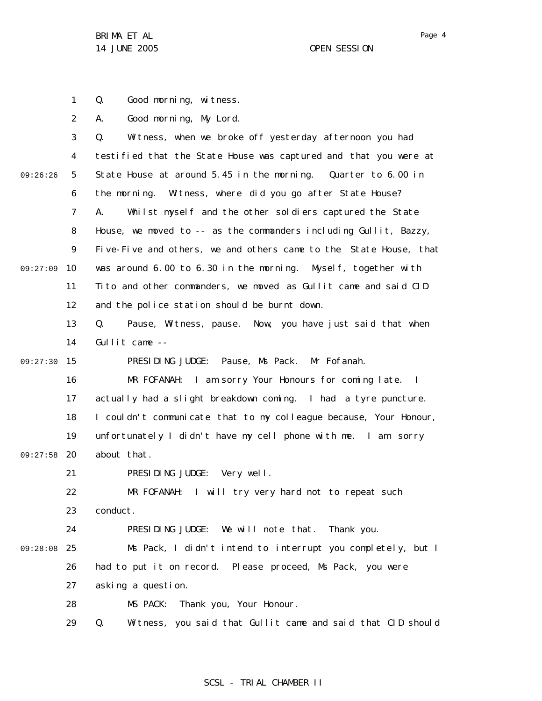1 Q. Good morning, witness.

2 A. Good morning, My Lord.

|          | 3  | Witness, when we broke off yesterday afternoon you had<br>Q.      |
|----------|----|-------------------------------------------------------------------|
|          | 4  | testified that the State House was captured and that you were at  |
| 09:26:26 | 5  | State House at around 5.45 in the morning. Quarter to 6.00 in     |
|          | 6  | the morning. Witness, where did you go after State House?         |
|          | 7  | Whilst myself and the other soldiers captured the State<br>А.     |
|          | 8  | House, we moved to -- as the commanders including Gullit, Bazzy,  |
|          | 9  | Five-Five and others, we and others came to the State House, that |
| 09:27:09 | 10 | was around 6.00 to 6.30 in the morning. Myself, together with     |
|          | 11 | Tito and other commanders, we moved as Gullit came and said CID   |
|          | 12 | and the police station should be burnt down.                      |
|          | 13 | Pause, Witness, pause. Now, you have just said that when<br>Q.    |
|          | 14 | Gullit came $--$                                                  |
| 09:27:30 | 15 | PRESIDING JUDGE: Pause, Ms Pack. Mr Fofanah.                      |
|          | 16 | MR FOFANAH: I am sorry Your Honours for coming late. I            |
|          | 17 | actually had a slight breakdown coming. I had a tyre puncture.    |
|          | 18 | I couldn't communicate that to my colleague because, Your Honour, |
|          | 19 | unfortunately I didn't have my cell phone with me. I am sorry     |
| 09:27:58 | 20 | about that.                                                       |
|          | 21 | PRESIDING JUDGE: Very well.                                       |
|          | 22 | MR FOFANAH: I will try very hard not to repeat such               |
|          | 23 | conduct.                                                          |
|          | 24 | PRESIDING JUDGE: We will note that. Thank you.                    |
| 09:28:08 | 25 | Ms Pack, I didn't intend to interrupt you completely, but I       |
|          | 26 | had to put it on record. Please proceed, Ms Pack, you were        |
|          | 27 | asking a question.                                                |
|          | 28 | MS PACK: Thank you, Your Honour.                                  |
|          | 29 | Witness, you said that Gullit came and said that CID should<br>Q. |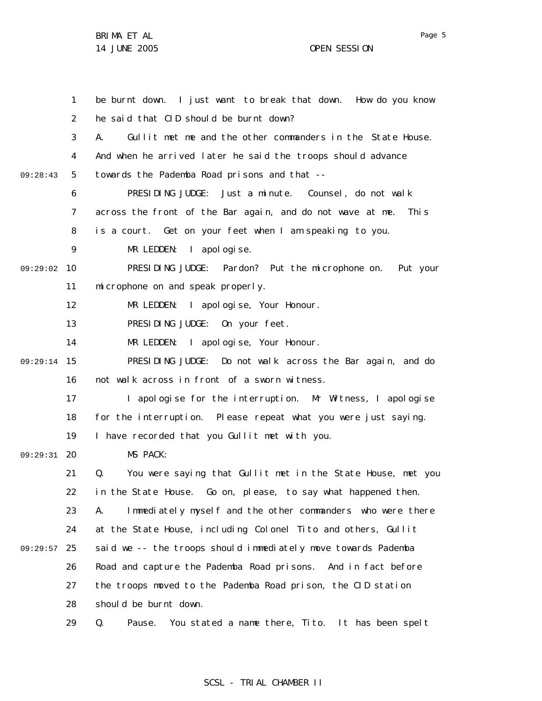|          | 1                 | be burnt down. I just want to break that down. How do you know     |
|----------|-------------------|--------------------------------------------------------------------|
|          | $\overline{2}$    | he said that CID should be burnt down?                             |
|          | 3                 | Gullit met me and the other commanders in the State House.<br>А.   |
|          | 4                 | And when he arrived later he said the troops should advance        |
| 09:28:43 | 5                 | towards the Pademba Road prisons and that --                       |
|          | 6                 | PRESIDING JUDGE: Just a minute. Counsel, do not walk               |
|          | 7                 | across the front of the Bar again, and do not wave at me.<br>Thi s |
|          | 8                 | is a court. Get on your feet when I am speaking to you.            |
|          | 9                 | MR LEDDEN: I apologise.                                            |
| 09:29:02 | 10                | PRESIDING JUDGE: Pardon? Put the microphone on. Put your           |
|          | 11                | mi crophone on and speak properly.                                 |
|          | $12 \overline{ }$ | MR LEDDEN: I apologise, Your Honour.                               |
|          | 13                | PRESIDING JUDGE: On your feet.                                     |
|          | 14                | MR LEDDEN: I apologise, Your Honour.                               |
| 09:29:14 | 15                | PRESIDING JUDGE: Do not walk across the Bar again, and do          |
|          | 16                | not walk across in front of a sworn witness.                       |
|          | 17                | I apologise for the interruption. Mr Witness, I apologise          |
|          | 18                | for the interruption. Please repeat what you were just saying.     |
|          | 19                | I have recorded that you Gullit met with you.                      |
| 09:29:31 | 20                | MS PACK:                                                           |
|          | 21                | You were saying that Gullit met in the State House, met you<br>Q.  |
|          | 22                | in the State House. Go on, please, to say what happened then.      |
|          | 23                | Immediately myself and the other commanders who were there<br>А.   |
|          | 24                | at the State House, including Colonel Tito and others, Gullit      |
| 09:29:57 | 25                | said we -- the troops should immediately move towards Pademba      |
|          | 26                | Road and capture the Pademba Road prisons. And in fact before      |
|          | 27                | the troops moved to the Pademba Road prison, the CID station       |
|          | 28                | should be burnt down.                                              |
|          | 29                | Q.<br>Pause.<br>You stated a name there, Tito. It has been spelt   |

## SCSL - TRIAL CHAMBER II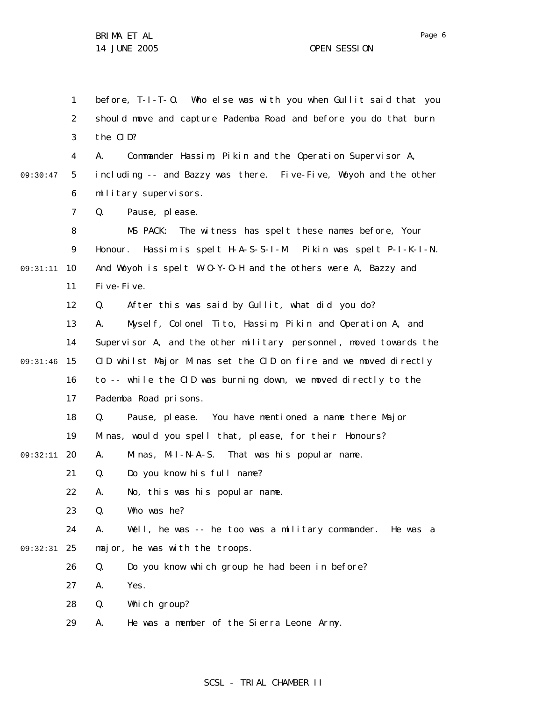1 2 3 4 5 6 7 8 9 10 09:31:11 11 12 13 14 09:31:46 15 16 17 18 19 20 09:32:11 21 22 23 24 25 09:32:31 26 27 28 29 09:30:47 before, T-I-T-O. Who else was with you when Gullit said that you should move and capture Pademba Road and before you do that burn the CID? A. Commander Hassim, Pikin and the Operation Supervisor A, including -- and Bazzy was there. Five-Five, Woyoh and the other military supervisors. Q. Pause, please. MS PACK: The witness has spelt these names before, Your Honour. Hassim is spelt H-A-S-S-I-M. Pikin was spelt P-I-K-I-N. And Woyoh is spelt W-O-Y-O-H and the others were A, Bazzy and Five-Five. Q. After this was said by Gullit, what did you do? A. Myself, Colonel Tito, Hassim, Pikin and Operation A, and Supervisor A, and the other military personnel, moved towards the CID whilst Major Minas set the CID on fire and we moved directly to -- while the CID was burning down, we moved directly to the Pademba Road prisons. Q. Pause, please. You have mentioned a name there Major Minas, would you spell that, please, for their Honours? A. Minas, M-I-N-A-S. That was his popular name. Q. Do you know his full name? A. No, this was his popular name. Q. Who was he? A. Well, he was -- he too was a military commander. He was a major, he was with the troops. Q. Do you know which group he had been in before? A. Yes. Q. Which group? A. He was a member of the Sierra Leone Army.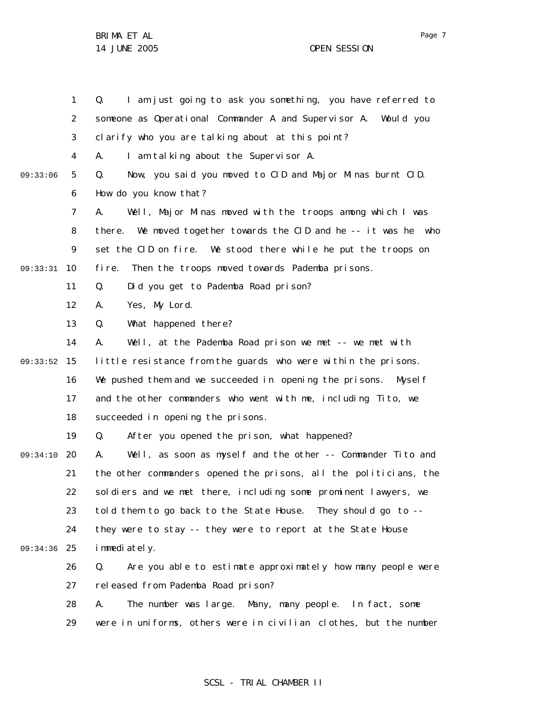|          | $\mathbf{1}$   | I am just going to ask you something, you have referred to<br>Q.    |
|----------|----------------|---------------------------------------------------------------------|
|          | $\overline{2}$ | someone as Operational Commander A and Supervisor A. Would you      |
|          | 3              | clarify who you are talking about at this point?                    |
|          | 4              | I am talking about the Supervisor A.<br>А.                          |
| 09:33:06 | 5              | Now, you said you moved to CID and Major Minas burnt CID.<br>Q.     |
|          | 6              | How do you know that?                                               |
|          | $\overline{7}$ | Well, Major Minas moved with the troops among which I was<br>А.     |
|          | 8              | We moved together towards the CID and he -- it was he who<br>there. |
|          | 9              | set the CID on fire. We stood there while he put the troops on      |
| 09:33:31 | 10             | Then the troops moved towards Pademba prisons.<br>fi re.            |
|          | 11             | Did you get to Pademba Road prison?<br>Q.                           |
|          | 12             | Yes, My Lord.<br>А.                                                 |
|          | 13             | What happened there?<br>Q.                                          |
|          | 14             | Well, at the Pademba Road prison we met -- we met with<br>А.        |
| 09:33:52 | 15             | little resistance from the guards who were within the prisons.      |
|          | 16             | We pushed them and we succeeded in opening the prisons. Myself      |
|          | 17             | and the other commanders who went with me, including Tito, we       |
|          | 18             | succeeded in opening the prisons.                                   |
|          | 19             | After you opened the prison, what happened?<br>Q.                   |
| 09:34:10 | 20             | Well, as soon as myself and the other -- Commander Tito and<br>А.   |
|          | 21             | the other commanders opened the prisons, all the politicians, the   |
|          | 22             | soldiers and we met there, including some prominent lawyers, we     |
|          | 23             | told them to go back to the State House. They should go to --       |
|          | 24             | they were to stay -- they were to report at the State House         |
| 09:34:36 | 25             | i mmediately.                                                       |
|          | 26             | Are you able to estimate approximately how many people were<br>Q.   |
|          | 27             | released from Pademba Road prison?                                  |
|          | 28             | The number was large. Many, many people. In fact, some<br>А.        |
|          | 29             | were in uniforms, others were in civilian clothes, but the number   |

# SCSL - TRIAL CHAMBER II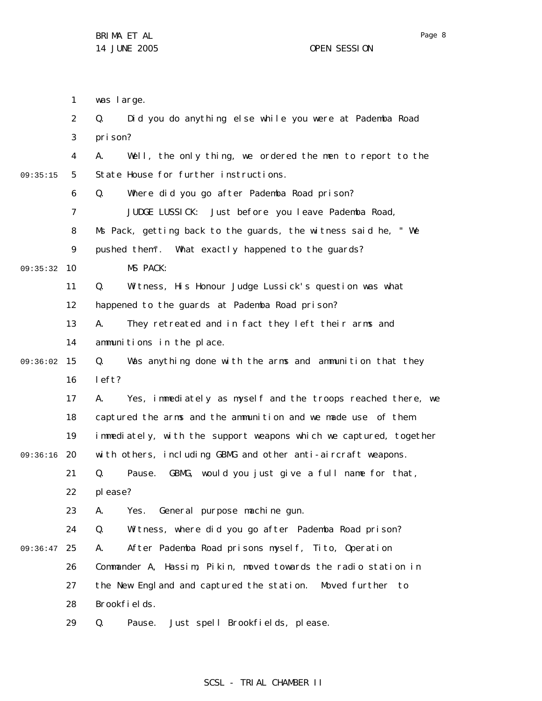|          | 1                 | was large.                                                        |
|----------|-------------------|-------------------------------------------------------------------|
|          | 2                 | Did you do anything else while you were at Pademba Road<br>Q.     |
|          | 3                 | pri son?                                                          |
|          | 4                 | Well, the only thing, we ordered the men to report to the<br>А.   |
| 09:35:15 | 5                 | State House for further instructions.                             |
|          | 6                 | Where did you go after Pademba Road prison?<br>Q.                 |
|          | $\overline{7}$    | JUDGE LUSSICK: Just before you leave Pademba Road,                |
|          | 8                 | Ms Pack, getting back to the guards, the witness said he, " We    |
|          | 9                 | pushed them". What exactly happened to the guards?                |
| 09:35:32 | 10                | MS PACK:                                                          |
|          | 11                | Witness, His Honour Judge Lussick's question was what<br>Q.       |
|          | $12 \overline{ }$ | happened to the guards at Pademba Road prison?                    |
|          | 13                | They retreated and in fact they left their arms and<br>А.         |
|          | 14                | ammunitions in the place.                                         |
| 09:36:02 | 15                | Was anything done with the arms and ammunition that they<br>Q.    |
|          | 16                | left?                                                             |
|          | 17                | Yes, immediately as myself and the troops reached there, we<br>А. |
|          | 18                | captured the arms and the ammunition and we made use of them      |
|          | 19                | immediately, with the support weapons which we captured, together |
| 09:36:16 | 20                | with others, including GBMG and other anti-aircraft weapons.      |
|          | 21                | GBMG, would you just give a full name for that,<br>Q.<br>Pause.   |
|          | 22                | pl ease?                                                          |
|          | 23                | General purpose machine gun.<br>А.<br>Yes.                        |
|          | 24                | Q.<br>Witness, where did you go after Pademba Road prison?        |
| 09:36:47 | 25                | After Pademba Road prisons myself, Tito, Operation<br>А.          |

26 27 Commander A, Hassim, Pikin, moved towards the radio station in the New England and captured the station. Moved further to

28 Brookfields.

29 Q. Pause. Just spell Brookfields, please.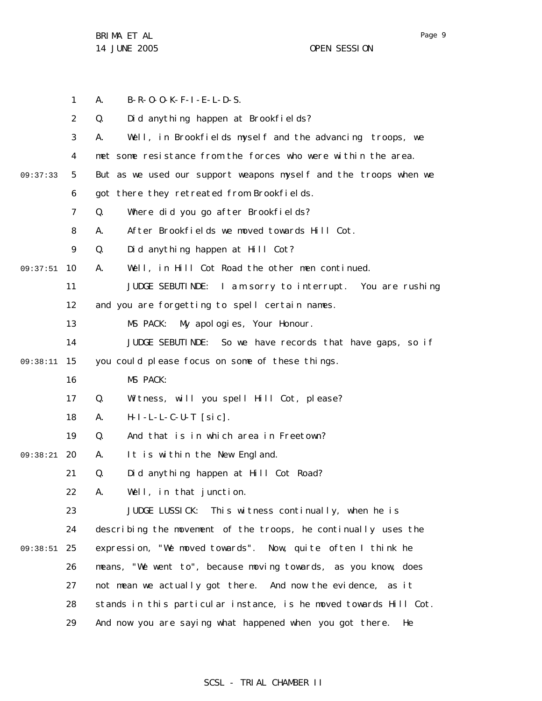1 2 3 4 5 6 7 8 9 10 09:37:51 11 12 13 14 15 09:38:11 16 17 18 19 20 09:38:21 21 22 23 24 25 09:38:51 26 27 28 29 09:37:33 A. B-R-O-O-K-F-I-E-L-D-S. Q. Did anything happen at Brookfields? A. Well, in Brookfields myself and the advancing troops, we met some resistance from the forces who were within the area. But as we used our support weapons myself and the troops when we got there they retreated from Brookfields. Q. Where did you go after Brookfields? A. After Brookfields we moved towards Hill Cot. Q. Did anything happen at Hill Cot? A. Well, in Hill Cot Road the other men continued. JUDGE SEBUTINDE: I am sorry to interrupt. You are rushing and you are forgetting to spell certain names. MS PACK: My apologies, Your Honour. JUDGE SEBUTINDE: So we have records that have gaps, so if you could please focus on some of these things. MS PACK: Q. Witness, will you spell Hill Cot, please? A. H-I-L-L-C-U-T [sic]. Q. And that is in which area in Freetown? A. It is within the New England. Q. Did anything happen at Hill Cot Road? A. Well, in that junction. JUDGE LUSSICK: This witness continually, when he is describing the movement of the troops, he continually uses the expression, "We moved towards". Now, quite often I think he means, "We went to", because moving towards, as you know, does not mean we actually got there. And now the evidence, as it stands in this particular instance, is he moved towards Hill Cot. And now you are saying what happened when you got there. He

### SCSL - TRIAL CHAMBER II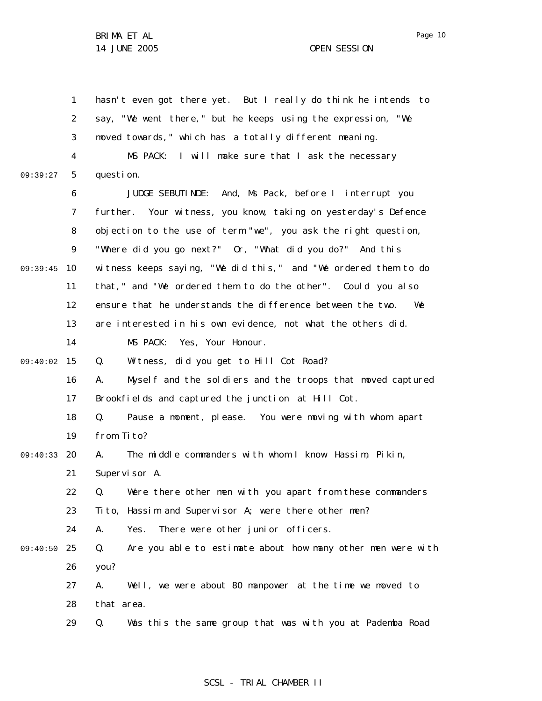|          | 1  | hasn't even got there yet. But I really do think he intends to    |
|----------|----|-------------------------------------------------------------------|
|          | 2  | say, "We went there," but he keeps using the expression, "We      |
|          | 3  | moved towards," which has a totally different meaning.            |
|          | 4  | I will make sure that I ask the necessary<br>MS PACK:             |
| 09:39:27 | 5  | question.                                                         |
|          | 6  | JUDGE SEBUTINDE: And, Ms Pack, before I interrupt you             |
|          | 7  | further. Your witness, you know, taking on yesterday's Defence    |
|          | 8  | objection to the use of term "we", you ask the right question,    |
|          | 9  | "Where did you go next?" Or, "What did you do?" And this          |
| 09:39:45 | 10 | witness keeps saying, "We did this," and "We ordered them to do   |
|          | 11 | that," and "We ordered them to do the other". Could you also      |
|          | 12 | ensure that he understands the difference between the two.<br>We  |
|          | 13 | are interested in his own evidence, not what the others did.      |
|          | 14 | MS PACK:<br>Yes, Your Honour.                                     |
| 09:40:02 | 15 | Witness, did you get to Hill Cot Road?<br>Q.                      |
|          | 16 | Myself and the soldiers and the troops that moved captured<br>А.  |
|          | 17 | Brookfields and captured the junction at Hill Cot.                |
|          | 18 | Q.<br>Pause a moment, please. You were moving with whom apart     |
|          | 19 | from Tito?                                                        |
| 09:40:33 | 20 | The middle commanders with whom I know Hassim, Pikin,<br>А.       |
|          | 21 | Supervisor A.                                                     |
|          | 22 | Q. Were there other men with you apart from these commanders      |
|          | 23 | Tito, Hassim and Supervisor A; were there other men?              |
|          | 24 | There were other junior officers.<br>Α.<br>Yes.                   |
| 09:40:50 | 25 | Q.<br>Are you able to estimate about how many other men were with |
|          | 26 | you?                                                              |
|          | 27 | Well, we were about 80 manpower at the time we moved to<br>А.     |
|          | 28 | that area.                                                        |
|          | 29 | Was this the same group that was with you at Pademba Road<br>Q.   |
|          |    |                                                                   |

# SCSL - TRIAL CHAMBER II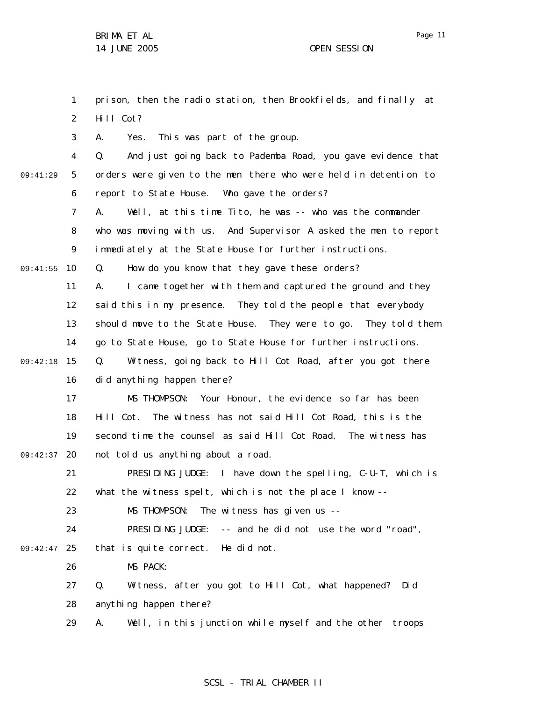1 2 3 4 5 6 7 8 9 09:41:55 10 11 12 13 14 15 09:42:18 16 17 18 19 09:42:37 20 21 22 23 24 09:42:47 25 26 27 28 29 09:41:29 prison, then the radio station, then Brookfields, and finally at Hill Cot? A. Yes. This was part of the group. Q. And just going back to Pademba Road, you gave evidence that orders were given to the men there who were held in detention to report to State House. Who gave the orders? A. Well, at this time Tito, he was -- who was the commander who was moving with us. And Supervisor A asked the men to report immediately at the State House for further instructions. Q. How do you know that they gave these orders? A. I came together with them and captured the ground and they said this in my presence. They told the people that everybody should move to the State House. They were to go. They told them go to State House, go to State House for further instructions. Q. Witness, going back to Hill Cot Road, after you got there did anything happen there? MS THOMPSON: Your Honour, the evidence so far has been Hill Cot. The witness has not said Hill Cot Road, this is the second time the counsel as said Hill Cot Road. The witness has not told us anything about a road. PRESIDING JUDGE: I have down the spelling, C-U-T, which is what the witness spelt, which is not the place I know --MS THOMPSON: The witness has given us --PRESIDING JUDGE: -- and he did not use the word "road", that is quite correct. He did not. MS PACK: Q. Witness, after you got to Hill Cot, what happened? Did anything happen there? A. Well, in this junction while myself and the other troops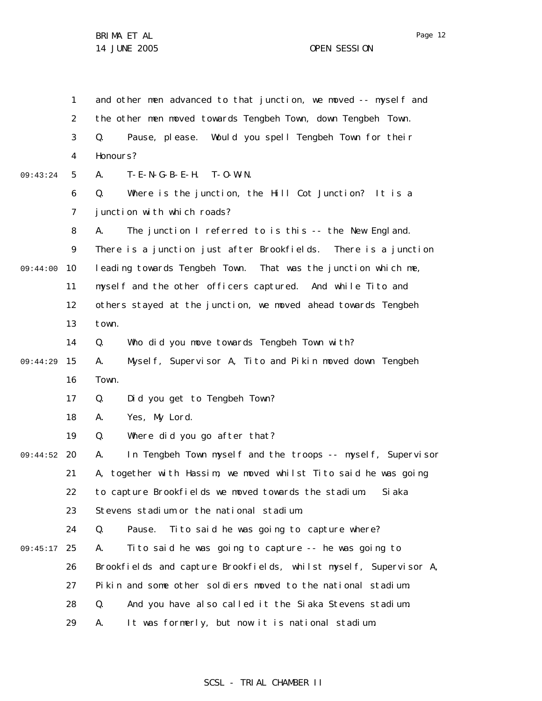1 2 3 4 5 6 7 8 9 10 11 12 13 14 15 16 17 18 19 20 09:44:52 21 22 23 24 09:45:17 25 26 27 28 29 09:43:24 09:44:00 09:44:29 and other men advanced to that junction, we moved -- myself and the other men moved towards Tengbeh Town, down Tengbeh Town. Q. Pause, please. Would you spell Tengbeh Town for their Honours? A. T-E-N-G-B-E-H. T-O-W-N. Q. Where is the junction, the Hill Cot Junction? It is a junction with which roads? A. The junction I referred to is this -- the New England. There is a junction just after Brookfields. There is a junction leading towards Tengbeh Town. That was the junction which me, myself and the other officers captured. And while Tito and others stayed at the junction, we moved ahead towards Tengbeh town. Q. Who did you move towards Tengbeh Town with? A. Myself, Supervisor A, Tito and Pikin moved down Tengbeh Town. Q. Did you get to Tengbeh Town? A. Yes, My Lord. Q. Where did you go after that? A. In Tengbeh Town myself and the troops -- myself, Supervisor A, together with Hassim, we moved whilst Tito said he was going to capture Brookfields we moved towards the stadium. Siaka Stevens stadium or the national stadium. Q. Pause. Tito said he was going to capture where? A. Tito said he was going to capture -- he was going to Brookfields and capture Brookfields, whilst myself, Supervisor A, Pikin and some other soldiers moved to the national stadium. Q. And you have also called it the Siaka Stevens stadium. A. It was formerly, but now it is national stadium.

#### SCSL - TRIAL CHAMBER II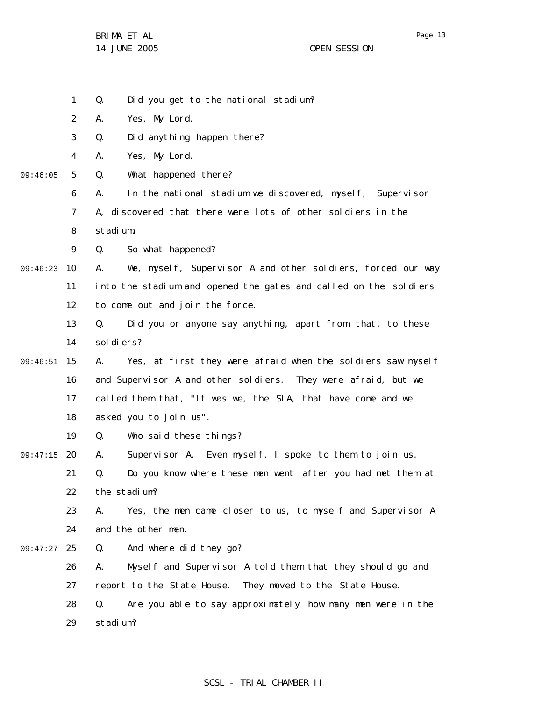BRIMA ET AL

1 Q. Did you get to the national stadium?

2 A. Yes, My Lord.

3 Q. Did anything happen there?

4 A. Yes, My Lord.

5 09:46:05 Q. What happened there?

> 6 7 8 A. In the national stadium we discovered, myself, Supervisor A, discovered that there were lots of other soldiers in the stadium.

9 Q. So what happened?

09:46:23 10 11 12 A. We, myself, Supervisor A and other soldiers, forced our way into the stadium and opened the gates and called on the soldiers to come out and join the force.

> 13 14 Q. Did you or anyone say anything, apart from that, to these sol di ers?

15 09:46:51 16 17 18 A. Yes, at first they were afraid when the soldiers saw myself and Supervisor A and other soldiers. They were afraid, but we called them that, "It was we, the SLA, that have come and we asked you to join us".

> 19 Q. Who said these things?

20 09:47:15 21 22 A. Supervisor A. Even myself, I spoke to them to join us. Q. Do you know where these men went after you had met them at the stadium?

23 24 A. Yes, the men came closer to us, to myself and Supervisor A and the other men.

25 09:47:27 Q. And where did they go?

> 26 27 A. Myself and Supervisor A told them that they should go and report to the State House. They moved to the State House.

28 29 Q. Are you able to say approximately how many men were in the stadium?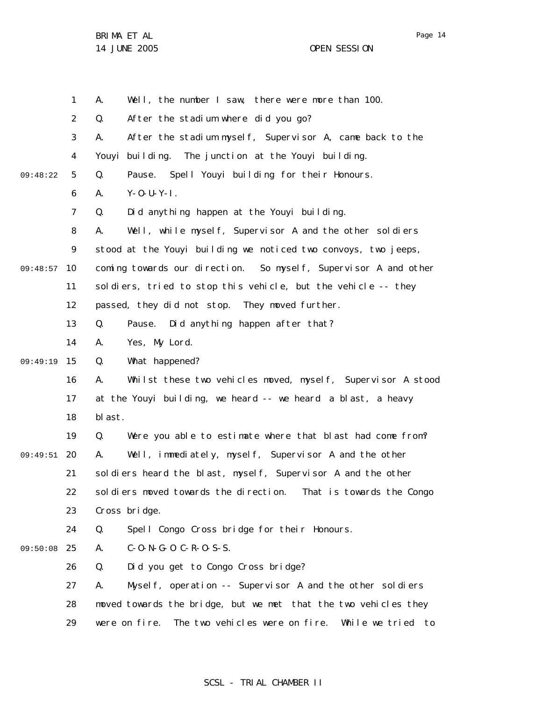Page 14

|          | 1  | Well, the number I saw, there were more than 100.<br>А.                 |
|----------|----|-------------------------------------------------------------------------|
|          | 2  | After the stadium where did you go?<br>Q.                               |
|          | 3  | After the stadium myself, Supervisor A, came back to the<br>А.          |
|          | 4  | Youyi<br>building. The junction at the Youyi building.                  |
| 09:48:22 | 5  | Q.<br>Pause. Spell Youyi building for their Honours.                    |
|          | 6  | $Y - 0 - U - Y - I$ .<br>А.                                             |
|          | 7  | Did anything happen at the Youyi building.<br>Q.                        |
|          | 8  | Well, while myself, Supervisor A and the other soldiers<br>А.           |
|          | 9  | stood at the Youyi building we noticed two convoys, two jeeps,          |
| 09:48:57 | 10 | coming towards our direction. So myself, Supervisor A and other         |
|          | 11 | soldiers, tried to stop this vehicle, but the vehicle -- they           |
|          | 12 | passed, they did not stop. They moved further.                          |
|          | 13 | Pause. Did anything happen after that?<br>Q.                            |
|          | 14 | Yes, My Lord.<br>Α.                                                     |
| 09:49:19 | 15 | What happened?<br>Q.                                                    |
|          | 16 | Whilst these two vehicles moved, myself, Supervisor A stood<br>А.       |
|          | 17 | at the Youyi building, we heard -- we heard a blast, a heavy            |
|          | 18 | bl ast.                                                                 |
|          | 19 | Q.<br>Were you able to estimate where that blast had come from?         |
| 09:49:51 | 20 | Well, immediately, myself, Supervisor A and the other<br>Α.             |
|          | 21 | soldiers heard the blast, myself, Supervisor A and the other            |
|          | 22 | soldiers moved towards the direction. That is towards the Congo         |
|          | 23 | Cross bridge.                                                           |
|          | 24 | Spell Congo Cross bridge for their Honours.<br>Q.                       |
| 09:50:08 | 25 | $C - 0 - N - G - 0$ $C - R - 0 - S - S$ .<br>А.                         |
|          | 26 | Did you get to Congo Cross bridge?<br>Q.                                |
|          | 27 | Mysel f, operation -- Supervisor A and the other soldiers<br>А.         |
|          | 28 | moved towards the bridge, but we met that the two vehicles they         |
|          | 29 | The two vehicles were on fire.<br>were on fire.<br>While we tried<br>to |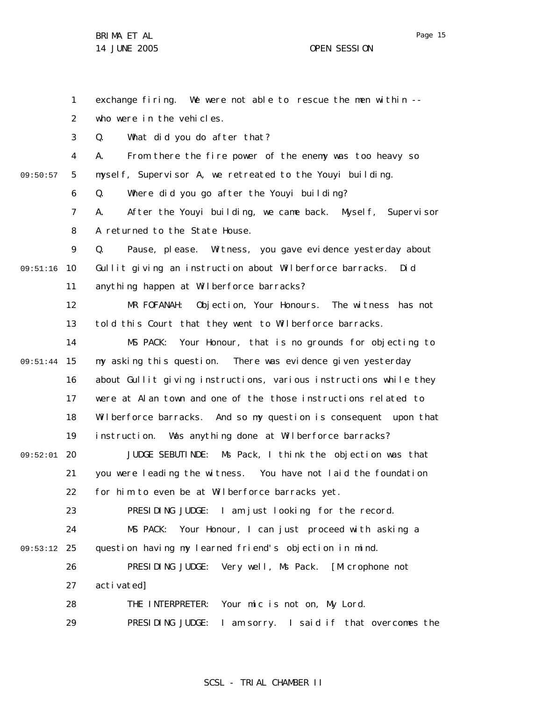1 2 3 4 5 6 7 8 9 09:51:16 10 11 12 13 14 09:51:44 15 16 17 18 19 20 09:52:01 21 22 23 24 09:53:12 25 26 27 28 29 09:50:57 exchange firing. We were not able to rescue the men within - who were in the vehicles. Q. What did you do after that? A. From there the fire power of the enemy was too heavy so myself, Supervisor A, we retreated to the Youyi building. Q. Where did you go after the Youyi building? A. After the Youyi building, we came back. Myself, Supervisor A returned to the State House. Q. Pause, please. Witness, you gave evidence yesterday about Gullit giving an instruction about Wilberforce barracks. Did anything happen at Wilberforce barracks? MR FOFANAH: Objection, Your Honours. The witness has not told this Court that they went to Wilberforce barracks. MS PACK: Your Honour, that is no grounds for objecting to my asking this question. There was evidence given yesterday about Gullit giving instructions, various instructions while they were at Alan town and one of the those instructions related to Wilberforce barracks. And so my question is consequent upon that instruction. Was anything done at Wilberforce barracks? JUDGE SEBUTINDE: Ms Pack, I think the objection was that you were leading the witness. You have not laid the foundation for him to even be at Wilberforce barracks yet. PRESIDING JUDGE: I am just looking for the record. MS PACK: Your Honour, I can just proceed with asking a question having my learned friend's objection in mind. PRESIDING JUDGE: Very well, Ms Pack. [Microphone not activated] THE INTERPRETER: Your mic is not on, My Lord. PRESIDING JUDGE: I am sorry. I said if that overcomes the

SCSL - TRIAL CHAMBER II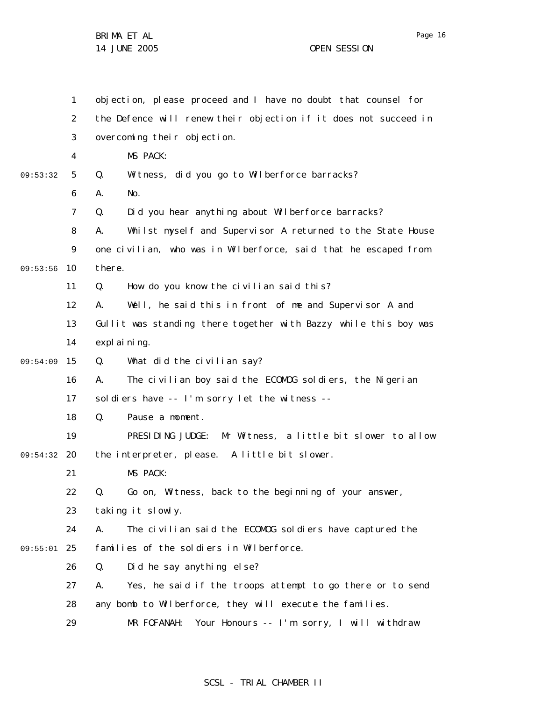|          | $\mathbf{1}$   | objection, please proceed and I have no doubt that counsel for   |
|----------|----------------|------------------------------------------------------------------|
|          | $\overline{2}$ | the Defence will renew their objection if it does not succeed in |
|          | 3              | overcoming their objection.                                      |
|          | 4              | MS PACK:                                                         |
| 09:53:32 | 5              | Witness, did you go to Wilberforce barracks?<br>Q.               |
|          | 6              | А.<br>No.                                                        |
|          | $\overline{7}$ | Did you hear anything about Wilberforce barracks?<br>Q.          |
|          | 8              | Whilst myself and Supervisor A returned to the State House<br>А. |
|          | 9              | one civilian, who was in Wilberforce, said that he escaped from  |
| 09:53:56 | 10             | there.                                                           |
|          | 11             | How do you know the civilian said this?<br>Q.                    |
|          | 12             | Well, he said this in front of me and Supervisor A and<br>А.     |
|          | 13             | Gullit was standing there together with Bazzy while this boy was |
|          | 14             | expl ai ni ng.                                                   |
| 09:54:09 | 15             | What did the civilian say?<br>Q.                                 |
|          | 16             | The civilian boy said the ECOMOG soldiers, the Nigerian<br>Α.    |
|          | 17             | soldiers have -- I'm sorry let the witness --                    |
|          | 18             | Q.<br>Pause a moment.                                            |
|          | 19             | PRESIDING JUDGE:<br>Mr Witness, a little bit slower to allow     |
| 09:54:32 | 20             | the interpreter, please. A little bit slower.                    |
|          | 21             | MS PACK:                                                         |
|          | 22             | Go on, Witness, back to the beginning of your answer,<br>Q.      |
|          | 23             | taking it slowly.                                                |
|          | 24             | The civilian said the ECOMOG soldiers have captured the<br>А.    |
| 09:55:01 | 25             | families of the soldiers in Wilberforce.                         |
|          | 26             | Did he say anything else?<br>Q.                                  |
|          | 27             | Yes, he said if the troops attempt to go there or to send<br>А.  |
|          | 28             | any bomb to Wilberforce, they will execute the families.         |
|          | 29             | Your Honours -- I'm sorry, I will withdraw<br>MR FOFANAH:        |

## SCSL - TRIAL CHAMBER II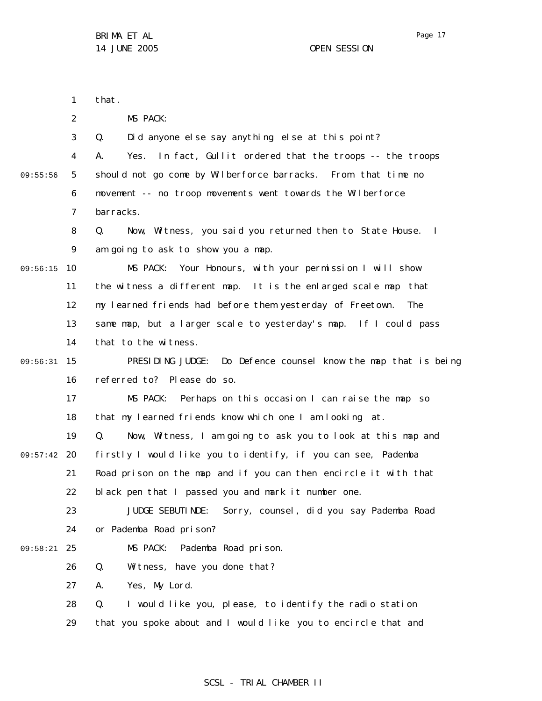Page 17

1 2 3 4 5 6 7 8 9 09:56:15 10 11 12 13 14 15 09:56:31 16 17 18 19 09:57:42 20 21 22 23 24 25 09:58:21 26 27 28 29 09:55:56 that. MS PACK: Q. Did anyone else say anything else at this point? A. Yes. In fact, Gullit ordered that the troops -- the troops should not go come by Wilberforce barracks. From that time no movement -- no troop movements went towards the Wilberforce barracks. Q. Now, Witness, you said you returned then to State House. I am going to ask to show you a map. MS PACK: Your Honours, with your permission I will show the witness a different map. It is the enlarged scale map that my learned friends had before them yesterday of Freetown. The same map, but a larger scale to yesterday's map. If I could pass that to the witness. PRESIDING JUDGE: Do Defence counsel know the map that is being referred to? Please do so. MS PACK: Perhaps on this occasion I can raise the map so that my learned friends know which one I am looking at. Q. Now, Witness, I am going to ask you to look at this map and firstly I would like you to identify, if you can see, Pademba Road prison on the map and if you can then encircle it with that black pen that I passed you and mark it number one. JUDGE SEBUTINDE: Sorry, counsel, did you say Pademba Road or Pademba Road prison? MS PACK: Pademba Road prison. Q. Witness, have you done that? A. Yes, My Lord. Q. I would like you, please, to identify the radio station that you spoke about and I would like you to encircle that and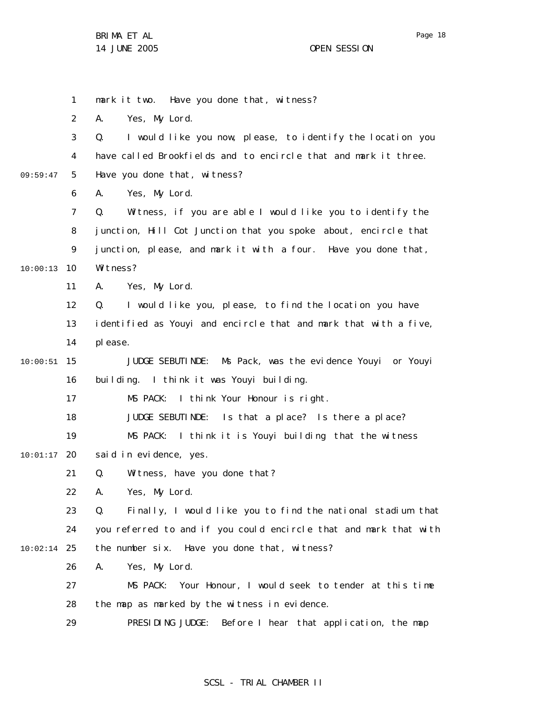1 2 3 4 5 6 7 8 9 10 10:00:13 11 12 13 14 15 10:00:51 16 17 18 19 20 10:01:17 21 22 23 24 25 10:02:14 26 27 28 29 09:59:47 mark it two. Have you done that, witness? A. Yes, My Lord. Q. I would like you now, please, to identify the location you have called Brookfields and to encircle that and mark it three. Have you done that, witness? A. Yes, My Lord. Q. Witness, if you are able I would like you to identify the junction, Hill Cot Junction that you spoke about, encircle that junction, please, and mark it with a four. Have you done that, Witness? A. Yes, My Lord. Q. I would like you, please, to find the location you have identified as Youyi and encircle that and mark that with a five, please. JUDGE SEBUTINDE: Ms Pack, was the evidence Youyi or Youyi building. I think it was Youyi building. MS PACK: I think Your Honour is right. JUDGE SEBUTINDE: Is that a place? Is there a place? MS PACK: I think it is Youyi building that the witness said in evidence, yes. Q. Witness, have you done that? A. Yes, My Lord. Q. Finally, I would like you to find the national stadium that you referred to and if you could encircle that and mark that with the number six. Have you done that, witness? A. Yes, My Lord. MS PACK: Your Honour, I would seek to tender at this time the map as marked by the witness in evidence. PRESIDING JUDGE: Before I hear that application, the map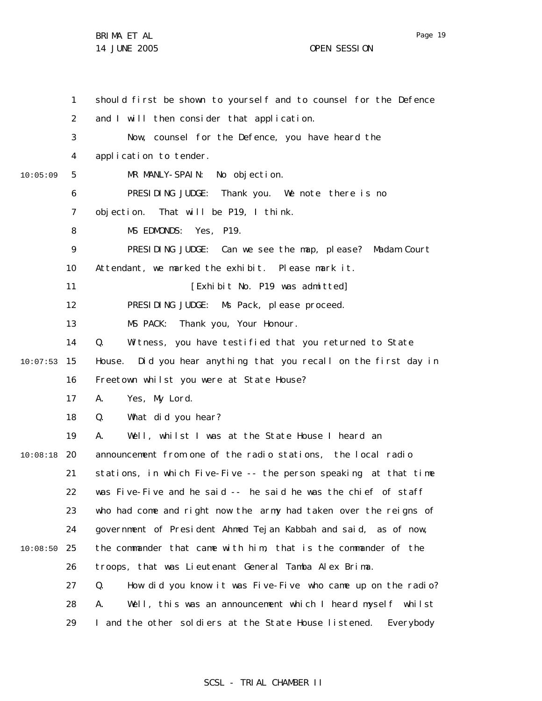|          | 1  | should first be shown to yourself and to counsel for the Defence    |
|----------|----|---------------------------------------------------------------------|
|          | 2  | and I will then consider that application.                          |
|          | 3  | Now, counsel for the Defence, you have heard the                    |
|          | 4  | application to tender.                                              |
| 10:05:09 | 5  | MR MANLY-SPAIN: No objection.                                       |
|          | 6  | PRESIDING JUDGE: Thank you. We note there is no                     |
|          | 7  | objection. That will be P19, I think.                               |
|          | 8  | MS EDMONDS: Yes, P19.                                               |
|          | 9  | PRESIDING JUDGE: Can we see the map, please? Madam Court            |
|          | 10 | Attendant, we marked the exhibit. Please mark it.                   |
|          | 11 | [Exhibit No. P19 was admitted]                                      |
|          | 12 | PRESIDING JUDGE: Ms Pack, please proceed.                           |
|          | 13 | MS PACK:<br>Thank you, Your Honour.                                 |
|          | 14 | Q.<br>Witness, you have testified that you returned to State        |
| 10:07:53 | 15 | Did you hear anything that you recall on the first day in<br>House. |
|          | 16 | Freetown whilst you were at State House?                            |
|          | 17 | Yes, My Lord.<br>А.                                                 |
|          | 18 | What did you hear?<br>Q.                                            |
|          | 19 | Well, whilst I was at the State House I heard an<br>А.              |
| 10:08:18 | 20 | announcement from one of the radio stations, the local radio        |
|          | 21 | stations, in which Five-Five -- the person speaking at that time    |
|          | 22 | was Five-Five and he said -- he said he was the chief of staff      |
|          | 23 | who had come and right now the army had taken over the reigns of    |
|          | 24 | government of President Ahmed Tejan Kabbah and said, as of now,     |
| 10:08:50 | 25 | the commander that came with him, that is the commander of the      |
|          | 26 | troops, that was Lieutenant General Tamba Alex Brima.               |
|          | 27 | How did you know it was Five-Five who came up on the radio?<br>Q.   |
|          | 28 | Well, this was an announcement which I heard myself whilst<br>А.    |
|          | 29 | I and the other soldiers at the State House listened.<br>Everybody  |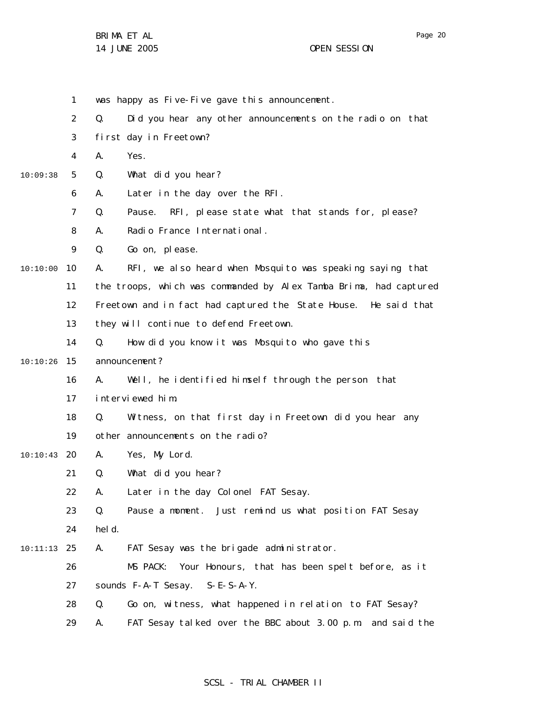1 was happy as Five-Five gave this announcement.

|  |  |  |  | Did you hear any other announcements on the radio on that |  |  |  |  |  |
|--|--|--|--|-----------------------------------------------------------|--|--|--|--|--|
|--|--|--|--|-----------------------------------------------------------|--|--|--|--|--|

3 first day in Freetown?

4 A. Yes.

5 10:09:38 Q. What did you hear?

> 6 A. Later in the day over the RFI.

7 Q. Pause. RFI, please state what that stands for, please?

8 A. Radio France International.

9 Q. Go on, please.

10 10:10:00 A. RFI, we also heard when Mosquito was speaking saying that

11 the troops, which was commanded by Alex Tamba Brima, had captured

12 Freetown and in fact had captured the State House. He said that

13 they will continue to defend Freetown.

14 Q. How did you know it was Mosquito who gave this

15 10:10:26 announcement?

> 16 A. Well, he identified himself through the person that

17 interviewed him.

18 19 Q. Witness, on that first day in Freetown did you hear any other announcements on the radio?

20 10:10:43 A. Yes, My Lord.

> 21 Q. What did you hear?

22 A. Later in the day Colonel FAT Sesay.

23 Q. Pause a moment. Just remind us what position FAT Sesay

24 held.

25 10:11:13 A. FAT Sesay was the brigade administrator.

26 MS PACK: Your Honours, that has been spelt before, as it

27 sounds F-A-T Sesay. S-E-S-A-Y.

- 28 Q. Go on, witness, what happened in relation to FAT Sesay?
- 29 A. FAT Sesay talked over the BBC about 3.00 p.m. and said the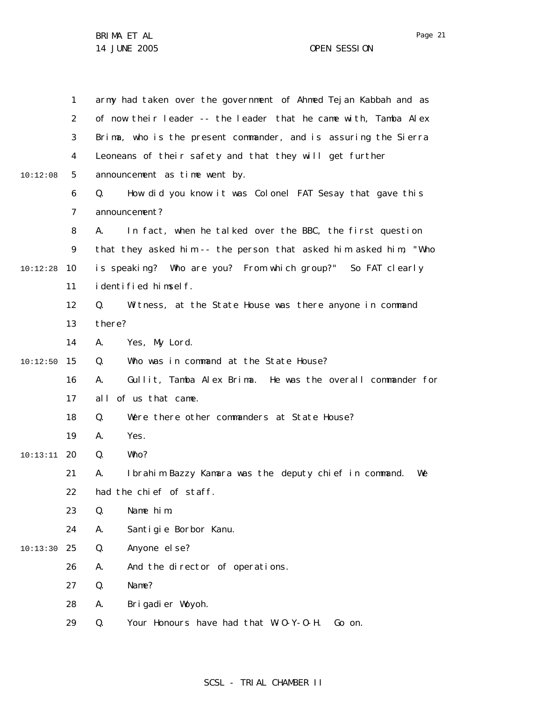|          | 1              | army had taken over the government of Ahmed Tejan Kabbah and as   |
|----------|----------------|-------------------------------------------------------------------|
|          | $\overline{2}$ | of now their leader -- the leader that he came with, Tamba Alex   |
|          | 3              | Brima, who is the present commander, and is assuring the Sierra   |
|          | 4              | Leoneans of their safety and that they will get further           |
| 10:12:08 | 5              | announcement as time went by.                                     |
|          | 6              | How did you know it was Colonel FAT Sesay that gave this<br>Q.    |
|          | 7              | announcement?                                                     |
|          | 8              | In fact, when he talked over the BBC, the first question<br>А.    |
|          | 9              | that they asked him -- the person that asked him asked him, "Who  |
| 10:12:28 | 10             | is speaking? Who are you? From which group?" So FAT clearly       |
|          | 11             | identified himself.                                               |
|          | 12             | Q.<br>Witness, at the State House was there anyone in command     |
|          | 13             | there?                                                            |
|          | 14             | Yes, My Lord.<br>Α.                                               |
| 10:12:50 | 15             | Who was in command at the State House?<br>Q.                      |
|          | 16             | Gullit, Tamba Alex Brima. He was the overall commander for<br>Α.  |
|          | 17             | of us that came.<br>al I                                          |
|          | 18             | Were there other commanders at State House?<br>Q.                 |
|          | 19             | Yes.<br>А.                                                        |
| 10:13:11 | 20             | Q.<br>Who?                                                        |
|          | 21             | Ibrahim Bazzy Kamara was the deputy chief in command.<br>Α.<br>We |
|          | 22             | had the chief of staff.                                           |
|          | 23             | Q.<br>Name him.                                                   |
|          | 24             | Santigie Borbor Kanu.<br>Α.                                       |
| 10:13:30 | 25             | Q.<br>Anyone el se?                                               |
|          | 26             | And the director of operations.<br>А.                             |
|          | 27             | Q.<br>Name?                                                       |
|          | 28             | Brigadier Woyoh.<br>Α.                                            |
|          | 29             | Q.<br>Your Honours have had that W-O-Y-O-H.<br>Go on.             |
|          |                |                                                                   |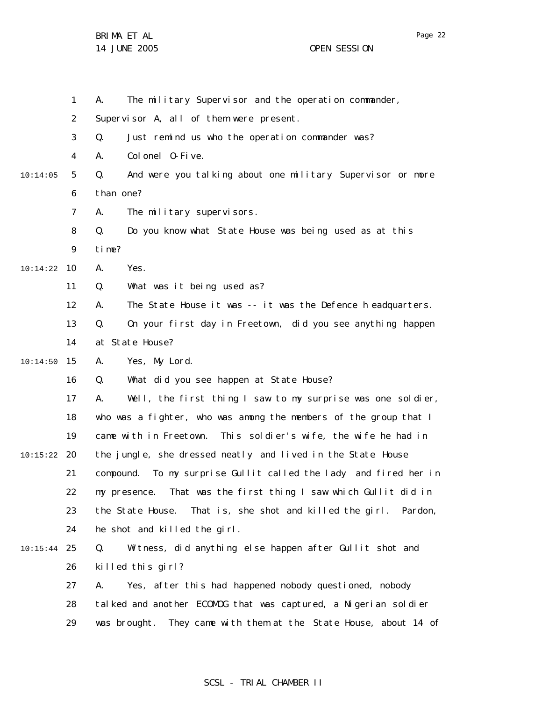|          | 1              | The military Supervisor and the operation commander,<br>А.            |
|----------|----------------|-----------------------------------------------------------------------|
|          | 2              | Supervisor A, all of them were present.                               |
|          | 3              | Q.<br>Just remind us who the operation commander was?                 |
|          | $\overline{4}$ | Colonel 0-Five.<br>А.                                                 |
| 10:14:05 | 5              | And were you talking about one military Supervisor or more<br>Q.      |
|          | 6              | than one?                                                             |
|          | 7              | The military supervisors.<br>А.                                       |
|          | 8              | Q.<br>Do you know what State House was being used as at this          |
|          | 9              | time?                                                                 |
| 10:14:22 | 10             | Yes.<br>А.                                                            |
|          | 11             | What was it being used as?<br>Q.                                      |
|          | 12             | The State House it was -- it was the Defence headquarters.<br>А.      |
|          | 13             | On your first day in Freetown, did you see anything happen<br>Q.      |
|          | 14             | at State House?                                                       |
| 10:14:50 | 15             | Yes, My Lord.<br>А.                                                   |
|          | 16             | What did you see happen at State House?<br>Q.                         |
|          | 17             | Well, the first thing I saw to my surprise was one soldier,<br>А.     |
|          | 18             | who was a fighter, who was among the members of the group that I      |
|          | 19             | came with in Freetown.<br>This soldier's wife, the wife he had in     |
| 10:15:22 | 20             | the jungle, she dressed neatly and lived in the State House           |
|          | 21             | To my surprise Gullit called the lady and fired her in<br>compound.   |
|          | 22             | That was the first thing I saw which Gullit did in<br>my presence.    |
|          | 23             | the State House.<br>That is, she shot and killed the girl.<br>Pardon, |
|          | 24             | he shot and killed the girl.                                          |
| 10:15:44 | 25             | Witness, did anything else happen after Gullit shot and<br>Q.         |
|          | 26             | killed this girl?                                                     |
|          | 27             | Yes, after this had happened nobody questioned, nobody<br>А.          |
|          | 28             | tal ked and another ECOMOG that was captured, a Nigerian soldier      |
|          | 29             | They came with them at the State House, about 14 of<br>was brought.   |

## SCSL - TRIAL CHAMBER II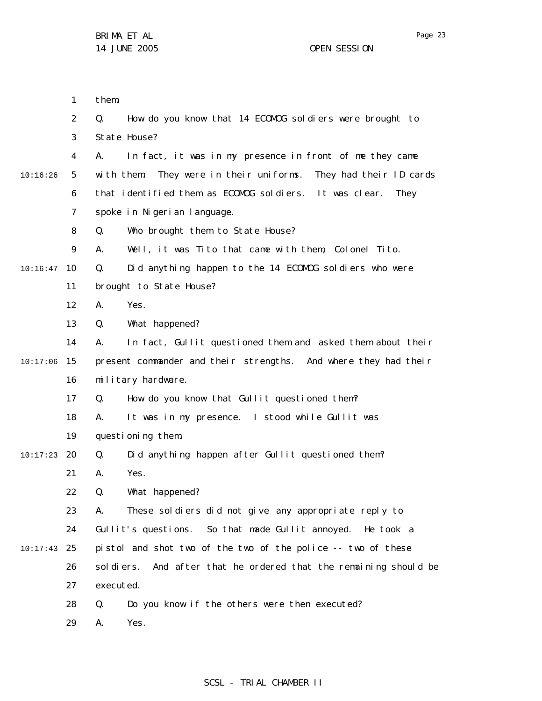|          | 1              | them.                                                                 |
|----------|----------------|-----------------------------------------------------------------------|
|          | $\overline{2}$ | Q.<br>How do you know that 14 ECOMOG sol diers were brought to        |
|          | 3              | State House?                                                          |
|          | 4              | In fact, it was in my presence in front of me they came<br>А.         |
| 10:16:26 | 5              | They were in their uniforms.<br>They had their ID cards<br>with them. |
|          | 6              | that identified them as ECOMOG soldiers. It was clear.<br>They        |
|          | 7              | spoke in Nigerian language.                                           |
|          | 8              | Who brought them to State House?<br>Q.                                |
|          | 9              | Well, it was Tito that came with them, Colonel Tito.<br>А.            |
| 10:16:47 | 10             | Q.<br>Did anything happen to the 14 ECOMOG soldiers who were          |
|          | 11             | brought to State House?                                               |
|          | 12             | Yes.<br>Α.                                                            |
|          | 13             | What happened?<br>Q.                                                  |
|          | 14             | In fact, Gullit questioned them and asked them about their<br>А.      |
| 10:17:06 | 15             | present commander and their strengths. And where they had their       |
|          | 16             | military hardware.                                                    |
|          | 17             | Q.<br>How do you know that Gullit questioned them?                    |
|          | 18             | It was in my presence. I stood while Gullit was<br>А.                 |
|          | 19             | questioning them.                                                     |
| 10:17:23 | 20             | Did anything happen after Gullit questioned them?<br>Q.               |
|          | 21             | Yes.<br>Α.                                                            |
|          | 22             | Q.<br>What happened?                                                  |
|          | 23             | These soldiers did not give any appropriate reply to<br>А.            |
|          | 24             | Gullit's questions. So that made Gullit annoyed.<br>He took a         |
| 10:17:43 | 25             | pistol and shot two of the two of the police -- two of these          |
|          | 26             | sol di ers.<br>And after that he ordered that the remaining should be |
|          | 27             | executed.                                                             |
|          | 28             | Do you know if the others were then executed?<br>Q.                   |
|          | 29             | Yes.<br>Α.                                                            |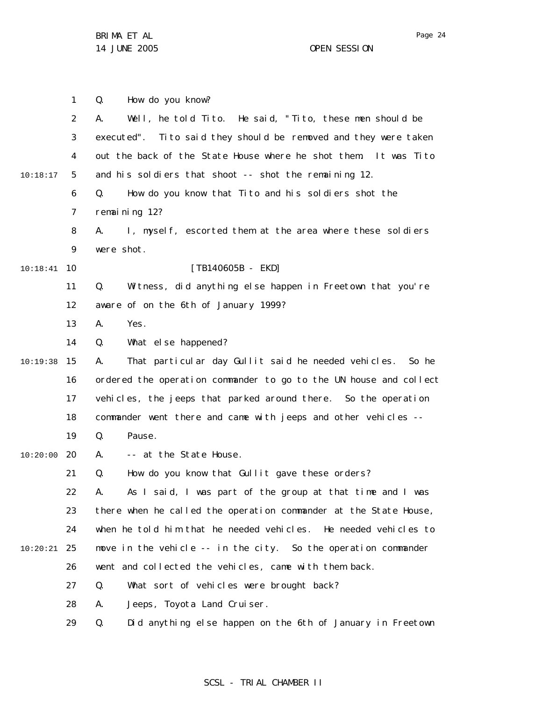1 2 3 4 5 6 7 8 9 10 10:18:41 11 12 13 14 15 10:19:38 16 17 18 19 20 10:20:00 21 22 23 24 25 10:20:21 26 27 28 29 10:18:17 Q. How do you know? A. Well, he told Tito. He said, " Tito, these men should be executed". Tito said they should be removed and they were taken out the back of the State House where he shot them. It was Tito and his soldiers that shoot -- shot the remaining 12. Q. How do you know that Tito and his soldiers shot the remaining 12? A. I, myself, escorted them at the area where these soldiers were shot. [TB140605B - EKD] Q. Witness, did anything else happen in Freetown that you're aware of on the 6th of January 1999? A. Yes. Q. What else happened? A. That particular day Gullit said he needed vehicles. So he ordered the operation commander to go to the UN house and collect vehicles, the jeeps that parked around there. So the operation commander went there and came with jeeps and other vehicles -- Q. Pause. A. -- at the State House. Q. How do you know that Gullit gave these orders? A. As I said, I was part of the group at that time and I was there when he called the operation commander at the State House, when he told him that he needed vehicles. He needed vehicles to move in the vehicle -- in the city. So the operation commander went and collected the vehicles, came with them back. Q. What sort of vehicles were brought back? A. Jeeps, Toyota Land Cruiser. Q. Did anything else happen on the 6th of January in Freetown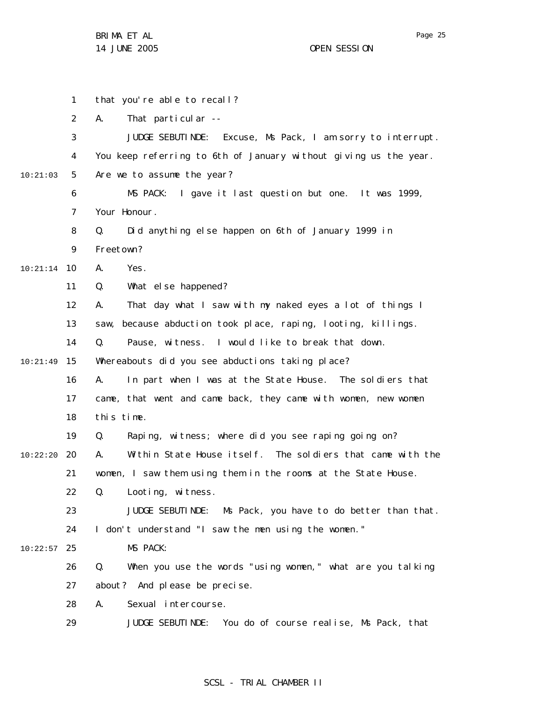Page 25

1 2 3 4 5 6 7 8 9 10 10:21:14 11 12 13 14 15 10:21:49 16 17 18 19 20 10:22:20 21 22 23 24 25 10:22:57 26 27 28 29 10:21:03 that you're able to recall? A. That particular -- JUDGE SEBUTINDE: Excuse, Ms Pack, I am sorry to interrupt. You keep referring to 6th of January without giving us the year. Are we to assume the year? MS PACK: I gave it last question but one. It was 1999, Your Honour. Q. Did anything else happen on 6th of January 1999 in Freetown? A. Yes. Q. What else happened? A. That day what I saw with my naked eyes a lot of things I saw, because abduction took place, raping, looting, killings. Q. Pause, witness. I would like to break that down. Whereabouts did you see abductions taking place? A. In part when I was at the State House. The soldiers that came, that went and came back, they came with women, new women this time. Q. Raping, witness; where did you see raping going on? A. Within State House itself. The soldiers that came with the women, I saw them using them in the rooms at the State House. Q. Looting, witness. JUDGE SEBUTINDE: Ms Pack, you have to do better than that. I don't understand "I saw the men using the women." MS PACK: Q. When you use the words "using women," what are you talking about? And please be precise. A. Sexual intercourse. JUDGE SEBUTINDE: You do of course realise, Ms Pack, that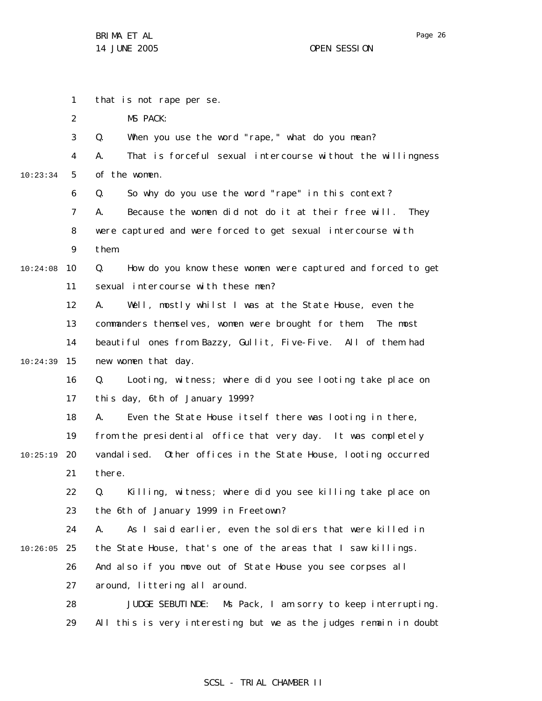Page 26

1 2 3 4 5 6 7 8 9 10 10:24:08 11 12 13 14 15 10:24:39 16 17 18 19 20 10:25:19 21 22 23 24 25 10:26:05 26 27 28 29 10:23:34 that is not rape per se. MS PACK: Q. When you use the word "rape," what do you mean? A. That is forceful sexual intercourse without the willingness of the women. Q. So why do you use the word "rape" in this context? A. Because the women did not do it at their free will. They were captured and were forced to get sexual intercourse with them. Q. How do you know these women were captured and forced to get sexual intercourse with these men? A. Well, mostly whilst I was at the State House, even the commanders themselves, women were brought for them. The most beautiful ones from Bazzy, Gullit, Five-Five. All of them had new women that day. Q. Looting, witness; where did you see looting take place on this day, 6th of January 1999? A. Even the State House itself there was looting in there, from the presidential office that very day. It was completely vandalised. Other offices in the State House, looting occurred there. Q. Killing, witness; where did you see killing take place on the 6th of January 1999 in Freetown? A. As I said earlier, even the soldiers that were killed in the State House, that's one of the areas that I saw killings. And also if you move out of State House you see corpses all around, littering all around. JUDGE SEBUTINDE: Ms Pack, I am sorry to keep interrupting. All this is very interesting but we as the judges remain in doubt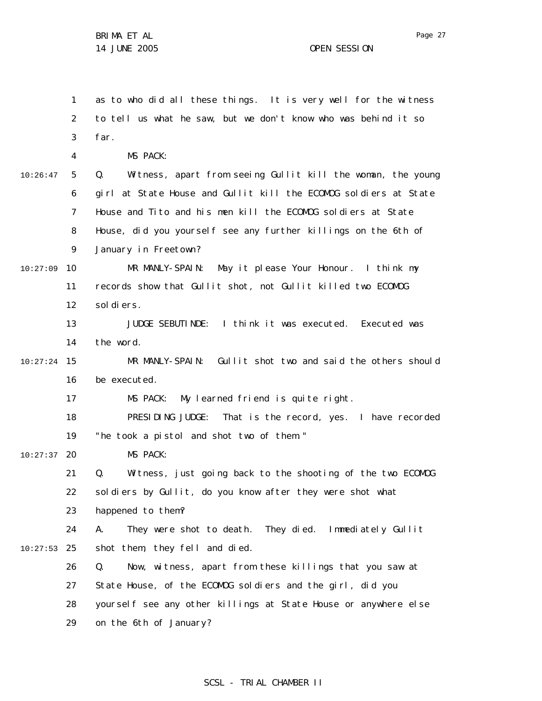|          | 1              | as to who did all these things. It is very well for the witness   |
|----------|----------------|-------------------------------------------------------------------|
|          | $\overline{2}$ | to tell us what he saw, but we don't know who was behind it so    |
|          | 3              | far.                                                              |
|          | 4              | MS PACK:                                                          |
| 10:26:47 | 5              | Witness, apart from seeing Gullit kill the woman, the young<br>Q. |
|          | 6              | girl at State House and Gullit kill the ECOMOG soldiers at State  |
|          | 7              | House and Tito and his men kill the ECOMOG soldiers at State      |
|          | 8              | House, did you yourself see any further killings on the 6th of    |
|          | 9              | January in Freetown?                                              |
| 10:27:09 | 10             | MR MANLY-SPAIN: May it please Your Honour. I think my             |
|          | 11             | records show that Gullit shot, not Gullit killed two ECOMOG       |
|          | 12             | sol di ers.                                                       |
|          | 13             | JUDGE SEBUTINDE: I think it was executed. Executed was            |
|          | 14             | the word.                                                         |
| 10:27:24 | 15             | MR MANLY-SPAIN: Gullit shot two and said the others should        |
|          | 16             | be executed.                                                      |
|          | 17             | My learned friend is quite right.<br>MS PACK:                     |
|          | 18             | PRESIDING JUDGE:<br>That is the record, yes. I have recorded      |
|          | 19             | "he took a pistol and shot two of them."                          |
| 10:27:37 | 20             | MS PACK:                                                          |
|          | 21             | Q.<br>Witness, just going back to the shooting of the two ECOMOG  |
|          | 22             | soldiers by Gullit, do you know after they were shot what         |
|          | 23             | happened to them?                                                 |
|          | 24             | They were shot to death. They died. Immediately Gullit<br>А.      |
| 10:27:53 | 25             | shot them, they fell and died.                                    |
|          | 26             | Now, witness, apart from these killings that you saw at<br>Q.     |
|          | 27             | State House, of the ECOMOG soldiers and the girl, did you         |
|          | 28             | yourself see any other killings at State House or anywhere else   |
|          | 29             | on the 6th of January?                                            |

## SCSL - TRIAL CHAMBER II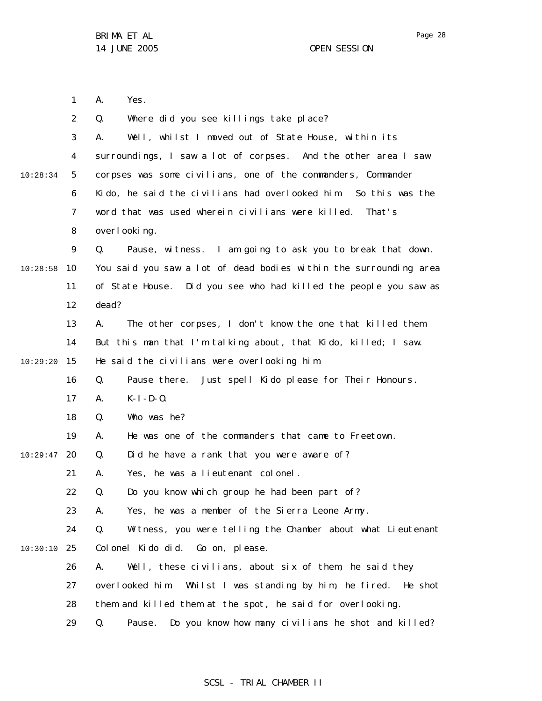Page 28

1 2 3 4 5 6 7 8 9 10 11 12 13 14 15 16 17 18 19 20 10:29:47 21 22 23 24 25 10:30:10 26 27 28 29 10:28:34 10:28:58 10:29:20 A. Yes. Q. Where did you see killings take place? A. Well, whilst I moved out of State House, within its surroundings, I saw a lot of corpses. And the other area I saw corpses was some civilians, one of the commanders, Commander Kido, he said the civilians had overlooked him. So this was the word that was used wherein civilians were killed. That's overlooking. Q. Pause, witness. I am going to ask you to break that down. You said you saw a lot of dead bodies within the surrounding area of State House. Did you see who had killed the people you saw as dead? A. The other corpses, I don't know the one that killed them. But this man that I'm talking about, that Kido, killed; I saw. He said the civilians were overlooking him. Q. Pause there. Just spell Kido please for Their Honours.  $A.$   $K-I-D-O.$ Q. Who was he? A. He was one of the commanders that came to Freetown. Q. Did he have a rank that you were aware of? A. Yes, he was a lieutenant colonel. Q. Do you know which group he had been part of? A. Yes, he was a member of the Sierra Leone Army . Q. Witness, you were telling the Chamber about what Lieutenant Colonel Kido did. Go on, please. A. Well, these civilians, about six of them, he said they overlooked him. Whilst I was standing by him, he fired. He shot them and killed them at the spot, he said for overlooking. Q. Pause. Do you know how many civilians he shot and killed?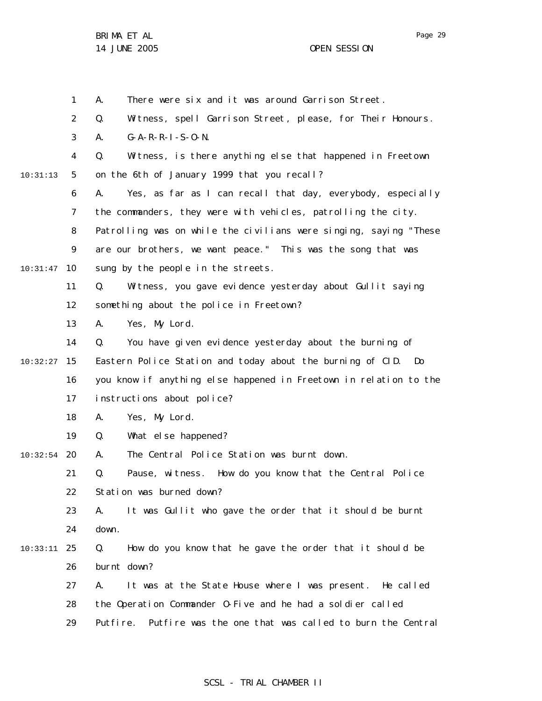1 A. There were six and it was around Garrison Street.

2 Q. Witness, spell Garrison Street, please, for Their Honours.

3 A. G-A-R-R-I-S-O-N.

4 5 10:31:13 Q. Witness, is there anything else that happened in Freetown on the 6th of January 1999 that you recall?

6 7 8 9 10 10:31:47 A. Yes, as far as I can recall that day, everybody, especially the commanders, they were with vehicles, patrolling the city. Patrolling was on while the civilians were singing, saying "These are our brothers, we want peace." This was the song that was sung by the people in the streets.

11 12 Q. Witness, you gave evidence yesterday about Gullit saying something about the police in Freetown?

13 A. Yes, My Lord.

14 15 10:32:27 16 17 Q. You have given evidence yesterday about the burning of Eastern Police Station and today about the burning of CID. Do you know if anything else happened in Freetown in relation to the instructions about police?

> 18 A. Yes, My Lord.

19 Q. What else happened?

20 10:32:54 A. The Central Police Station was burnt down.

> 21 22 Q. Pause, witness. How do you know that the Central Police Station was burned down?

> 23 24 A. It was Gullit who gave the order that it should be burnt down.

25 10:33:11 26 Q. How do you know that he gave the order that it should be burnt down?

27 28 A. It was at the State House where I was present. He called the Operation Commander O-Five and he had a soldier called

29 Putfire. Putfire was the one that was called to burn the Central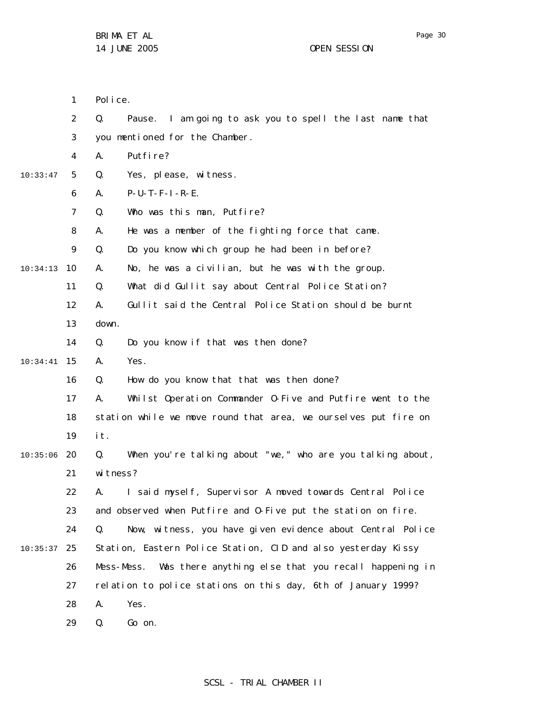1 2 3 4 5 6 7 8 9 10 10:34:13 11 12 13 14 15 10:34:41 16 17 18 19 20 10:35:06 21 22 23 24 25 10:35:37 26 27 28 29 10:33:47 Police. Q. Pause. I am going to ask you to spell the last name that you mentioned for the Chamber. A. Putfire? Q. Yes, please, witness. A. P-U-T-F-I-R-E. Q. Who was this man, Putfire? A. He was a member of the fighting force that came. Q. Do you know which group he had been in before? A. No, he was a civilian, but he was with the group. Q. What did Gullit say about Central Police Station? A. Gullit said the Central Police Station should be burnt down. Q. Do you know if that was then done? A. Yes. Q. How do you know that that was then done? A. Whilst Operation Commander O-Five and Putfire went to the station while we move round that area, we ourselves put fire on it. Q. When you're talking about "we," who are you talking about, witness? A. I said myself, Supervisor A moved towards Central Police and observed when Putfire and O-Five put the station on fire. Q. Now, witness, you have given evidence about Central Police Station, Eastern Police Station, CID and also yesterday Kissy Mess-Mess. Was there anything else that you recall happening in relation to police stations on this day, 6th of January 1999? A. Yes. Q. Go on.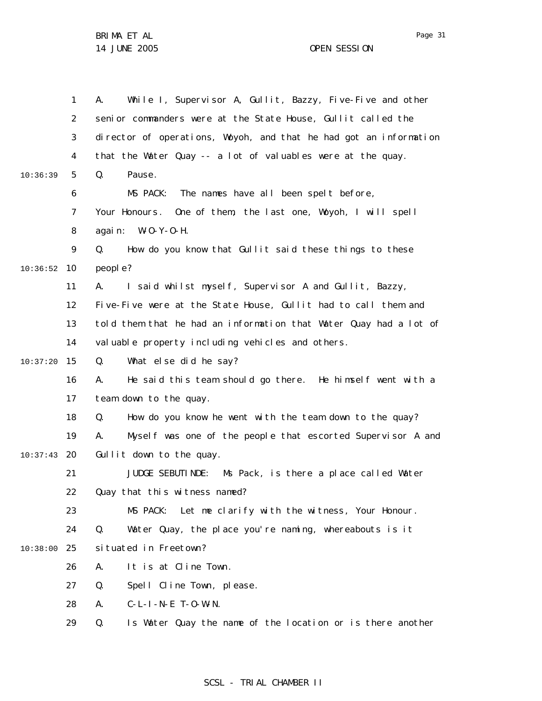|          | 1              | While I, Supervisor A, Gullit, Bazzy, Five-Five and other<br>А.   |
|----------|----------------|-------------------------------------------------------------------|
|          | $\overline{2}$ | senior commanders were at the State House, Gullit called the      |
|          | 3              | director of operations, Woyoh, and that he had got an information |
|          | 4              | that the Water Quay -- a lot of valuables were at the quay.       |
| 10:36:39 | 5              | Q.<br>Pause.                                                      |
|          | 6              | MS PACK: The names have all been spelt before,                    |
|          | 7              | Your Honours. One of them, the last one, Woyoh, I will spell      |
|          | 8              | again: $W-O-Y-O-H$ .                                              |
|          | 9              | How do you know that Gullit said these things to these<br>Q.      |
| 10:36:52 | 10             | people?                                                           |
|          | 11             | I said whilst myself, Supervisor A and Gullit, Bazzy,<br>А.       |
|          | 12             | Five-Five were at the State House, Gullit had to call them and    |
|          | 13             | told them that he had an information that Water Quay had a lot of |
|          | 14             | valuable property including vehicles and others.                  |
| 10:37:20 | 15             | What else did he say?<br>Q.                                       |
|          | 16             | He said this team should go there. He himself went with a<br>А.   |
|          | 17             | team down to the quay.                                            |
|          | 18             | How do you know he went with the team down to the quay?<br>Q.     |
|          | 19             | Myself was one of the people that escorted Supervisor A and<br>А. |
| 10:37:43 | 20             | Gullit down to the quay.                                          |
|          | 21             | JUDGE SEBUTINDE:<br>Ms Pack, is there a place called Water        |
|          | 22             | Quay that this witness named?                                     |
|          | 23             | Let me clarify with the witness, Your Honour.<br>MS PACK:         |
|          | 24             | Water Quay, the place you're naming, whereabouts is it<br>Q.      |
| 10:38:00 | 25             | situated in Freetown?                                             |
|          | 26             | It is at Cline Town.<br>А.                                        |
|          | 27             | Spell Cline Town, please.<br>Q.                                   |
|          | 28             | $C-L-I -N-E$ T-O-W-N.<br>А.                                       |
|          | 29             | Is Water Quay the name of the location or is there another<br>Q.  |
|          |                |                                                                   |

### SCSL - TRIAL CHAMBER II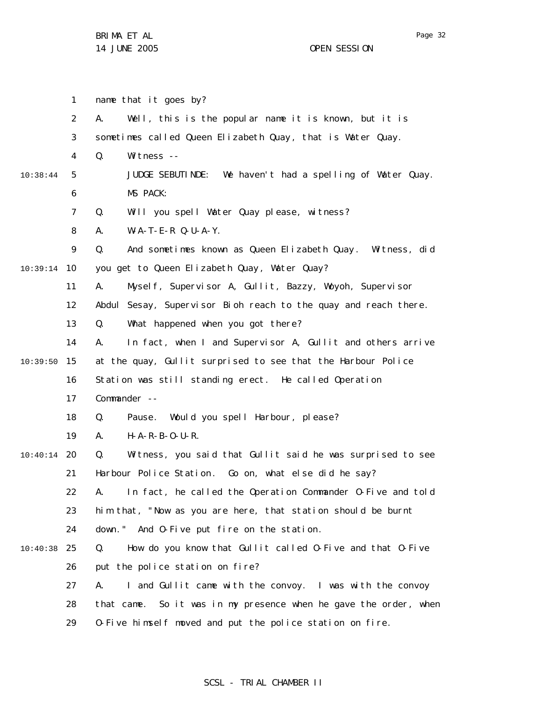1 2 3 4 5 6 7 8 9 10 10:39:14 11 12 13 14 15 10:39:50 16 17 18 19 20 10:40:14 21 22 23 24 25 10:40:38 26 27 28 29 10:38:44 name that it goes by? A. Well, this is the popular name it is known, but it is sometimes called Queen Elizabeth Quay, that is Water Quay. Q. Witness -- JUDGE SEBUTINDE: We haven't had a spelling of Water Quay. MS PACK: Q. Will you spell Water Quay please, witness? A. W-A-T-E-R Q-U-A-Y. Q. And sometimes known as Queen Elizabeth Quay. Witness, did you get to Queen Elizabeth Quay , Water Quay? A. Myself, Supervisor A, Gullit, Bazzy, Woyoh, Supervisor Abdul Sesay, Supervisor Bioh reach to the quay and reach there. Q. What happened when you got there? A. In fact, when I and Supervisor A, Gullit and others arrive at the quay, Gullit surprised to see that the Harbour Police Station was still standing erect. He called Operation Commander -- Q. Pause. Would you spell Harbour, please? A. H-A-R-B-O-U-R. Q. Witness, you said that Gullit said he was surprised to see Harbour Police Station. Go on, what else did he say? A. In fact, he called the Operation Commander O-Five and told him that, "Now as you are here, that station should be burnt down." And O-Five put fire on the station. Q. How do you know that Gullit called O-Five and that O-Five put the police station on fire? A. I and Gullit came with the convoy. I was with the convoy that came. So it was in my presence when he gave the order, when O-Five himself moved and put the police station on fire.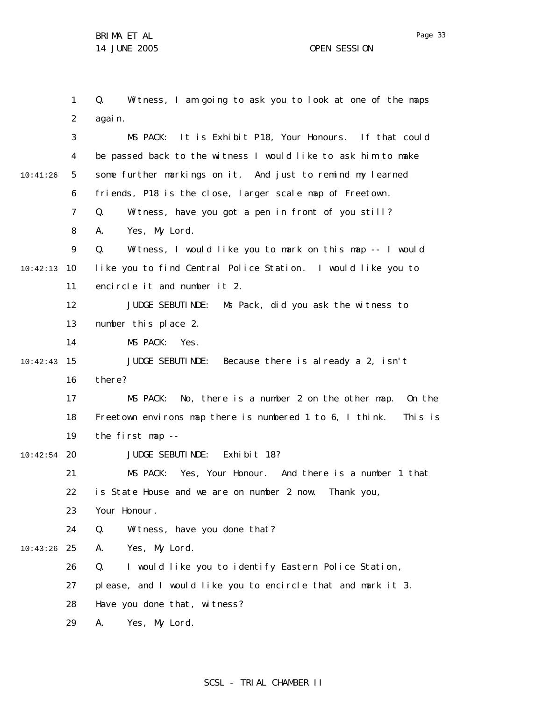1 2 3 4 5 6 7 8 9 10 10:42:13 11 12 13 14 15 10:42:43 16 17 18 19 20 10:42:54 21 22 23 24 25 10:43:26 26 27 28 29 10:41:26 Q. Witness, I am going to ask you to look at one of the maps again. MS PACK: It is Exhibit P18, Your Honours. If that could be passed back to the witness I would like to ask him to make some further markings on it. And just to remind my learned friends, P18 is the close, larger scale map of Freetown. Q. Witness, have you got a pen in front of you still? A. Yes, My Lord. Q. Witness, I would like you to mark on this map -- I would like you to find Central Police Station. I would like you to encircle it and number it 2. JUDGE SEBUTINDE: Ms Pack, did you ask the witness to number this place 2. MS PACK: Yes. JUDGE SEBUTINDE: Because there is already a 2, isn't there? MS PACK: No, there is a number 2 on the other map. On the Freetown environs map there is numbered 1 to 6, I think. This is the first map -- JUDGE SEBUTINDE: Exhibit 18? MS PACK: Yes, Your Honour. And there is a number 1 that is State House and we are on number 2 now. Thank you, Your Honour. Q. Witness, have you done that? A. Yes, My Lord. Q. I would like you to identify Eastern Police Station, please, and I would like you to encircle that and mark it 3. Have you done that, witness? A. Yes, My Lord.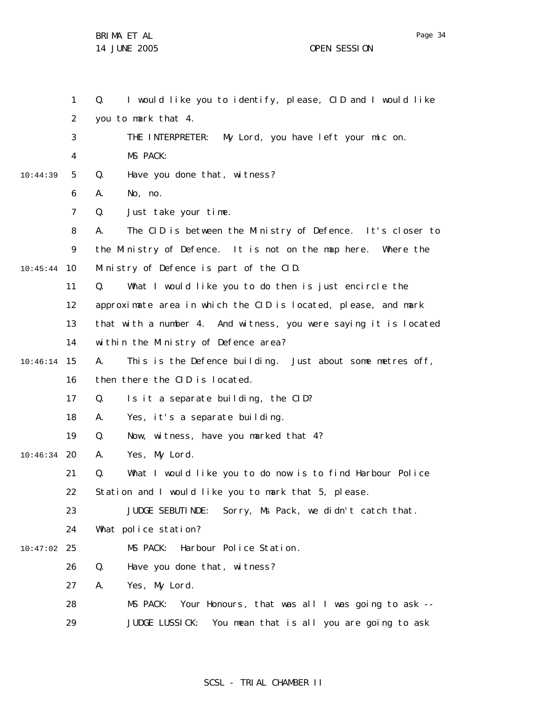1 2 3 4 5 6 7 8 9 10 10:45:44 11 12 13 14 15 10:46:14 16 17 18 19 20 10:46:34 21 22 23 24 25 10:47:02 26 27 28 29 10:44:39 Q. I would like you to identify, please, CID and I would like you to mark that 4. THE INTERPRETER: My Lord, you have left your mic on. MS PACK: Q. Have you done that, witness? A. No, no. Q. Just take your time. A. The CID is between the Ministry of Defence. It's closer to the Ministry of Defence. It is not on the map here. Where the Ministry of Defence is part of the CID. Q. What I would like you to do then is just encircle the approximate area in which the CID is located, please, and mark that with a number 4. And witness, you were saying it is located within the Ministry of Defence area? A. This is the Defence building. Just about some metres off, then there the CID is located. Q. Is it a separate building, the CID? A. Yes, it's a separate building. Q. Now, witness, have you marked that 4? A. Yes, My Lord. Q. What I would like you to do now is to find Harbour Police Station and I would like you to mark that 5, please. JUDGE SEBUTINDE: Sorry, Ms Pack, we didn't catch that. What police station? MS PACK: Harbour Police Station. Q. Have you done that, witness? A. Yes, My Lord. MS PACK: Your Honours, that was all I was going to ask -- JUDGE LUSSICK: You mean that is all you are going to ask

### SCSL - TRIAL CHAMBER II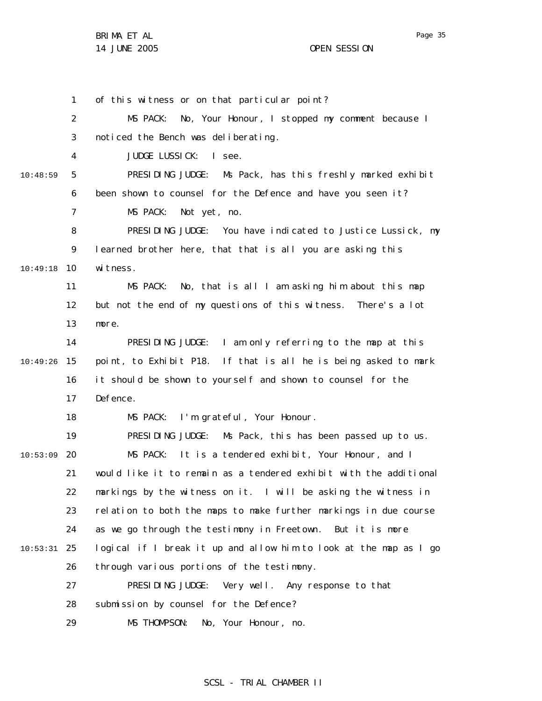Page 35

1 2 3 4 5 6 7 8 9 10 10:49:18 11 12 13 14 15 10:49:26 16 17 18 19 20 10:53:09 21 22 23 24 25 10:53:31 26 27 28 29 10:48:59 of this witness or on that particular point? MS PACK: No, Your Honour, I stopped my comment because I noticed the Bench was deliberating. JUDGE LUSSICK: I see. PRESIDING JUDGE: Ms Pack, has this freshly marked exhibit been shown to counsel for the Defence and have you seen it? MS PACK: Not yet, no. PRESIDING JUDGE: You have indicated to Justice Lussick, my learned brother here, that that is all you are asking this witness. MS PACK: No, that is all I am asking him about this map but not the end of my questions of this witness. There's a lot more. PRESIDING JUDGE: I am only referring to the map at this point, to Exhibit P18. If that is all he is being asked to mark it should be shown to yourself and shown to counsel for the Defence. MS PACK: I'm grateful, Your Honour. PRESIDING JUDGE: Ms Pack, this has been passed up to us. MS PACK: It is a tendered exhibit, Your Honour, and I would like it to remain as a tendered exhibit with the additional markings by the witness on it. I will be asking the witness in relation to both the maps to make further markings in due course as we go through the testimony in Freetown. But it is more logical if I break it up and allow him to look at the map as I go through various portions of the testimony. PRESIDING JUDGE: Very well. Any response to that submission by counsel for the Defence? MS THOMPSON: No, Your Honour, no.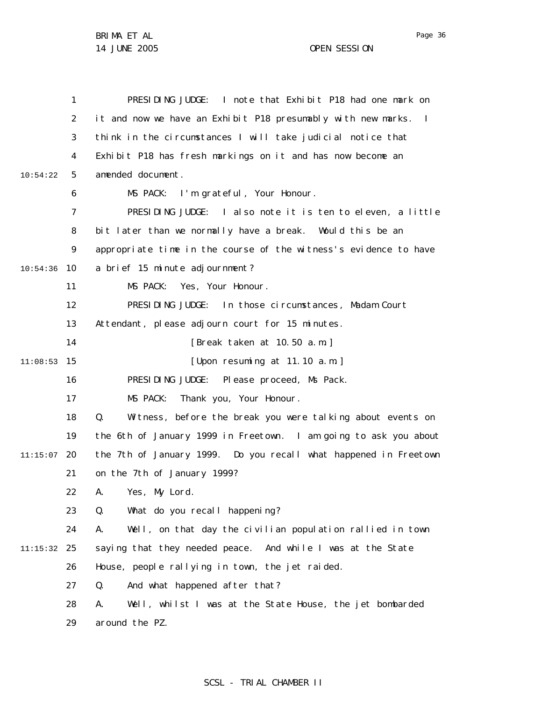|          | 1              | PRESIDING JUDGE: I note that Exhibit P18 had one mark on                       |
|----------|----------------|--------------------------------------------------------------------------------|
|          | 2              | it and now we have an Exhibit P18 presumably with new marks.<br>$\blacksquare$ |
|          | 3              | think in the circumstances I will take judicial notice that                    |
|          | 4              | Exhibit P18 has fresh markings on it and has now become an                     |
| 10:54:22 | 5              | amended document.                                                              |
|          | 6              | MS PACK:<br>I'm grateful, Your Honour.                                         |
|          | $\overline{7}$ | PRESIDING JUDGE: I also note it is ten to eleven, a little                     |
|          | 8              | bit later than we normally have a break. Would this be an                      |
|          | 9              | appropriate time in the course of the witness's evidence to have               |
| 10:54:36 | 10             | a brief 15 minute adjournment?                                                 |
|          | 11             | Yes, Your Honour.<br>MS PACK:                                                  |
|          | 12             | PRESIDING JUDGE: In those circumstances, Madam Court                           |
|          | 13             | Attendant, please adjourn court for 15 minutes.                                |
|          | 14             | [Break taken at 10.50 a.m.]                                                    |
| 11:08:53 | 15             | [Upon resuming at 11.10 a.m.]                                                  |
|          | 16             | PRESIDING JUDGE: Please proceed, Ms Pack.                                      |
|          | 17             | MS PACK:<br>Thank you, Your Honour.                                            |
|          | 18             | Q.<br>Witness, before the break you were talking about events on               |
|          | 19             | the 6th of January 1999 in Freetown. I am going to ask you about               |
| 11:15:07 | 20             | the 7th of January 1999.  Do you recall what happened in Freetown              |
|          | 21             | on the 7th of January 1999?                                                    |
|          | 22             | А.<br>Yes, My Lord.                                                            |
|          | 23             | What do you recall happening?<br>Q.                                            |
|          | 24             | Well, on that day the civilian population rallied in town<br>А.                |
| 11:15:32 | 25             | saying that they needed peace. And while I was at the State                    |
|          | 26             | House, people rallying in town, the jet raided.                                |
|          | 27             | And what happened after that?<br>Q.                                            |
|          | 28             | Well, whilst I was at the State House, the jet bombarded<br>А.                 |
|          | 29             | around the PZ.                                                                 |

### SCSL - TRIAL CHAMBER II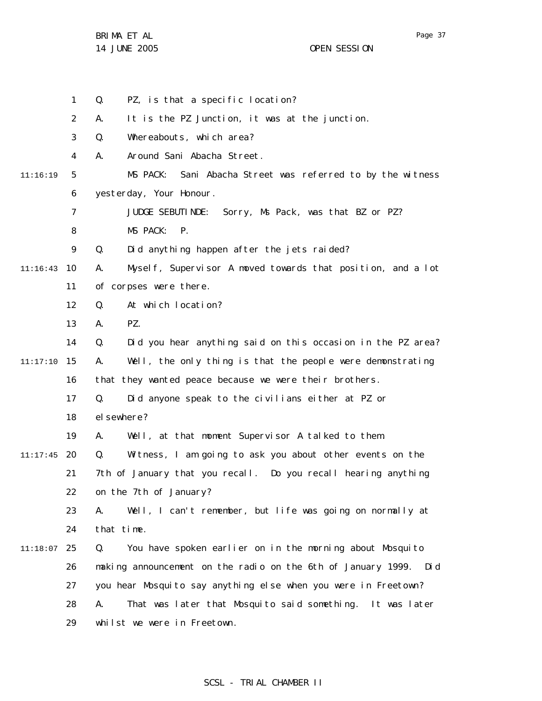Page 37

|          | 1  | PZ, is that a specific location?<br>Q.                              |
|----------|----|---------------------------------------------------------------------|
|          | 2  | It is the PZ Junction, it was at the junction.<br>А.                |
|          | 3  | Q.<br>Whereabouts, which area?                                      |
|          | 4  | Around Sani Abacha Street.<br>А.                                    |
| 11:16:19 | 5  | MS PACK:<br>Sani Abacha Street was referred to by the witness       |
|          | 6  | yesterday, Your Honour.                                             |
|          | 7  | JUDGE SEBUTINDE: Sorry, Ms Pack, was that BZ or PZ?                 |
|          | 8  | MS PACK:<br>$P_{\cdot}$                                             |
|          | 9  | Did anything happen after the jets raided?<br>Q.                    |
| 11:16:43 | 10 | Myself, Supervisor A moved towards that position, and a lot<br>А.   |
|          | 11 | of corpses were there.                                              |
|          | 12 | At which location?<br>Q.                                            |
|          | 13 | А.<br>PZ.                                                           |
|          | 14 | Did you hear anything said on this occasion in the PZ area?<br>Q.   |
| 11:17:10 | 15 | Well, the only thing is that the people were demonstrating<br>А.    |
|          | 16 | that they wanted peace because we were their brothers.              |
|          | 17 | Q.<br>Did anyone speak to the civilians either at PZ or             |
|          | 18 | el sewhere?                                                         |
|          | 19 | Well, at that moment Supervisor A talked to them.<br>А.             |
| 11:17:45 | 20 | Q.<br>Witness, I am going to ask you about other events on the      |
|          | 21 | 7th of January that you recall.  Do you recall hearing anything     |
|          | 22 | on the 7th of January?                                              |
|          | 23 | Well, I can't remember, but life was going on normally at<br>А.     |
|          | 24 | that time.                                                          |
| 11:18:07 | 25 | You have spoken earlier on in the morning about Mosquito<br>Q.      |
|          | 26 | making announcement on the radio on the 6th of January 1999.<br>Did |
|          | 27 | you hear Mosquito say anything else when you were in Freetown?      |
|          | 28 | That was later that Mosquito said something. It was later<br>А.     |
|          | 29 | whilst we were in Freetown.                                         |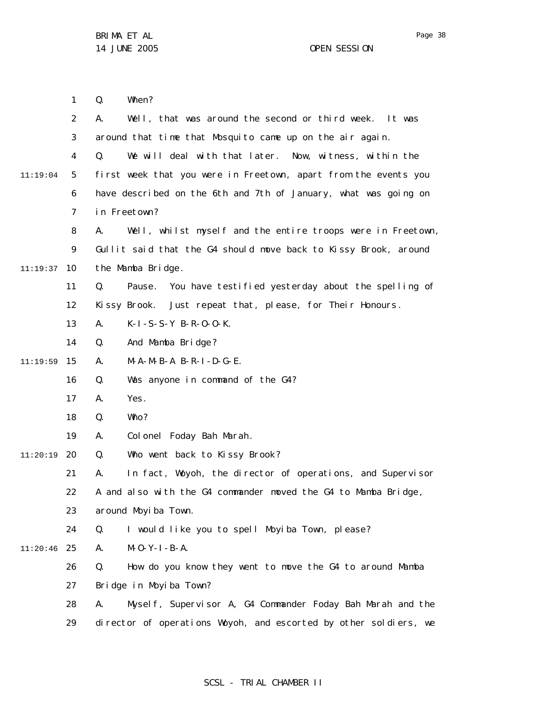1 2 3 4 5 6 7 8 9 10 11:19:37 11 12 13 14 15 11:19:59 16 17 18 19 20 11:20:19 21 22 23 24 25 11:20:46 26 27 28 29 11:19:04 Q. When? A. Well, that was around the second or third week. It was around that time that Mosquito came up on the air again. Q. We will deal with that later. Now, witness, within the first week that you were in Freetown, apart from the events you have described on the 6th and 7th of January, what was going on in Freetown? A. Well, whilst myself and the entire troops were in Freetown, Gullit said that the G4 should move back to Kissy Brook, around the Mamba Bridge. Q. Pause. You have testified yesterday about the spelling of Kissy Brook. Just repeat that, please, for Their Honours. A. K-I-S-S-Y B-R-O-O-K. Q. And Mamba Bridge? A. M-A-M-B-A B-R-I-D-G-E. Q. Was anyone in command of the G4? A. Yes. Q. Who? A. Colonel Foday Bah Marah. Q. Who went back to Kissy Brook? A. In fact, Woyoh, the director of operations, and Supervisor A and also with the G4 commander moved the G4 to Mamba Bridge, around Moyiba Town. Q. I would like you to spell Moyiba Town, please?  $A.$   $M-O-Y-I-BA.$ Q. How do you know they went to move the G4 to around Mamba Bridge in Moyiba Town? A. Myself, Supervisor A, G4 Commander Foday Bah Marah and the director of operations Woyoh, and escorted by other soldiers, we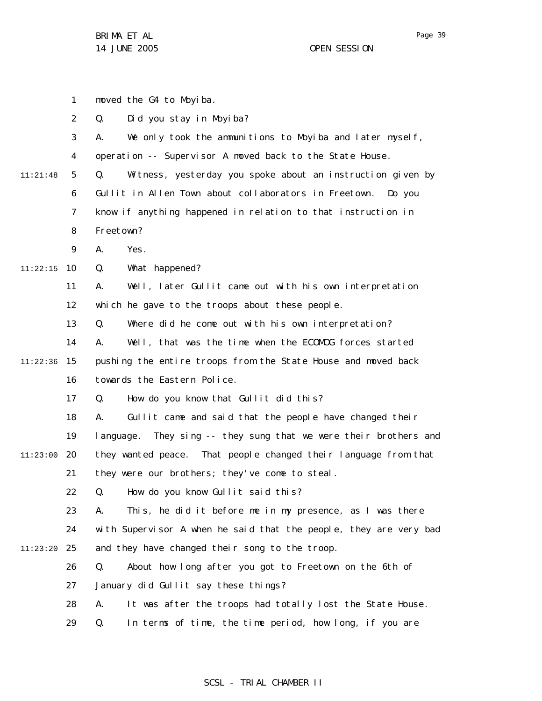1 2 3 4 5 6 7 8 9 10 11:22:15 11 12 13 14 15 11:22:36 16 17 18 19 20 11:23:00 21 22 23 24 25 11:23:20 26 27 28 29 11:21:48 moved the G4 to Moyiba. Q. Did you stay in Moyiba? A. We only took the ammunitions to Moyiba and later myself, operation -- Supervisor A moved back to the State House. Q. Witness, yesterday you spoke about an instruction given by Gullit in Allen Town about collaborators in Freetown. Do you know if anything happened in relation to that instruction in Freetown? A. Yes. Q. What happened? A. Well, later Gullit came out with his own interpretation which he gave to the troops about these people. Q. Where did he come out with his own interpretation? A. Well, that was the time when the ECOMOG forces started pushing the entire troops from the State House and moved back towards the Eastern Police. Q. How do you know that Gullit did this? A. Gullit came and said that the people have changed their language. They sing -- they sung that we were their brothers and they wanted peace. That people changed their language from that they were our brothers; they've come to steal. Q. How do you know Gullit said this? A. This, he did it before me in my presence, as I was there with Supervisor A when he said that the people, they are very bad and they have changed their song to the troop. Q. About how long after you got to Freetown on the 6th of January did Gullit say these things? A. It was after the troops had totally lost the State House. Q. In terms of time, the time period, how long, if you are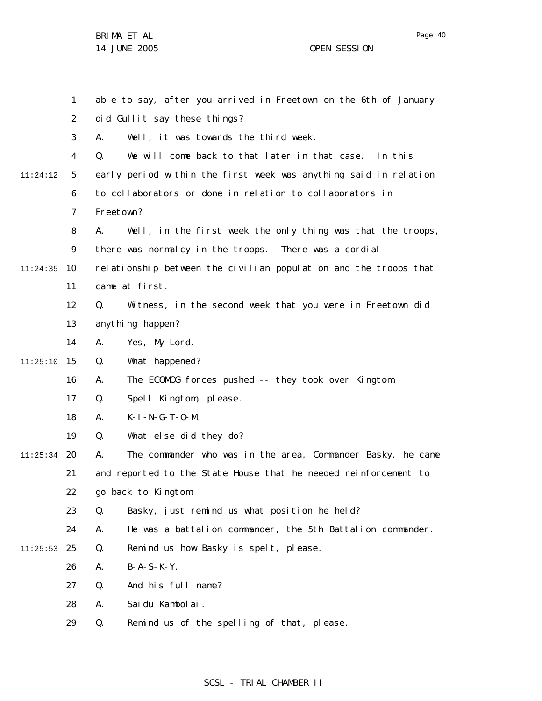1 2 3 4 5 6 7 8 9 10 11:24:35 11 12 13 14 15 11:25:10 16 17 18 19 20 11:25:34 21 22 23 24 25 11:25:53 26 27 28 29 11:24:12 able to say, after you arrived in Freetown on the 6th of January did Gullit say these things? A. Well, it was towards the third week. Q. We will come back to that later in that case. In this early period within the first week was anything said in relation to collaborators or done in relation to collaborators in Freetown? A. Well, in the first week the only thing was that the troops, there was normalcy in the troops. There was a cordial relationship between the civilian population and the troops that came at first. Q. Witness, in the second week that you were in Freetown did anything happen? A. Yes, My Lord. Q. What happened? A. The ECOMOG forces pushed -- they took over Kingtom. Q. Spell Kingtom, please. A. K-I-N-G-T-O-M. Q. What else did they do? A. The commander who was in the area, Commander Basky, he came and reported to the State House that he needed reinforcement to go back to Kingtom. Q. Basky, just remind us what position he held? A. He was a battalion commander, the 5th Battalion commander. Q. Remind us how Basky is spelt, please. A. B-A-S-K-Y. Q. And his full name? A. Saidu Kambolai. Q. Remind us of the spelling of that, please.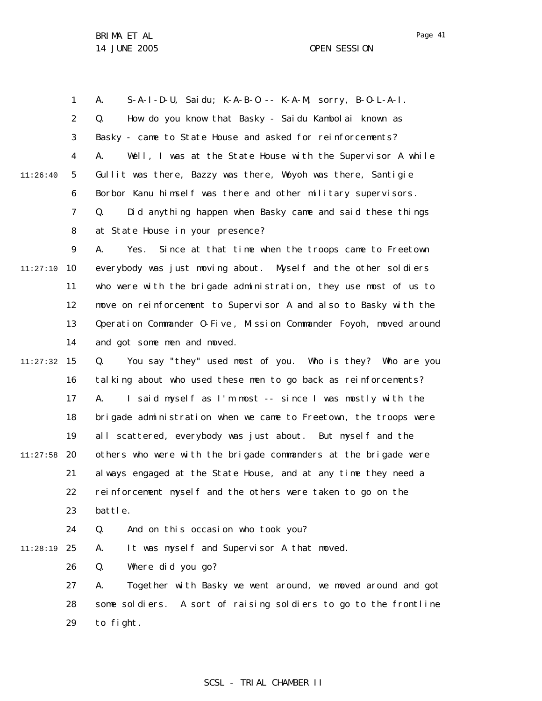1 2 3 4 5 6 7 8 9 10 11:27:10 11 12 13 14 15 11:27:32 16 17 18 19 20 11:27:58 21 22 23 24 25 11:28:19 26 27 28 29 11:26:40 A. S-A-I-D-U, Saidu; K-A-B-O -- K-A-M, sorry, B-O-L-A-I. Q. How do you know that Basky - Saidu Kambolai known as Basky - came to State House and asked for reinforcements? A. Well, I was at the State House with the Supervisor A while Gullit was there, Bazzy was there, Woyoh was there, Santigie Borbor Kanu himself was there and other military supervisors. Q. Did anything happen when Basky came and said these things at State House in your presence? A. Yes. Since at that time when the troops came to Freetown everybody was just moving about. Myself and the other soldiers who were with the brigade administration, they use most of us to move on reinforcement to Supervisor A and also to Basky with the Operation Commander O-Five , Mission Commander Foyoh, moved around and got some men and moved. Q. You say "they" used most of you. Who is they? Who are you talking about who used these men to go back as reinforcements? A. I said myself as I'm most -- since I was mostly with the brigade administration when we came to Freetown, the troops were all scattered, everybody was just about. But myself and the others who were with the brigade commanders at the brigade were always engaged at the State House, and at any time they need a reinforcement myself and the others were taken to go on the battle. Q. And on this occasion who took you? A. It was myself and Supervisor A that moved. Q. Where did you go? A. Together with Basky we went around, we moved around and got some soldiers. A sort of raising soldiers to go to the frontline to fight.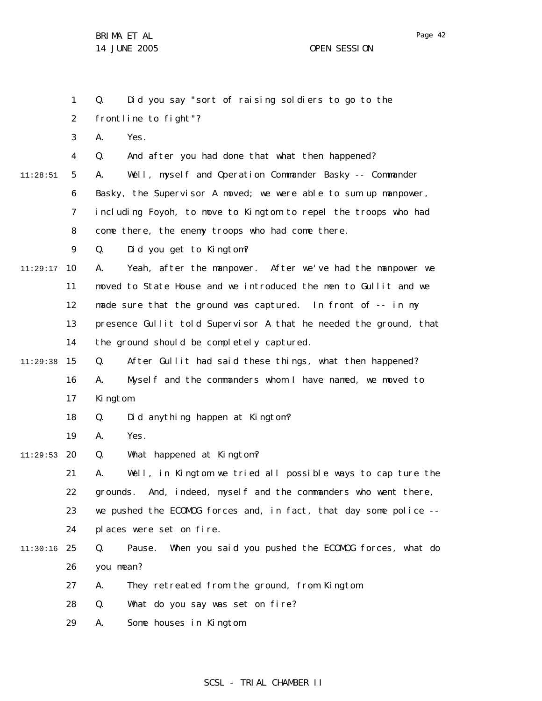1 2 3 4 5 6 7 8 9 10 11:29:17 11 12 13 14 15 16 17 18 19 20 11:29:53 21 22 23 24 25 11:30:16 26 27 28 29 11:28:51 11:29:38 Q. Did you say "sort of raising soldiers to go to the frontline to fight"? A. Yes. Q. And after you had done that what then happened? A. Well, myself and Operation Commander Basky -- Commander Basky, the Supervisor A moved; we were able to sum up manpower, including Foyoh, to move to Kingtom to repel the troops who had come there, the enemy troops who had come there. Q. Did you get to Kingtom? A. Yeah, after the manpower. After we've had the manpower we moved to State House and we introduced the men to Gullit and we made sure that the ground was captured. In front of -- in my presence Gullit told Supervisor A that he needed the ground, that the ground should be completely captured. Q. After Gullit had said these things, what then happened? A. Myself and the commanders whom I have named, we moved to Kingtom. Q. Did anything happen at Kingtom? A. Yes. Q. What happened at Kingtom? A. Well, in Kingtom we tried all possible ways to cap ture the grounds. And, indeed, myself and the commanders who went there, we pushed the ECOMOG forces and, in fact, that day some police - places were set on fire. Q. Pause. When you said you pushed the ECOMOG forces, what do you mean? A. They retreated from the ground, from Kingtom. Q. What do you say was set on fire? A. Some houses in Kingtom.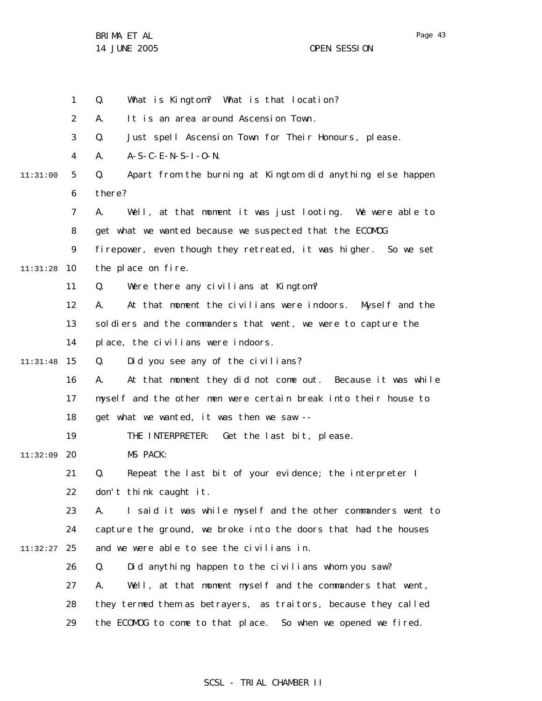BRIMA ET AL

14 JUNE 2005 OPEN SESSION

1 2 3 4 5 6 7 8 9 10 11:31:28 11 12 13 14 15 11:31:48 16 17 18 19 20 11:32:09 21 22 23 24 25 11:32:27 26 27 28 29 11:31:00 Q. What is Kingtom? What is that location? A. It is an area around Ascension Town. Q. Just spell Ascension Town for Their Honours, please. A. A-S-C-E-N-S-I-O-N. Q. Apart from the burning at Kingtom did anything else happen there? A. Well, at that moment it was just looting. We were able to get what we wanted because we suspected that the ECOMOG firepower, even though they retreated, it was higher. So we set the place on fire. Q. Were there any civilians at Kingtom? A. At that moment the civilians were indoors. Myself and the sol diers and the commanders that went, we were to capture the place, the civilians were indoors. Q. Did you see any of the civilians? A. At that moment they did not come out. Because it was while myself and the other men were certain break into their house to get what we wanted, it was then we saw -- THE INTERPRETER: Get the last bit, please. MS PACK: Q. Repeat the last bit of your evidence; the interpreter I don't think caught it. A. I said it was while myself and the other commanders went to capture the ground, we broke into the doors that had the houses and we were able to see the civilians in. Q. Did anything happen to the civilians whom you saw? A. Well, at that moment myself and the commanders that went, they termed them as betrayers, as traitors, because they called the ECOMOG to come to that place. So when we opened we fired.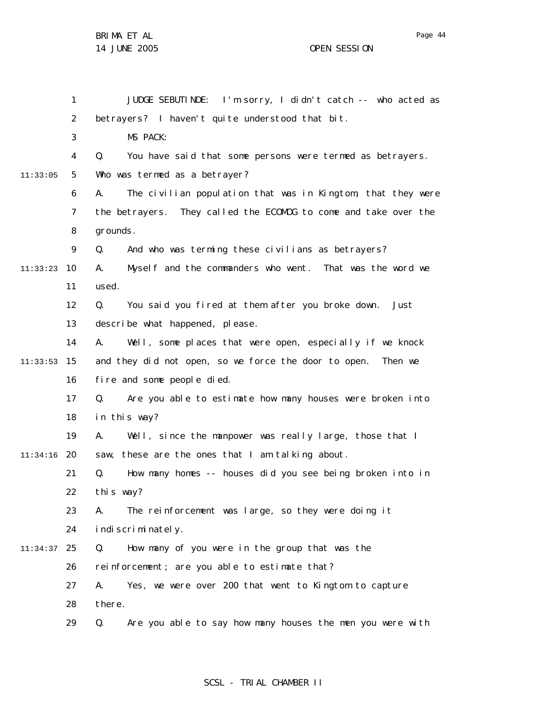1 2 3 4 5 6 7 8 9 10 11:33:23 11 12 13 14 15 11:33:53 16 17 18 19 20 11:34:16 21 22 23 24 25 11:34:37 26 27 28 29 11:33:05 JUDGE SEBUTINDE: I'm sorry, I didn't catch -- who acted as betrayers? I haven't quite understood that bit. MS PACK: Q. You have said that some persons were termed as betrayers. Who was termed as a betrayer? A. The civilian population that was in Kingtom, that they were the betrayers. They called the ECOMOG to come and take over the grounds. Q. And who was terming these civilians as betrayers? A. Myself and the commanders who went. That was the word we used. Q. You said you fired at them after you broke down. Just describe what happened, please. A. Well, some places that were open, especially if we knock and they did not open, so we force the door to open. Then we fire and some people died. Q. Are you able to estimate how many houses were broken into in this way? A. Well, since the manpower was really large, those that I saw, these are the ones that I am talking about. Q. How many homes -- houses did you see being broken into in this way? A. The reinforcement was large, so they were doing it indiscriminately. Q. How many of you were in the group that was the reinforcement; are you able to estimate that? A. Yes, we were over 200 that went to Kingtom to capture there. Q. Are you able to say how many houses the men you were with

### SCSL - TRIAL CHAMBER II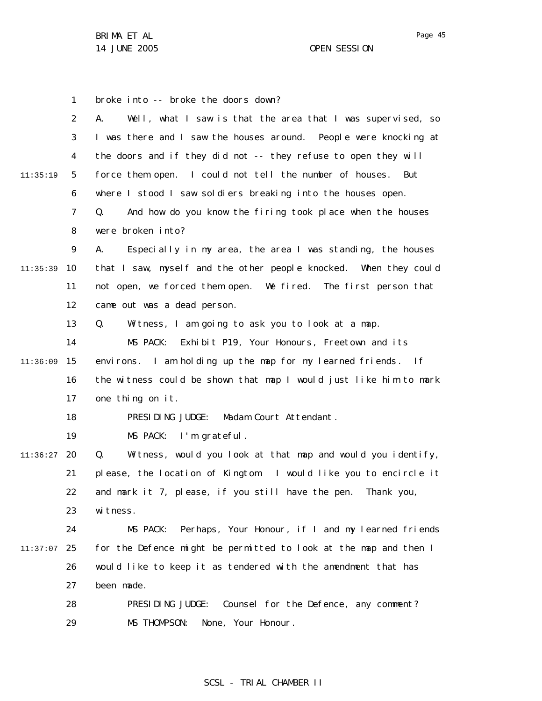1 2 3 4 5 6 7 8 9 10 11:35:39 11 12 13 14 15 11:36:09 16 17 18 19 20 11:36:27 21 22 23 24 25 11:37:07 26 27 28 29 11:35:19 broke into -- broke the doors down? A. Well, what I saw is that the area that I was supervised, so I was there and I saw the houses around. People were knocking at the doors and if they did not -- they refuse to open they will force them open. I could not tell the number of houses. But where I stood I saw soldiers breaking into the houses open. Q. And how do you know the firing took place when the houses were broken into? A. Especially in my area, the area I was standing, the houses that I saw, myself and the other people knocked. When they could not open, we forced them open. We fired. The first person that came out was a dead person. Q. Witness, I am going to ask you to look at a map. MS PACK: Exhibit P19, Your Honours, Freetown and its environs. I am holding up the map for my learned friends. If the witness could be shown that map I would just like him to mark one thing on it. PRESIDING JUDGE: Madam Court Attendant . MS PACK: I'm grateful. Q. Witness, would you look at that map and would you identify, please, the location of Kingtom. I would like you to encircle it and mark it 7, please, if you still have the pen. Thank you, witness. MS PACK: Perhaps, Your Honour, if I and my learned friends for the Defence might be permitted to look at the map and then I would like to keep it as tendered with the amendment that has been made. PRESIDING JUDGE: Counsel for the Defence, any comment? MS THOMPSON: None, Your Honour.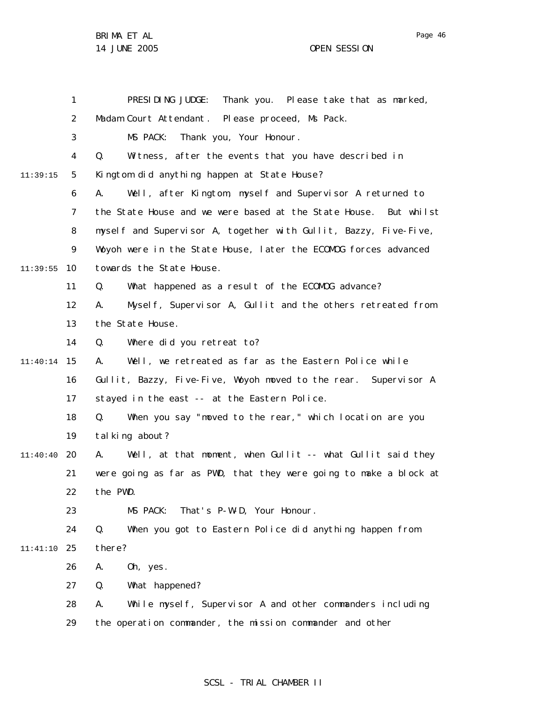|          | $\mathbf{1}$   | PRESIDING JUDGE: Thank you. Please take that as marked,           |
|----------|----------------|-------------------------------------------------------------------|
|          | $\overline{2}$ | Madam Court Attendant. Please proceed, Ms Pack.                   |
|          | 3              | MS PACK: Thank you, Your Honour.                                  |
|          | 4              | Witness, after the events that you have described in<br>Q.        |
| 11:39:15 | 5              | Kingtom did anything happen at State House?                       |
|          | 6              | Well, after Kingtom, myself and Supervisor A returned to<br>А.    |
|          | 7              | the State House and we were based at the State House. But whilst  |
|          | 8              | myself and Supervisor A, together with Gullit, Bazzy, Five-Five,  |
|          | 9              | Woyoh were in the State House, later the ECOMOG forces advanced   |
| 11:39:55 | 10             | towards the State House.                                          |
|          | 11             | What happened as a result of the ECOMOG advance?<br>Q.            |
|          | 12             | Myself, Supervisor A, Gullit and the others retreated from<br>А.  |
|          | 13             | the State House.                                                  |
|          | 14             | Where did you retreat to?<br>Q.                                   |
| 11:40:14 | 15             | Well, we retreated as far as the Eastern Police while<br>А.       |
|          | 16             | Gullit, Bazzy, Five-Five, Woyoh moved to the rear. Supervisor A   |
|          | 17             | stayed in the east -- at the Eastern Police.                      |
|          | 18             | When you say "moved to the rear," which location are you<br>Q.    |
|          | 19             | tal king about?                                                   |
| 11:40:40 | 20             | Well, at that moment, when Gullit -- what Gullit said they<br>А.  |
|          | 21             | were going as far as PWD, that they were going to make a block at |
|          | 22             | the PWD.                                                          |
|          | 23             | MS PACK:<br>That's P-W-D, Your Honour.                            |
|          | 24             | Q.<br>When you got to Eastern Police did anything happen from     |
| 11:41:10 | 25             | there?                                                            |
|          | 26             | Oh, yes.<br>Α.                                                    |
|          | 27             | Q.<br>What happened?                                              |
|          | 28             | While myself, Supervisor A and other commanders including<br>А.   |
|          | 29             | the operation commander, the mission commander and other          |

## SCSL - TRIAL CHAMBER II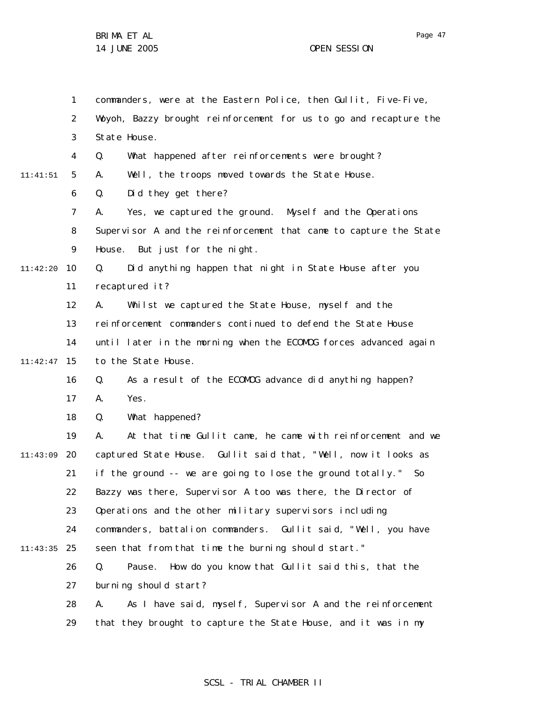1 2 3 4 5 6 7 8 9 10 11:42:20 11 12 13 14 15 11:42:47 16 17 18 19 20 11:43:09 21 22 23 24 25 11:43:35 26 27 28 29 11:41:51 commanders, were at the Eastern Police, then Gullit, Five-Five, Woyoh, Bazzy brought reinforcement for us to go and recapture the State House. Q. What happened after reinforcements were brought? A. Well, the troops moved towards the State House. Q. Did they get there? A. Yes, we captured the ground. Myself and the Operations Supervisor A and the reinforcement that came to capture the State House. But just for the night. Q. Did anything happen that night in State House after you recaptured it? A. Whilst we captured the State House, myself and the reinforcement commanders continued to defend the State House until later in the morning when the ECOMOG forces advanced again to the State House. Q. As a result of the ECOMOG advance did anything happen? A. Yes. Q. What happened? A. At that time Gullit came, he came with reinforcement and we captured State House. Gullit said that, "Well, now it looks as if the ground  $-$ - we are going to lose the ground totally." So Bazzy was there, Supervisor A too was there, the Director of Operations and the other military supervisors including commanders, battalion commanders. Gullit said, "Well, you have seen that from that time the burning should start." Q. Pause. How do you know that Gullit said this, that the burning should start? A. As I have said, myself, Supervisor A and the reinforcement that they brought to capture the State House, and it was in my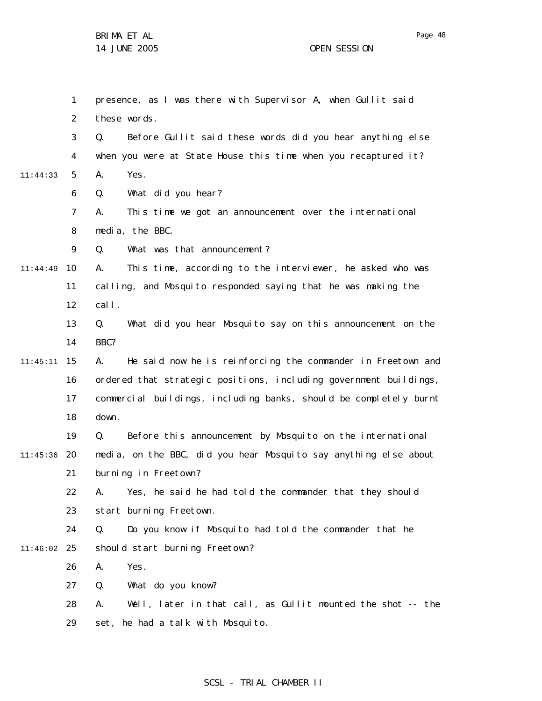|          | 1              | presence, as I was there with Supervisor A, when Gullit said      |
|----------|----------------|-------------------------------------------------------------------|
|          | $\overline{2}$ | these words.                                                      |
|          | 3              | Before Gullit said these words did you hear anything else<br>Q.   |
|          | 4              | when you were at State House this time when you recaptured it?    |
| 11:44:33 | 5              | Yes.<br>А.                                                        |
|          | 6              | What did you hear?<br>Q.                                          |
|          | $\overline{7}$ | This time we got an announcement over the international<br>А.     |
|          | 8              | media, the BBC.                                                   |
|          | 9              | What was that announcement?<br>Q.                                 |
| 11:44:49 | 10             | This time, according to the interviewer, he asked who was<br>А.   |
|          | 11             | calling, and Mosquito responded saying that he was making the     |
|          | 12             | cal I.                                                            |
|          | 13             | What did you hear Mosquito say on this announcement on the<br>Q.  |
|          | 14             | BBC?                                                              |
| 11:45:11 | 15             | He said now he is reinforcing the commander in Freetown and<br>А. |
|          | 16             | ordered that strategic positions, including government buildings, |
|          | 17             | commercial buildings, including banks, should be completely burnt |
|          | 18             | down.                                                             |
|          | 19             | Before this announcement by Mosquito on the international<br>Q.   |
| 11:45:36 | -20            | media, on the BBC, did you hear Mosquito say anything else about  |
|          | 21             | burning in Freetown?                                              |
|          | 22             | Yes, he said he had told the commander that they should<br>Α.     |
|          | 23             | start burning Freetown.                                           |
|          | 24             | Do you know if Mosquito had told the commander that he<br>Q.      |
| 11:46:02 | 25             | should start burning Freetown?                                    |
|          | 26             | Yes.<br>Α.                                                        |
|          | 27             | Q.<br>What do you know?                                           |
|          | 28             | Well, later in that call, as Gullit mounted the shot -- the<br>А. |
|          | 29             | set, he had a talk with Mosquito.                                 |

# SCSL - TRIAL CHAMBER II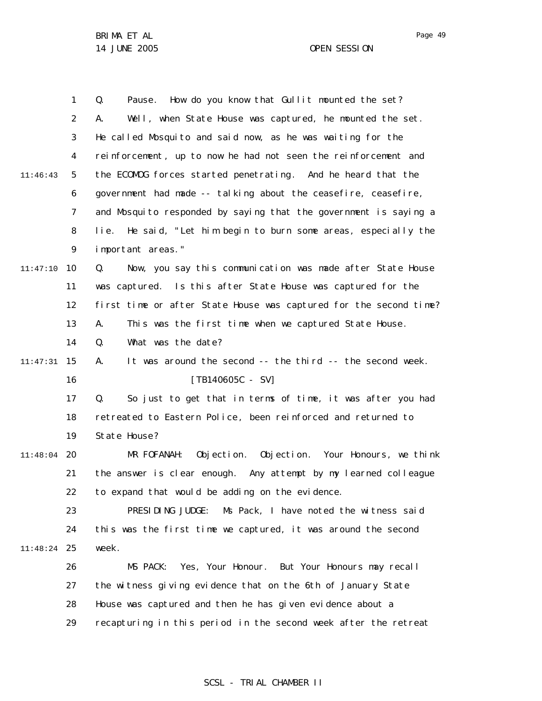|          | 1              | How do you know that Gullit mounted the set?<br>Q.<br>Pause.       |
|----------|----------------|--------------------------------------------------------------------|
|          | $\overline{2}$ | Well, when State House was captured, he mounted the set.<br>А.     |
|          | 3              | He called Mosquito and said now, as he was waiting for the         |
|          | 4              | reinforcement, up to now he had not seen the reinforcement and     |
| 11:46:43 | 5              | the ECOMOG forces started penetrating. And he heard that the       |
|          | 6              | government had made -- talking about the ceasefire, ceasefire,     |
|          | $\overline{7}$ | and Mosquito responded by saying that the government is saying a   |
|          | 8              | He said, "Let him begin to burn some areas, especially the<br>lie. |
|          | 9              | important areas."                                                  |
| 11:47:10 | 10             | Now, you say this communication was made after State House<br>Q.   |
|          | 11             | was captured. Is this after State House was captured for the       |
|          | 12             | first time or after State House was captured for the second time?  |
|          | 13             | This was the first time when we captured State House.<br>А.        |
|          | 14             | What was the date?<br>Q.                                           |
| 11:47:31 | 15             | It was around the second -- the third -- the second week.<br>А.    |
|          | 16             | $[TB140605C - SV]$                                                 |
|          | 17             | So just to get that in terms of time, it was after you had<br>Q.   |
|          | 18             | retreated to Eastern Police, been reinforced and returned to       |
|          | 19             | State House?                                                       |
| 11:48:04 | 20             | Objection. Objection. Your Honours, we think<br>MR FOFANAH:        |
|          | 21             | the answer is clear enough. Any attempt by my learned colleague    |
|          | 22             | to expand that would be adding on the evidence.                    |
|          | 23             | Ms Pack, I have noted the witness said<br>PRESIDING JUDGE:         |
|          | 24             | this was the first time we captured, it was around the second      |
| 11:48:24 | -25            | week.                                                              |
|          | 26             | Yes, Your Honour. But Your Honours may recall<br>MS PACK:          |
|          | 27             | the witness giving evidence that on the 6th of January State       |
|          | 28             | House was captured and then he has given evidence about a          |
|          | 29             | recapturing in this period in the second week after the retreat    |
|          |                |                                                                    |

## SCSL - TRIAL CHAMBER II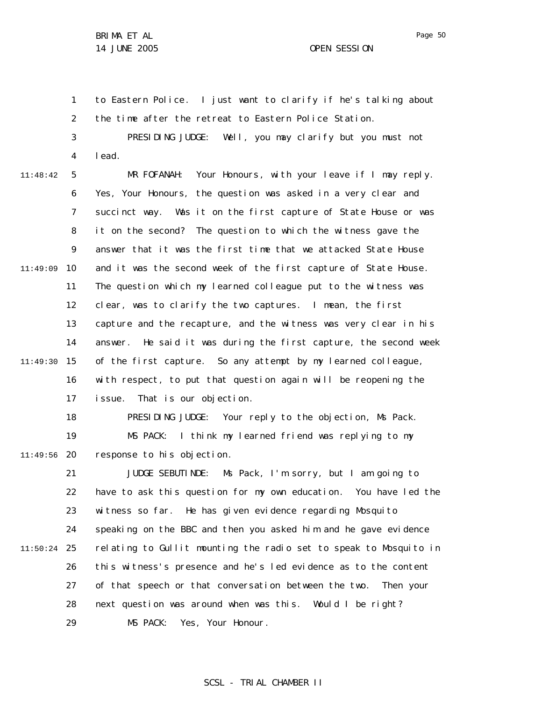1 2 3 to Eastern Police. I just want to clarify if he's talking about the time after the retreat to Eastern Police Station. PRESIDING JUDGE: Well, you may clarify but you must not

4

lead.

5 6 7 8 9 10 11:49:09 11 12 13 14 15 11:49:30 16 17 11:48:42 MR FOFANAH: Your Honours, with your leave if I may reply. Yes, Your Honours, the question was asked in a very clear and succinct way. Was it on the first capture of State House or was it on the second? The question to which the witness gave the answer that it was the first time that we attacked State House and it was the second week of the first capture of State House. The question which my learned colleague put to the witness was clear, was to clarify the two captures. I mean, the first capture and the recapture, and the witness was very clear in his answer. He said it was during the first capture, the second week of the first capture. So any attempt by my learned colleague, with respect, to put that question again will be reopening the issue. That is our objection.

18 19 20 11:49:56 PRESIDING JUDGE: Your reply to the objection, Ms Pack. MS PACK: I think my learned friend was replying to my response to his objection.

21 22 23 24 25 11:50:24 26 27 28 29 JUDGE SEBUTINDE: Ms Pack, I'm sorry, but I am going to have to ask this question for my own education. You have led the witness so far. He has given evidence regarding Mosquito speaking on the BBC and then you asked him and he gave evidence relating to Gullit mounting the radio set to speak to Mosquito in this witness's presence and he's led evidence as to the content of that speech or that conversation between the two. Then your next question was around when was this. Would I be right? MS PACK: Yes, Your Honour.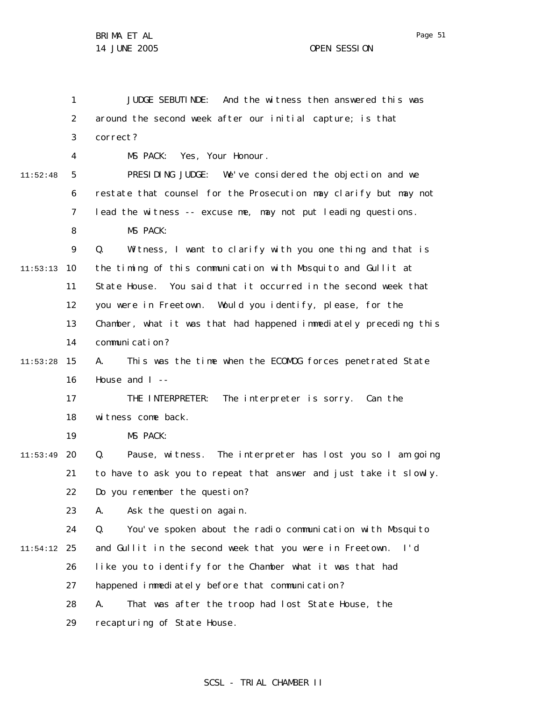|          | 1  | JUDGE SEBUTI NDE:<br>And the witness then answered this was       |
|----------|----|-------------------------------------------------------------------|
|          | 2  | around the second week after our initial capture; is that         |
|          | 3  | correct?                                                          |
|          | 4  | MS PACK: Yes, Your Honour.                                        |
| 11:52:48 | 5  | PRESIDING JUDGE: We've considered the objection and we            |
|          | 6  | restate that counsel for the Prosecution may clarify but may not  |
|          | 7  | lead the witness -- excuse me, may not put leading questions.     |
|          | 8  | MS PACK:                                                          |
|          | 9  | Witness, I want to clarify with you one thing and that is<br>Q.   |
| 11:53:13 | 10 | the timing of this communication with Mosquito and Gullit at      |
|          | 11 | State House. You said that it occurred in the second week that    |
|          | 12 | you were in Freetown. Would you identify, please, for the         |
|          | 13 | Chamber, what it was that had happened immediately preceding this |
|          | 14 | communication?                                                    |
| 11:53:28 | 15 | This was the time when the ECOMOG forces penetrated State<br>А.   |
|          | 16 | House and $I$ --                                                  |
|          | 17 | THE INTERPRETER:<br>The interpreter is sorry. Can the             |
|          | 18 | witness come back.                                                |
|          | 19 | MS PACK:                                                          |
| 11:53:49 | 20 | Pause, witness. The interpreter has lost you so I am going<br>Q.  |
|          | 21 | to have to ask you to repeat that answer and just take it slowly. |
|          | 22 | Do you remember the question?                                     |
|          | 23 | Ask the question again.<br>А.                                     |
|          | 24 | You've spoken about the radio communication with Mosquito<br>Q.   |
| 11:54:12 | 25 | and Gullit in the second week that you were in Freetown. I'd      |
|          | 26 | like you to identify for the Chamber what it was that had         |
|          | 27 | happened immediately before that communication?                   |
|          | 28 | That was after the troop had lost State House, the<br>А.          |
|          | 29 | recapturing of State House.                                       |

# SCSL - TRIAL CHAMBER II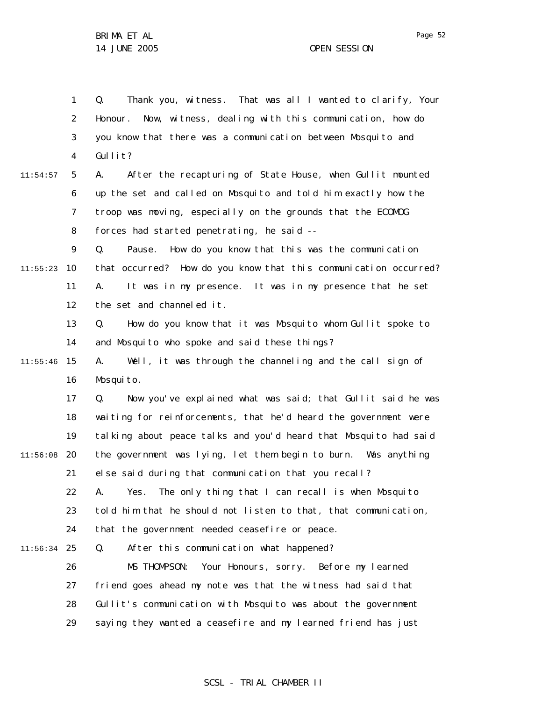Page 52

1 2 3 4 5 6 7 8 9 10 11:55:23 11 12 13 14 15 11:55:46 16 17 18 19 20 11:56:08 21 22 23 24 25 11:56:34 26 27 28 29 11:54:57 Q. Thank you, witness. That was all I wanted to clarify, Your Honour. Now, witness, dealing with this communication, how do you know that there was a communication between Mosquito and Gullit? A. After the recapturing of State House, when Gullit mounted up the set and called on Mosquito and told him exactly how the troop was moving, especially on the grounds that the ECOMOG forces had started penetrating, he said -- Q. Pause. How do you know that this was the communication that occurred? How do you know that this communication occurred? A. It was in my presence. It was in my presence that he set the set and channeled it. Q. How do you know that it was Mosquito whom Gullit spoke to and Mosquito who spoke and said these things? A. Well, it was through the channeling and the call sign of Mosquito. Q. Now you've explained what was said; that Gullit said he was waiting for reinforcements, that he'd heard the government were talking about peace talks and you'd heard that Mosquito had said the government was lying, let them begin to burn. Was anything else said during that communication that you recall? A. Yes. The only thing that I can recall is when Mosquito told him that he should not listen to that, that communication, that the government needed ceasefire or peace. Q. After this communication what happened? MS THOMPSON: Your Honours, sorry. Before my learned friend goes ahead my note was that the witness had said that Gullit's communication with Mosquito was about the government saying they wanted a ceasefire and my learned friend has just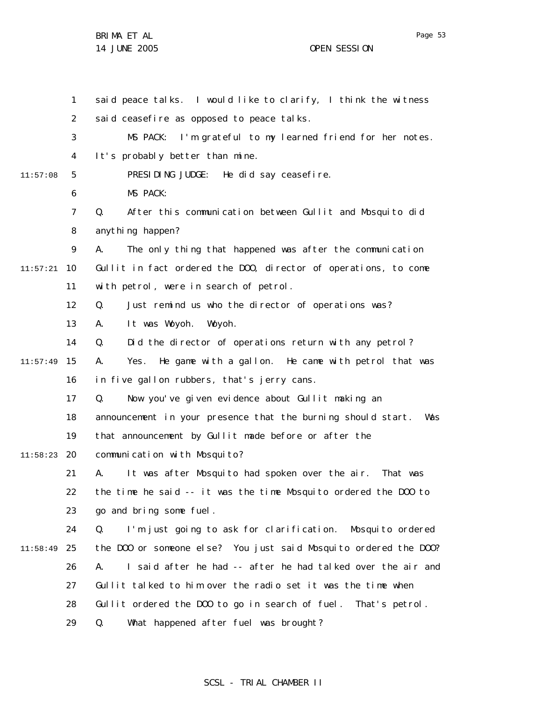1 2 3 4 5 6 7 8 9 10 11:57:21 11 12 13 14 15 11:57:49 16 17 18 19 20 11:58:23 21 22 23 24 25 11:58:49 26 27 28 29 11:57:08 said peace talks. I would like to clarify, I think the witness said ceasefire as opposed to peace talks. MS PACK: I'm grateful to my learned friend for her notes. It's probably better than mine. PRESIDING JUDGE: He did say ceasefire. MS PACK: Q. After this communication between Gullit and Mosquito did anything happen? A. The only thing that happened was after the communication Gullit in fact ordered the DOO, director of operations, to come with petrol, were in search of petrol. Q. Just remind us who the director of operations was? A. It was Woyoh. Woyoh. Q. Did the director of operations return with any petrol? A. Yes. He game with a gallon. He came with petrol that was in five gallon rubbers, that's jerry cans. Q. Now you've given evidence about Gullit making an announcement in your presence that the burning should start. Was that announcement by Gullit made before or after the communication with Mosquito? A. It was after Mosquito had spoken over the air. That was the time he said -- it was the time Mosquito ordered the DOO to go and bring some fuel. Q. I'm just going to ask for clarification. Mosquito ordered the DOO or someone else? You just said Mosquito ordered the DOO? A. I said after he had -- after he had talked over the air and Gullit talked to him over the radio set it was the time when Gullit ordered the DOO to go in search of fuel. That's petrol. Q. What happened after fuel was brought?

#### SCSL - TRIAL CHAMBER II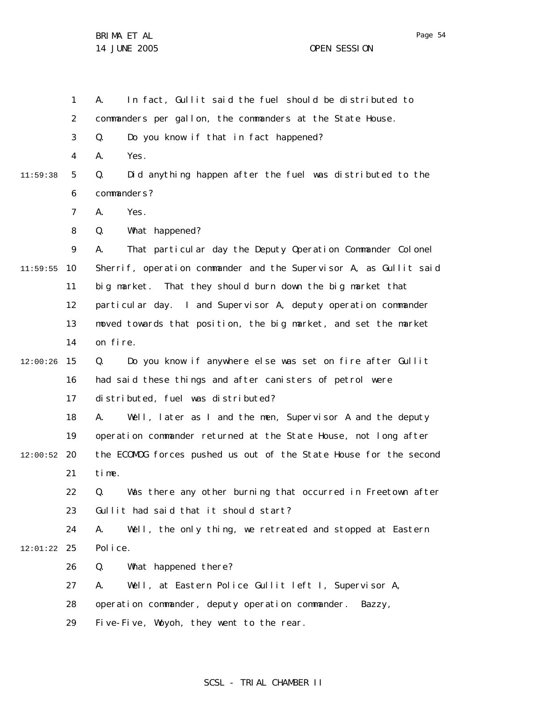1 2 3 4 5 6 7 8 9 10 11:59:55 11 12 13 14 15 12:00:26 16 17 18 19 20 12:00:52 21 22 23 24 25 12:01:22 26 27 28 29 11:59:38 A. In fact, Gullit said the fuel should be distributed to commanders per gallon, the commanders at the State House. Q. Do you know if that in fact happened? A. Yes. Q. Did anything happen after the fuel was distributed to the commanders? A. Yes. Q. What happened? A. That particular day the Deputy Operation Commander Colonel Sherrif, operation commander and the Supervisor A, as Gullit said big market. That they should burn down the big market that particular day. I and Supervisor A, deputy operation commander moved towards that position, the big market, and set the market on fire. Q. Do you know if anywhere else was set on fire after Gullit had said these things and after canisters of petrol were distributed, fuel was distributed? A. Well, later as I and the men, Supervisor A and the deputy operation commander returned at the State House, not long after the ECOMOG forces pushed us out of the State House for the second time. Q. Was there any other burning that occurred in Freetown after Gullit had said that it should start? A. Well, the only thing, we retreated and stopped at Eastern Police. Q. What happened there? A. Well, at Eastern Police Gullit left I, Supervisor A, operation commander, deputy operation commander. Bazzy, Five-Five, Woyoh, they went to the rear.

## SCSL - TRIAL CHAMBER II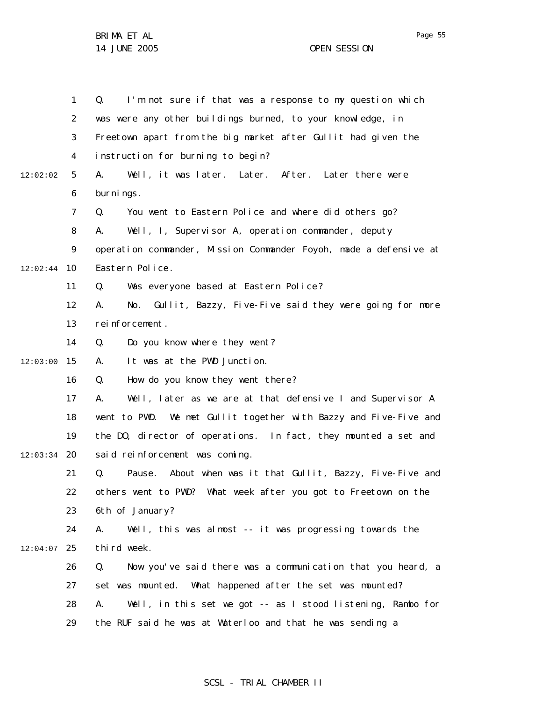Page 55

1 2 3 4 5 6 7 8 9 10 12:02:44 11 12 13 14 15 12:03:00 16 17 18 19 20 12:03:34 21 22 23 24 25 12:04:07 26 27 28 29 12:02:02 Q. I'm not sure if that was a response to my question which was were any other buildings burned, to your knowledge, in Freetown apart from the big market after Gullit had given the instruction for burning to begin? A. Well, it was later. Later. After. Later there were burnings. Q. You went to Eastern Police and where did others go? A. Well, I, Supervisor A, operation commander, deputy operation commander, Mission Commander Foyoh, made a defensive at Eastern Police. Q. Was everyone based at Eastern Police? A. No. Gullit, Bazzy, Five-Five said they were going for more reinforcement. Q. Do you know where they went? A. It was at the PWD Junction. Q. How do you know they went there? A. Well, later as we are at that defensive I and Supervisor A went to PWD. We met Gullit together with Bazzy and Five-Five and the DO, director of operations. In fact, they mounted a set and said reinforcement was coming. Q. Pause. About when was it that Gullit, Bazzy, Five-Five and others went to PWD? What week after you got to Freetown on the 6th of January? A. Well, this was almost -- it was progressing towards the third week. Q. Now you've said there was a communication that you heard, a set was mounted. What happened after the set was mounted? A. Well, in this set we got -- as I stood listening, Rambo for the RUF said he was at Waterloo and that he was sending a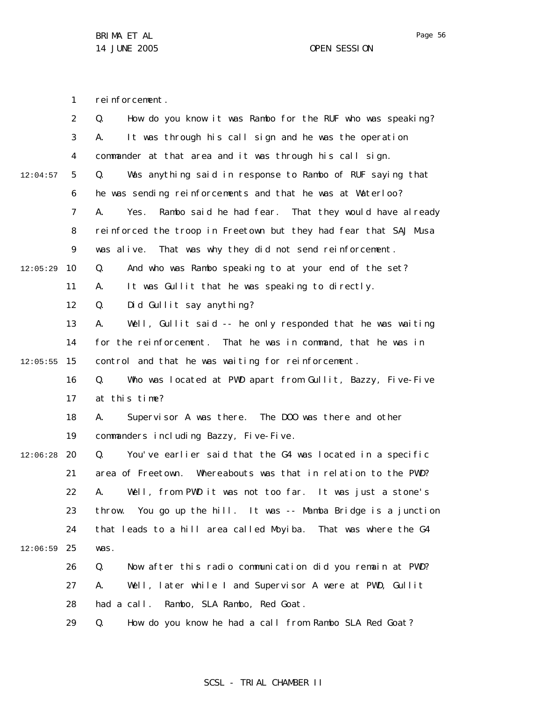1 reinforcement.

|          | $\overline{2}$ | How do you know it was Rambo for the RUF who was speaking?<br>Q.   |
|----------|----------------|--------------------------------------------------------------------|
|          | 3              | It was through his call sign and he was the operation<br>А.        |
|          | $\overline{4}$ | commander at that area and it was through his call sign.           |
| 12:04:57 | 5              | Was anything said in response to Rambo of RUF saying that<br>Q.    |
|          | 6              | he was sending reinforcements and that he was at Waterloo?         |
|          | 7              | Rambo said he had fear. That they would have already<br>А.<br>Yes. |
|          | 8              | reinforced the troop in Freetown but they had fear that SAJ Musa   |
|          | 9              | That was why they did not send reinforcement.<br>was alive.        |
| 12:05:29 | 10             | And who was Rambo speaking to at your end of the set?<br>Q.        |
|          | 11             | It was Gullit that he was speaking to directly.<br>А.              |
|          | 12             | Did Gullit say anything?<br>Q.                                     |
|          | 13             | Well, Gullit said -- he only responded that he was waiting<br>А.   |
|          | 14             | for the reinforcement. That he was in command, that he was in      |
| 12:05:55 | 15             | control and that he was waiting for reinforcement.                 |
|          | 16             | Who was located at PWD apart from Gullit, Bazzy, Five-Five<br>Q.   |
|          | 17             | at this time?                                                      |
|          | 18             | Supervisor A was there. The DOO was there and other<br>А.          |
|          | 19             | commanders including Bazzy, Five-Five.                             |
| 12:06:28 | 20             | You've earlier said that the G4 was located in a specific<br>Q.    |
|          | 21             | area of Freetown. Whereabouts was that in relation to the PWD?     |
|          | 22             | Well, from PWD it was not too far. It was just a stone's<br>А.     |
|          | 23             | throw. You go up the hill. It was -- Mamba Bridge is a junction    |
|          | 24             | that leads to a hill area called Moyiba. That was where the G4     |
| 12:06:59 | 25             | was.                                                               |
|          | 26             | Now after this radio communication did you remain at PWD?<br>Q.    |
|          | 27             | Well, later while I and Supervisor A were at PWD, Gullit<br>Α.     |
|          | 28             | had a call. Rambo, SLA Rambo, Red Goat.                            |
|          | 29             | Q.<br>How do you know he had a call from Rambo SLA Red Goat?       |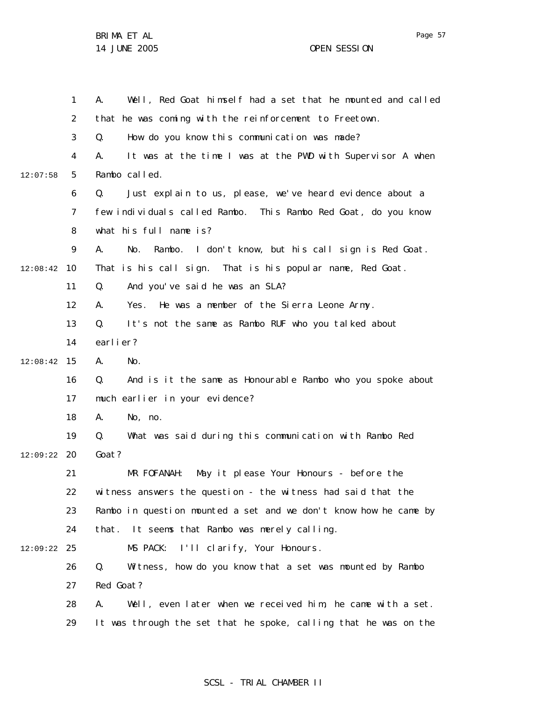|          | 1              | Well, Red Goat himself had a set that he mounted and called<br>Α. |
|----------|----------------|-------------------------------------------------------------------|
|          | 2              | that he was coming with the reinforcement to Freetown.            |
|          | 3              | How do you know this communication was made?<br>Q.                |
|          | 4              | It was at the time I was at the PWD with Supervisor A when<br>А.  |
| 12:07:58 | 5              | Rambo called.                                                     |
|          | 6              | Just explain to us, please, we've heard evidence about a<br>Q.    |
|          | $\overline{7}$ | few individuals called Rambo. This Rambo Red Goat, do you know    |
|          | 8              | what his full name is?                                            |
|          | 9              | Rambo. I don't know, but his call sign is Red Goat.<br>А.<br>No.  |
| 12:08:42 | 10             | That is his call sign. That is his popular name, Red Goat.        |
|          | 11             | And you've said he was an SLA?<br>Q.                              |
|          | 12             | He was a member of the Sierra Leone Army.<br>А.<br>Yes.           |
|          | 13             | It's not the same as Rambo RUF who you talked about<br>Q.         |
|          | 14             | earlier?                                                          |
| 12:08:42 | 15             | А.<br>No.                                                         |
|          | 16             | Q.<br>And is it the same as Honourable Rambo who you spoke about  |
|          | 17             | much earlier in your evidence?                                    |
|          | 18             | А.<br>No, no.                                                     |
|          | 19             | What was said during this communication with Rambo Red<br>Q.      |
| 12:09:22 | 20             | Goat?                                                             |
|          | 21             | May it please Your Honours - before the<br>MR FOFANAH:            |
|          | 22             | witness answers the question - the witness had said that the      |
|          | 23             | Rambo in question mounted a set and we don't know how he came by  |
|          | 24             | that. It seems that Rambo was merely calling.                     |
| 12:09:22 | 25             | MS PACK:<br>I'll clarify, Your Honours.                           |
|          | 26             | Witness, how do you know that a set was mounted by Rambo<br>Q.    |
|          | 27             | Red Goat?                                                         |
|          | 28             | Well, even later when we received him, he came with a set.<br>А.  |
|          | 29             | It was through the set that he spoke, calling that he was on the  |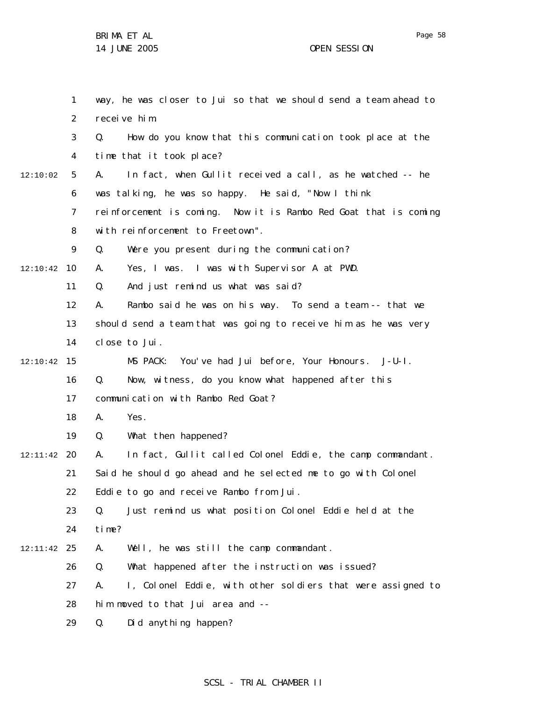1 2 3 4 5 6 7 8 9 10 12:10:42 11 12 13 14 15 12:10:42 16 17 18 19 20 12:11:42 21 22 23 24 25 12:11:42 26 27 28 29 12:10:02 way, he was closer to Jui so that we should send a team ahead to receive him. Q. How do you know that this communication took place at the time that it took place? A. In fact, when Gullit received a call, as he watched -- he was talking, he was so happy. He said, "Now I think reinforcement is coming. Now it is Rambo Red Goat that is coming with reinforcement to Freetown". Q. Were you present during the communication? A. Yes, I was. I was with Supervisor A at PWD. Q. And just remind us what was said? A. Rambo said he was on his way. To send a team -- that we should send a team that was going to receive him as he was very close to Jui. MS PACK: You've had Jui before, Your Honours. J-U-I. Q. Now, witness, do you know what happened after this communication with Rambo Red Goat? A. Yes. Q. What then happened? A. In fact, Gullit called Colonel Eddie, the camp commandant. Said he should go ahead and he selected me to go with Colonel Eddie to go and receive Rambo from Jui. Q. Just remind us what position Colonel Eddie held at the time? A. Well, he was still the camp commandant. Q. What happened after the instruction was issued? A. I, Colonel Eddie, with other soldiers that were assigned to him moved to that Jui area and -- Q. Did anything happen?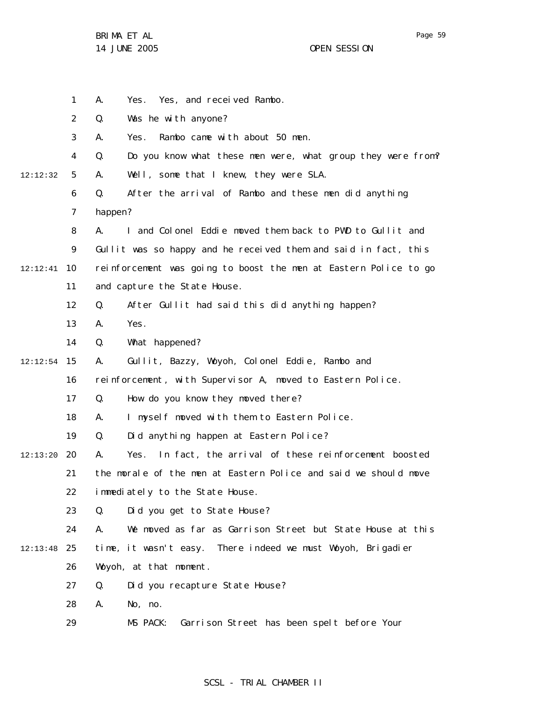Page 59

|          | $\mathbf{1}$      | А.      | Yes, and received Rambo.<br>Yes.                                 |
|----------|-------------------|---------|------------------------------------------------------------------|
|          | 2                 | Q.      | Was he with anyone?                                              |
|          | 3                 | А.      | Rambo came with about 50 men.<br>Yes.                            |
|          | $\overline{4}$    | Q.      | Do you know what these men were, what group they were from?      |
| 12:12:32 | 5                 | Α.      | Well, some that I knew, they were SLA.                           |
|          | 6                 | Q.      | After the arrival of Rambo and these men did anything            |
|          | 7                 | happen? |                                                                  |
|          | 8                 | А.      | I and Colonel Eddie moved them back to PWD to Gullit and         |
|          | 9                 |         | Gullit was so happy and he received them and said in fact, this  |
| 12:12:41 | 10                |         | reinforcement was going to boost the men at Eastern Police to go |
|          | 11                |         | and capture the State House.                                     |
|          | $12 \overline{ }$ | Q.      | After Gullit had said this did anything happen?                  |
|          | 13                | А.      | Yes.                                                             |
|          | 14                | Q.      | What happened?                                                   |
| 12:12:54 | 15                | А.      | Gullit, Bazzy, Woyoh, Colonel Eddie, Rambo and                   |
|          | 16                |         | reinforcement, with Supervisor A, moved to Eastern Police.       |
|          | 17                | Q.      | How do you know they moved there?                                |
|          | 18                | А.      | I myself moved with them to Eastern Police.                      |
|          | 19                | Q.      | Did anything happen at Eastern Police?                           |
| 12:13:20 | 20                | А.      | In fact, the arrival of these reinforcement boosted<br>Yes.      |
|          | 21                |         | the morale of the men at Eastern Police and said we should move  |
|          | 22                |         | immediately to the State House.                                  |
|          | 23                | Q.      | Did you get to State House?                                      |
|          | 24                | А.      | We moved as far as Garrison Street but State House at this       |
| 12:13:48 | 25                |         | time, it wasn't easy. There indeed we must Woyoh, Brigadier      |
|          | 26                |         | Woyoh, at that moment.                                           |
|          | 27                | Q.      | Did you recapture State House?                                   |
|          | 28                | А.      | No, no.                                                          |
|          | 29                |         | Garrison Street has been spelt before Your<br>MS PACK:           |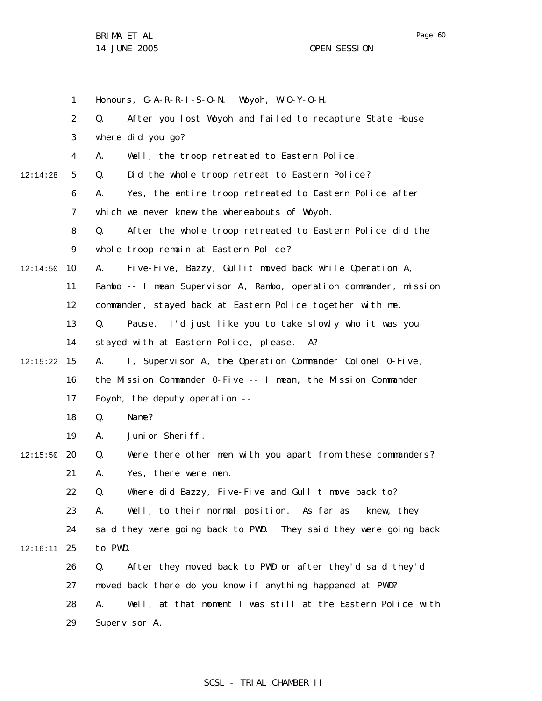Page 60

1 2 3 4 5 6 7 8 9 10 11 12 13 14 15 12:15:22 16 17 18 19 20 12:15:50 21 22 23 24 25 12:16:11 26 27 28 29 12:14:28 12:14:50 Honours, G-A-R-R-I-S-O-N. Woyoh, W-O-Y-O-H. Q. After you lost Woyoh and failed to recapture State House where did you go? A. Well, the troop retreated to Eastern Police. Q. Did the whole troop retreat to Eastern Police? A. Yes, the entire troop retreated to Eastern Police after which we never knew the whereabouts of Woyoh. Q. After the whole troop retreated to Eastern Police did the whole troop remain at Eastern Police? A. Five-Five, Bazzy, Gullit moved back while Operation A, Rambo -- I mean Supervisor A, Rambo, operation commander, mission commander, stayed back at Eastern Police together with me. Q. Pause. I'd just like you to take slowly who it was you stayed with at Eastern Police, please. A? A. I, Supervisor A, the Operation Commander Colonel 0-Five, the Mission Commander 0-Five -- I mean, the Mission Commander Foyoh, the deputy operation -- Q. Name? A. Junior Sheriff. Q. Were there other men with you apart from these commanders? A. Yes, there were men. Q. Where did Bazzy, Five-Five and Gullit move back to? A. Well, to their normal position. As far as I knew, they said they were going back to PWD. They said they were going back to PWD. Q. After they moved back to PWD or after they'd said they'd moved back there do you know if anything happened at PWD? A. Well, at that moment I was still at the Eastern Police with Supervisor A.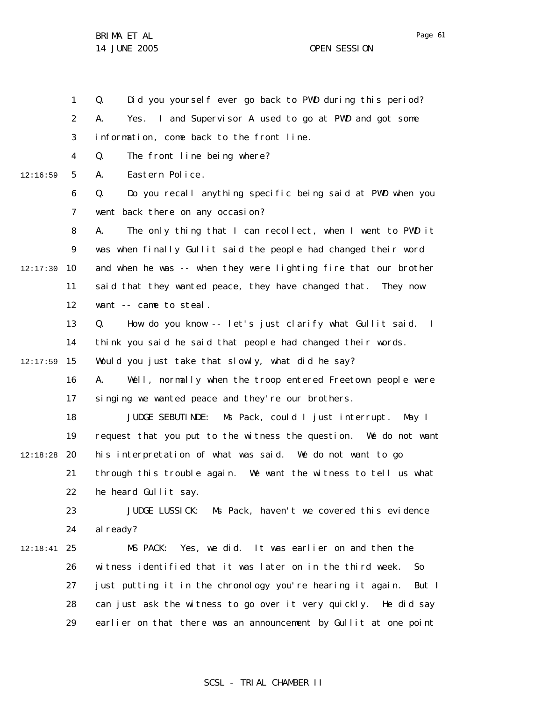1

2

3 4 5 6 7 8 9 10 12:17:30 11 12 13 14 12:16:59 information, come back to the front line. Q. The front line being where? A. Eastern Police. Q. Do you recall anything specific being said at PWD when you went back there on any occasion? A. The only thing that I can recollect, when I went to PWD it was when finally Gullit said the people had changed their word and when he was -- when they were lighting fire that our brother said that they wanted peace, they have changed that. They now want -- came to steal. Q. How do you know -- let's just clarify what Gullit said. I think you said he said that people had changed their words.

Q. Did you yourself ever go back to PWD during this period?

A. Yes. I and Supervisor A used to go at PWD and got some

15 12:17:59 Would you just take that slowly, what did he say?

> 16 17 A. Well, normally when the troop entered Freetown people were singing we wanted peace and they're our brothers.

18 19 20 12:18:28 21 22 JUDGE SEBUTINDE: Ms Pack, could I just interrupt. May I request that you put to the witness the question. We do not want his interpretation of what was said. We do not want to go through this trouble again. We want the witness to tell us what he heard Gullit say.

23 24 JUDGE LUSSICK: Ms Pack, haven't we covered this evidence al ready?

25 12:18:41 26 27 28 29 MS PACK: Yes, we did. It was earlier on and then the witness identified that it was later on in the third week. So just putting it in the chronology you're hearing it again. But I can just ask the witness to go over it very quickly. He did say earlier on that there was an announcement by Gullit at one point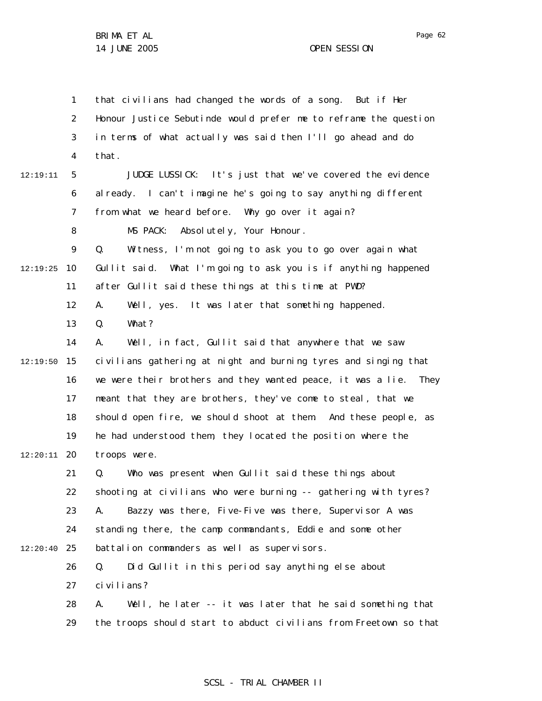1 2 3 4 5 6 7 8 9 10 12:19:25 11 12 13 14 15 12:19:50 16 17 18 19 20 12:20:11 21 22 23 24 25 12:20:40 26 27 28 29 12:19:11 that civilians had changed the words of a song. But if Her Honour Justice Sebutinde would prefer me to reframe the question in terms of what actually was said then I'll go ahead and do that. JUDGE LUSSICK: It's just that we've covered the evidence al ready. I can't imagine he's going to say anything different from what we heard before. Why go over it again? MS PACK: Absolutely, Your Honour. Q. Witness, I'm not going to ask you to go over again what Gullit said. What I'm going to ask you is if anything happened after Gullit said these things at this time at PWD? A. Well, yes. It was later that something happened. Q. What? A. Well, in fact, Gullit said that anywhere that we saw civilians gathering at night and burning tyres and singing that we were their brothers and they wanted peace, it was a lie. They meant that they are brothers, they've come to steal, that we should open fire, we should shoot at them. And these people, as he had understood them, they located the position where the troops were. Q. Who was present when Gullit said these things about shooting at civilians who were burning -- gathering with tyres? A. Bazzy was there, Five-Five was there, Supervisor A was standing there, the camp commandants, Eddie and some other battalion commanders as well as supervisors. Q. Did Gullit in this period say anything else about civilians? A. Well, he later -- it was later that he said something that the troops should start to abduct civilians from Freetown so that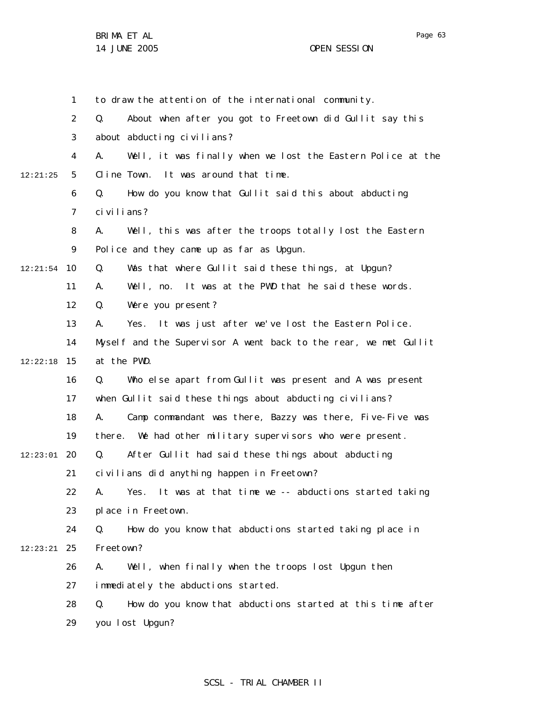BRIMA ET AL

1 2 3 4 5 6 7 8 9 10 12:21:54 11 12 13 14 15 12:22:18 16 17 18 19 20 12:23:01 21 22 23 24 25 12:23:21 26 27 28 29 12:21:25 to draw the attention of the international community. Q. About when after you got to Freetown did Gullit say this about abducting civilians? A. Well, it was finally when we lost the Eastern Police at the Cline Town. It was around that time. Q. How do you know that Gullit said this about abducting civilians? A. Well, this was after the troops totally lost the Eastern Police and they came up as far as Upgun. Q. Was that where Gullit said these things, at Upgun? A. Well, no. It was at the PWD that he said these words. Q. Were you present? A. Yes. It was just after we've lost the Eastern Police. Myself and the Supervisor A went back to the rear, we met Gullit at the PWD. Q. Who else apart from Gullit was present and A was present when Gullit said these things about abducting civilians? A. Camp commandant was there, Bazzy was there, Five-Five was there. We had other military supervisors who were present. Q. After Gullit had said these things about abducting civilians did anything happen in Freetown? A. Yes. It was at that time we -- abductions started taking place in Freetown. Q. How do you know that abductions started taking place in Freetown? A. Well, when finally when the troops lost Upgun then immediately the abductions started. Q. How do you know that abductions started at this time after you lost Upgun?

#### Page 63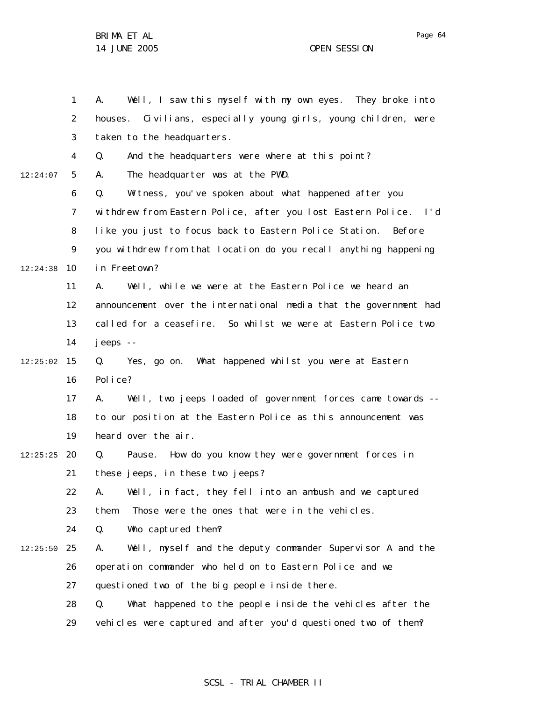Page 64

|          | 1              | Well, I saw this myself with my own eyes. They broke into<br>А.   |
|----------|----------------|-------------------------------------------------------------------|
|          | $\overline{a}$ | houses. Civilians, especially young girls, young children, were   |
|          | 3              | taken to the headquarters.                                        |
|          | 4              | And the headquarters were where at this point?<br>Q.              |
| 12:24:07 | 5              | The headquarter was at the PWD.<br>А.                             |
|          | 6              | Q.<br>Witness, you've spoken about what happened after you        |
|          | $\overline{7}$ | withdrew from Eastern Police, after you lost Eastern Police. I'd  |
|          | 8              | like you just to focus back to Eastern Police Station.<br>Before  |
|          | 9              | you withdrew from that location do you recall anything happening  |
| 12:24:38 | 10             | in Freetown?                                                      |
|          | 11             | Well, while we were at the Eastern Police we heard an<br>А.       |
|          | 12             | announcement over the international media that the government had |
|          | 13             | called for a ceasefire. So whilst we were at Eastern Police two   |
|          | 14             | jeeps --                                                          |
| 12:25:02 | 15             | Yes, go on. What happened whilst you were at Eastern<br>Q.        |
|          | 16             | Police?                                                           |
|          | 17             | Well, two jeeps loaded of government forces came towards --<br>А. |
|          | 18             | to our position at the Eastern Police as this announcement was    |
|          | 19             | heard over the air.                                               |
| 12:25:25 | 20             | How do you know they were government forces in<br>Q.<br>Pause.    |
|          | 21             | these jeeps, in these two jeeps?                                  |
|          | 22             | A. Well, in fact, they fell into an ambush and we captured        |
|          | 23             | Those were the ones that were in the vehicles.<br>them.           |
|          | 24             | Who captured them?<br>Q.                                          |
| 12:25:50 | 25             | Well, myself and the deputy commander Supervisor A and the<br>А.  |
|          | 26             | operation commander who held on to Eastern Police and we          |
|          | 27             | questioned two of the big people inside there.                    |
|          | 28             | What happened to the people inside the vehicles after the<br>Q.   |
|          | 29             | vehicles were captured and after you'd questioned two of them?    |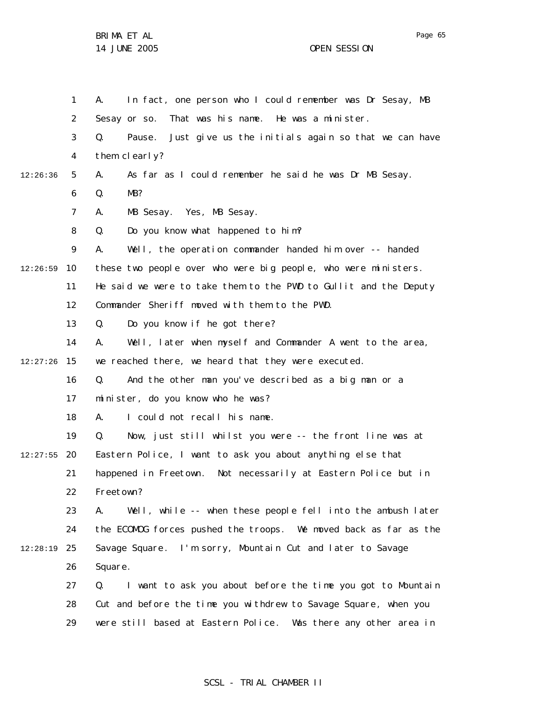|          |              | In fact, one person who I could remember was Dr Sesay, MB           |
|----------|--------------|---------------------------------------------------------------------|
|          | $\mathbf{1}$ | А.                                                                  |
|          | 2            | Sesay or so.<br>That was his name. He was a minister.               |
|          | 3            | Q.<br>Pause.<br>Just give us the initials again so that we can have |
|          | 4            | them clearly?                                                       |
| 12:26:36 | 5            | As far as I could remember he said he was Dr MB Sesay.<br>А.        |
|          | 6            | MB?<br>Q.                                                           |
|          | 7            | MB Sesay. Yes, MB Sesay.<br>А.                                      |
|          | 8            | Do you know what happened to him?<br>Q.                             |
|          | 9            | Well, the operation commander handed him over -- handed<br>А.       |
| 12:26:59 | 10           | these two people over who were big people, who were ministers.      |
|          | 11           | He said we were to take them to the PWD to Gullit and the Deputy    |
|          | 12           | Commander Sheriff moved with them to the PWD.                       |
|          | 13           | Do you know if he got there?<br>Q.                                  |
|          | 14           | Well, later when myself and Commander A went to the area,<br>А.     |
| 12:27:26 | 15           | we reached there, we heard that they were executed.                 |
|          | 16           | And the other man you've described as a big man or a<br>Q.          |
|          | 17           | minister, do you know who he was?                                   |
|          | 18           | I could not recall his name.<br>А.                                  |
|          | 19           | Now, just still whilst you were -- the front line was at<br>Q.      |
| 12:27:55 | 20           | Eastern Police, I want to ask you about anything else that          |
|          | 21           | happened in Freetown. Not necessarily at Eastern Police but in      |
|          | 22           | Freetown?                                                           |
|          | 23           | Well, while -- when these people fell into the ambush later<br>А.   |
|          | 24           | the ECOMOG forces pushed the troops. We moved back as far as the    |
| 12:28:19 | 25           | Savage Square. I'm sorry, Mountain Cut and later to Savage          |
|          | 26           | Square.                                                             |
|          | 27           | I want to ask you about before the time you got to Mountain<br>Q.   |
|          | 28           | Cut and before the time you withdrew to Savage Square, when you     |
|          | 29           | were still based at Eastern Police. Was there any other area in     |

# SCSL - TRIAL CHAMBER II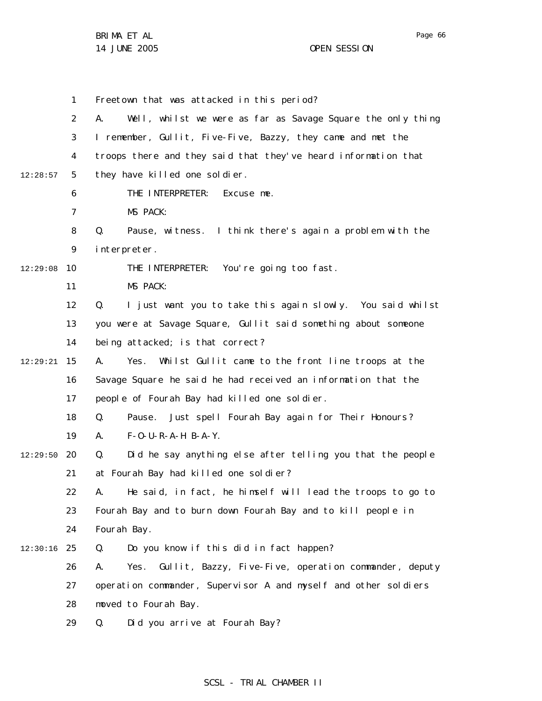Page 66

1 2 3 4 5 6 7 8 9 10 11 12 13 14 15 12:29:21 16 17 18 19 20 12:29:50 21 22 23 24 25 12:30:16 26 27 28 29 12:28:57 12:29:08 Freetown that was attacked in this period? A. Well, whilst we were as far as Savage Square the only thing I remember, Gullit, Five-Five, Bazzy, they came and met the troops there and they said that they've heard information that they have killed one soldier. THE INTERPRETER: Excuse me. MS PACK: Q. Pause, witness. I think there's again a problem with the interpreter. THE INTERPRETER: You're going too fast. MS PACK: Q. I just want you to take this again slowly. You said whilst you were at Savage Square, Gullit said something about someone being attacked; is that correct? A. Yes. Whilst Gullit came to the front line troops at the Savage Square he said he had received an information that the people of Fourah Bay had killed one soldier. Q. Pause. Just spell Fourah Bay again for Their Honours?  $A.$   $F-O-U-R-A-H$   $B-A-Y.$ Q. Did he say anything else after telling you that the people at Fourah Bay had killed one soldier? A. He said, in fact, he himself will lead the troops to go to Fourah Bay and to burn down Fourah Bay and to kill people in Fourah Bay. Q. Do you know if this did in fact happen? A. Yes. Gullit, Bazzy, Five-Five, operation commander, deputy operation commander, Supervisor A and myself and other soldiers moved to Fourah Bay. Q. Did you arrive at Fourah Bay?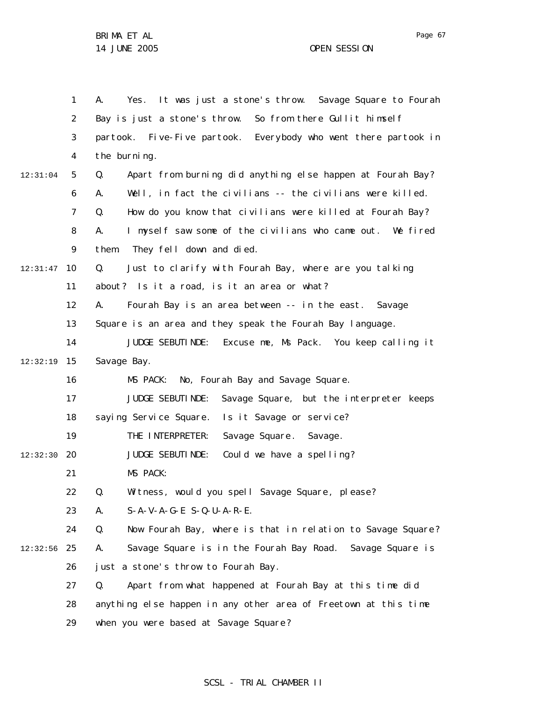|          | $\mathbf{1}$   | Yes. It was just a stone's throw. Savage Square to Fourah<br>А.   |
|----------|----------------|-------------------------------------------------------------------|
|          | $\overline{2}$ | Bay is just a stone's throw. So from there Gullit himself         |
|          | 3              | partook. Five-Five partook. Everybody who went there partook in   |
|          | 4              | the burning.                                                      |
| 12:31:04 | 5              | Apart from burning did anything else happen at Fourah Bay?<br>Q.  |
|          | 6              | Well, in fact the civilians -- the civilians were killed.<br>А.   |
|          | $\overline{7}$ | How do you know that civilians were killed at Fourah Bay?<br>Q.   |
|          | 8              | I myself saw some of the civilians who came out. We fired<br>А.   |
|          | 9              | They fell down and died.<br>them.                                 |
| 12:31:47 | 10             | Just to clarify with Fourah Bay, where are you talking<br>Q.      |
|          | 11             | about? Is it a road, is it an area or what?                       |
|          | 12             | Fourah Bay is an area between -- in the east. Savage<br>А.        |
|          | 13             | Square is an area and they speak the Fourah Bay language.         |
|          | 14             | JUDGE SEBUTI NDE:<br>Excuse me, Ms Pack. You keep calling it      |
| 12:32:19 | 15             | Savage Bay.                                                       |
|          | 16             | No, Fourah Bay and Savage Square.<br>MS PACK:                     |
|          | 17             | JUDGE SEBUTI NDE:<br>Savage Square, but the interpreter keeps     |
|          | 18             | saying Service Square.<br>Is it Savage or service?                |
|          | 19             | THE INTERPRETER:<br>Savage Square. Savage.                        |
| 12:32:30 | 20             | JUDGE SEBUTI NDE:<br>Could we have a spelling?                    |
|          | 21             | MS PACK:                                                          |
|          | 22             | Witness, would you spell Savage Square, please?<br>Q.             |
|          | 23             | $S-A-V-A-G-E$ $S-Q-U-A-R-E$ .<br>А.                               |
|          | 24             | Q.<br>Now Fourah Bay, where is that in relation to Savage Square? |
| 12:32:56 | 25             | Α.<br>Savage Square is in the Fourah Bay Road. Savage Square is   |
|          | 26             | just a stone's throw to Fourah Bay.                               |
|          | 27             | Apart from what happened at Fourah Bay at this time did<br>Q.     |
|          | 28             | anything else happen in any other area of Freetown at this time   |
|          | 29             | when you were based at Savage Square?                             |

# SCSL - TRIAL CHAMBER II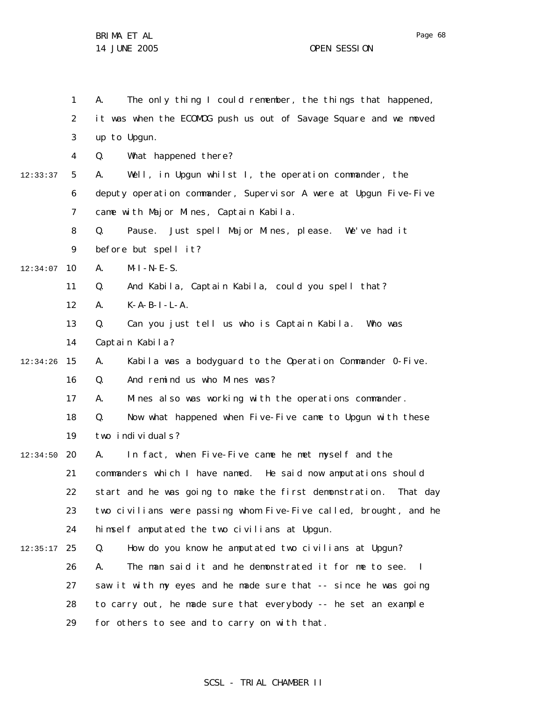1 2 3 4 5 6 7 8 9 10 12:34:07 11 12 13 14 15 12:34:26 16 17 18 19 20 12:34:50 21 22 23 24 25 12:35:17 26 27 28 29 12:33:37 A. The only thing I could remember, the things that happened, it was when the ECOMOG push us out of Savage Square and we moved up to Upgun. Q. What happened there? A. Well, in Upgun whilst I, the operation commander, the deputy operation commander, Supervisor A were at Upgun Five-Five came with Major Mines, Captain Kabila. Q. Pause. Just spell Major Mines, please. We've had it before but spell it?  $A.$   $M-I-N-E-S.$ Q. And Kabila, Captain Kabila, could you spell that?  $A.$   $K-A-B-I-L-A.$ Q. Can you just tell us who is Captain Kabila. Who was Captain Kabila? A. Kabila was a bodyguard to the Operation Commander 0-Five. Q. And remind us who Mines was? A. Mines also was working with the operations commander. Q. Now what happened when Five-Five came to Upgun with these two individuals? A. In fact, when Five-Five came he met myself and the commanders which I have named. He said now amputations should start and he was going to make the first demonstration. That day two civilians were passing whom Five-Five called, brought, and he himself amputated the two civilians at Upgun. Q. How do you know he amputated two civilians at Upgun? A. The man said it and he demonstrated it for me to see. I saw it with my eyes and he made sure that -- since he was going to carry out, he made sure that everybody -- he set an example for others to see and to carry on with that.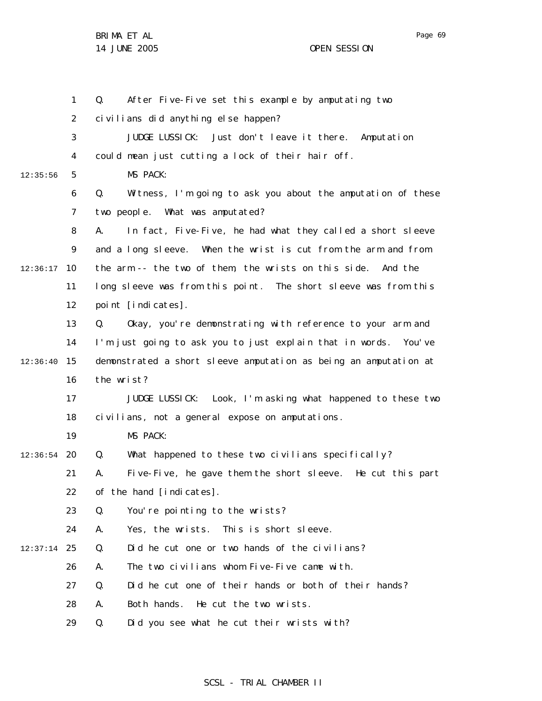Page 69

1 2 3 4 5 6 7 8 9 10 12:36:17 11 12 13 14 15 12:36:40 16 17 18 19 20 12:36:54 21 22 23 24 25 12:37:14 26 27 28 29 12:35:56 Q. After Five-Five set this example by amputating two civilians did anything else happen? JUDGE LUSSICK: Just don't leave it there. Amputation could mean just cutting a lock of their hair off. MS PACK: Q. Witness, I'm going to ask you about the amputation of these two people. What was amputated? A. In fact, Five-Five, he had what they called a short sleeve and a long sleeve. When the wrist is cut from the arm and from the arm -- the two of them, the wrists on this side. And the long sleeve was from this point. The short sleeve was from this point [indicates]. Q. Okay, you're demonstrating with reference to your arm and I'm just going to ask you to just explain that in words. You've demonstrated a short sleeve amputation as being an amputation at the wrist? JUDGE LUSSICK: Look, I'm asking what happened to these two civilians, not a general expose on amputations. MS PACK: Q. What happened to these two civilians specifically? A. Five-Five, he gave them the short sleeve. He cut this part of the hand [indicates]. Q. You're pointing to the wrists? A. Yes, the wrists. This is short sleeve. Q. Did he cut one or two hands of the civilians? A. The two civilians whom Five-Five came with. Q. Did he cut one of their hands or both of their hands? A. Both hands. He cut the two wrists. Q. Did you see what he cut their wrists with?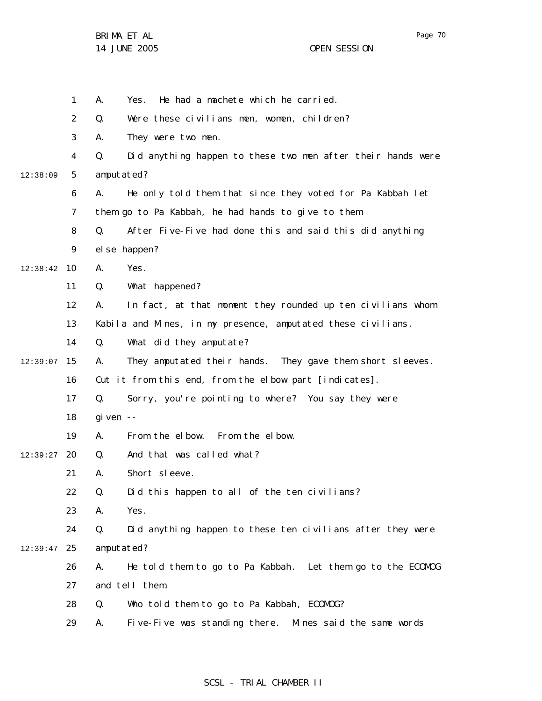|          | 1              | He had a machete which he carried.<br>А.<br>Yes.                  |
|----------|----------------|-------------------------------------------------------------------|
|          | $\overline{2}$ | Q.<br>Were these civilians men, women, children?                  |
|          | 3              | They were two men.<br>А.                                          |
|          | 4              | Did anything happen to these two men after their hands were<br>Q. |
| 12:38:09 | 5              | amputated?                                                        |
|          | 6              | He only told them that since they voted for Pa Kabbah let<br>А.   |
|          | $\overline{7}$ | them go to Pa Kabbah, he had hands to give to them.               |
|          | 8              | After Five-Five had done this and said this did anything<br>Q.    |
|          | 9              | el se happen?                                                     |
| 12:38:42 | 10             | Yes.<br>А.                                                        |
|          | 11             | Q.<br>What happened?                                              |
|          | 12             | In fact, at that moment they rounded up ten civilians whom<br>А.  |
|          | 13             | Kabila and Mines, in my presence, amputated these civilians.      |
|          | 14             | What did they amputate?<br>Q.                                     |
| 12:39:07 | 15             | They amputated their hands. They gave them short sleeves.<br>А.   |
|          | 16             | Cut it from this end, from the elbow part [indicates].            |
|          | 17             | Sorry, you're pointing to where? You say they were<br>Q.          |
|          | 18             | gi ven $-$                                                        |
|          | 19             | From the elbow. From the elbow.<br>А.                             |
| 12:39:27 | 20             | And that was called what?<br>Q.                                   |
|          | 21             | Short sleeve.<br>А.                                               |
|          | 22             | Did this happen to all of the ten civilians?<br>Q.                |
|          | 23             | Yes.<br>Α.                                                        |
|          | 24             | Q.<br>Did anything happen to these ten civilians after they were  |
| 12:39:47 | 25             | amputated?                                                        |
|          | 26             | He told them to go to Pa Kabbah. Let them go to the ECOMOG<br>А.  |
|          | 27             | and tell them.                                                    |
|          | 28             | Q.<br>Who told them to go to Pa Kabbah, ECOMOG?                   |
|          | 29             | Five-Five was standing there. Mines said the same words<br>А.     |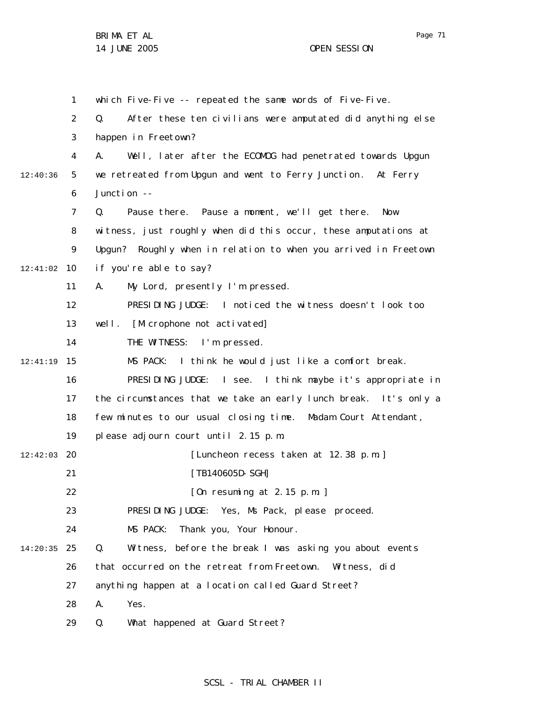1 2 3 4 5 6 7 8 9 10 12:41:02 11 12 13 14 15 12:41:19 16 17 18 19 12:42:03 20 21 22 23 24 25 14:20:35 26 27 28 29 12:40:36 which Five-Five -- repeated the same words of Five-Five. Q. After these ten civilians were amputated did anything else happen in Freetown? A. Well, later after the ECOMOG had penetrated towards Upgun we retreated from Upgun and went to Ferry Junction. At Ferry Junction -- Q. Pause there. Pause a moment, we'll get there. Now witness, just roughly when did this occur, these amputations at Upgun? Roughly when in relation to when you arrived in Freetown if you're able to say? A. My Lord, presently I'm pressed. PRESIDING JUDGE: I noticed the witness doesn't look too well. [Microphone not activated] THE WITNESS: I'm pressed. MS PACK: I think he would just like a comfort break. PRESIDING JUDGE: I see. I think maybe it's appropriate in the circumstances that we take an early lunch break. It's only a few minutes to our usual closing time. Madam Court Attendant, please adjourn court until 2.15 p.m. [Luncheon recess taken at 12.38 p.m.] [TB140605D-SGH] [On resuming at 2.15 p.m. ] PRESIDING JUDGE: Yes, Ms Pack, please proceed. MS PACK: Thank you, Your Honour. Q. Witness, before the break I was asking you about events that occurred on the retreat from Freetown. Witness, did anything happen at a location called Guard Street? A. Yes. Q. What happened at Guard Street?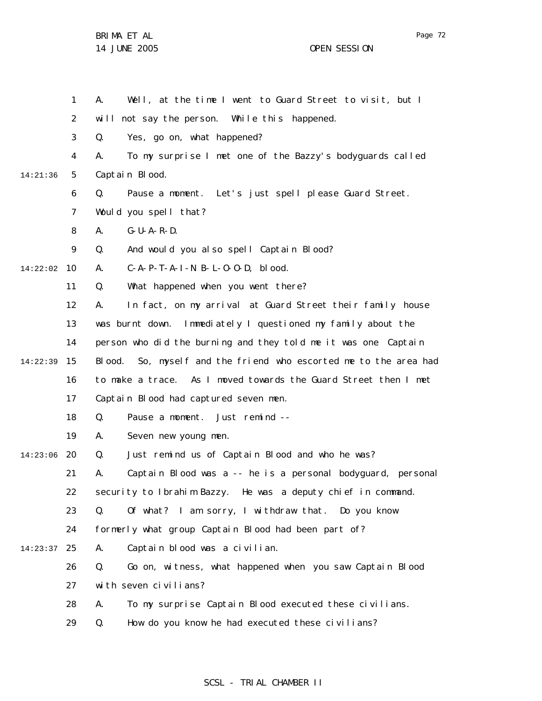BRIMA ET AL

14 JUNE 2005 OPEN SESSION

1 2 3 4 5 6 7 8 9 10 14:22:02 11 12 13 14 15 16 17 18 19 20 14:23:06 21 22 23 24 25 14:23:37 26 27 28 29 14:21:36 14:22:39 A. Well, at the time I went to Guard Street to visit, but I will not say the person. While this happened. Q. Yes, go on, what happened? A. To my surprise I met one of the Bazzy's bodyguards called Captain Blood. Q. Pause a moment. Let's just spell please Guard Street. Would you spell that? A. G-U-A-R-D. Q. And would you also spell Captain Blood? A. C-A-P-T-A-I-N B-L-O-O-D, blood. Q. What happened when you went there? A. In fact, on my arrival at Guard Street their family house was burnt down. Immediately I questioned my family about the person who did the burning and they told me it was one Captain Blood. So, myself and the friend who escorted me to the area had to make a trace. As I moved towards the Guard Street then I met Captain Blood had captured seven men. Q. Pause a moment. Just remind -- A. Seven new young men. Q. Just remind us of Captain Blood and who he was? A. Captain Blood was a -- he is a personal bodyguard, personal security to Ibrahim Bazzy. He was a deputy chief in command. Q. Of what? I am sorry, I withdraw that. Do you know formerly what group Captain Blood had been part of? A. Captain blood was a civilian. Q. Go on, witness, what happened when you saw Captain Blood with seven civilians? A. To my surprise Captain Blood executed these civilians. Q. How do you know he had executed these civilians?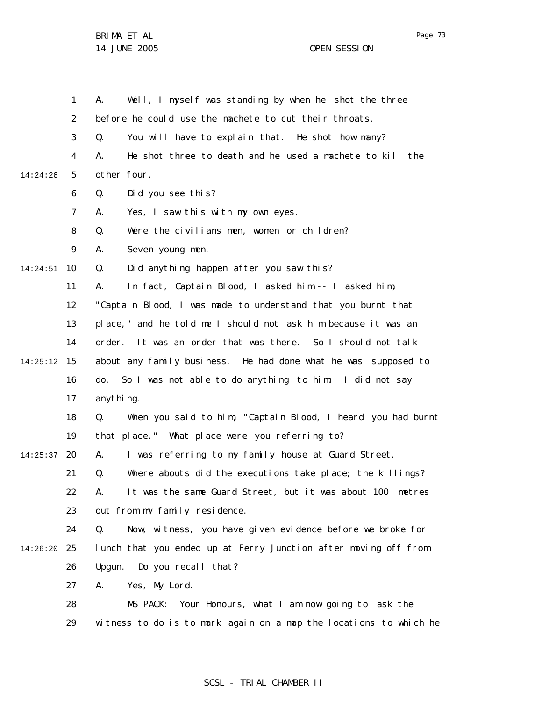|          | $\mathbf{1}$   | Well, I myself was standing by when he shot the three<br>А.       |
|----------|----------------|-------------------------------------------------------------------|
|          | $\overline{2}$ | before he could use the machete to cut their throats.             |
|          | 3              | You will have to explain that. He shot how many?<br>Q.            |
|          | 4              | He shot three to death and he used a machete to kill the<br>А.    |
| 14:24:26 | 5              | other four.                                                       |
|          | 6              | Q.<br>Did you see this?                                           |
|          | $\overline{7}$ | Yes, I saw this with my own eyes.<br>А.                           |
|          | 8              | Q.<br>Were the civilians men, women or children?                  |
|          | 9              | Seven young men.<br>А.                                            |
| 14:24:51 | 10             | Did anything happen after you saw this?<br>Q.                     |
|          | 11             | In fact, Captain Blood, I asked him -- I asked him,<br>А.         |
|          | 12             | "Captain Blood, I was made to understand that you burnt that      |
|          | 13             | place," and he told me I should not ask him because it was an     |
|          | 14             | order. It was an order that was there. So I should not talk       |
| 14:25:12 | 15             | about any family business. He had done what he was supposed to    |
|          | 16             | do. So I was not able to do anything to him. I did not say        |
|          | 17             | anythi ng.                                                        |
|          | 18             | When you said to him, "Captain Blood, I heard you had burnt<br>Q. |
|          | 19             | that place." What place were you referring to?                    |
| 14:25:37 | 20             | I was referring to my family house at Guard Street.<br>А.         |
|          | 21             | Where abouts did the executions take place; the killings?<br>Q.   |
|          | 22             | It was the same Guard Street, but it was about 100 metres<br>Α.   |
|          | 23             | out from my family residence.                                     |
|          | 24             | Now, witness, you have given evidence before we broke for<br>Q.   |
| 14:26:20 | 25             | lunch that you ended up at Ferry Junction after moving off from   |
|          | 26             | Upgun.<br>Do you recall that?                                     |
|          | 27             | Yes, My Lord.<br>А.                                               |
|          | 28             | MS PACK: Your Honours, what I am now going to ask the             |
|          | 29             | witness to do is to mark again on a map the locations to which he |

# SCSL - TRIAL CHAMBER II

Page 73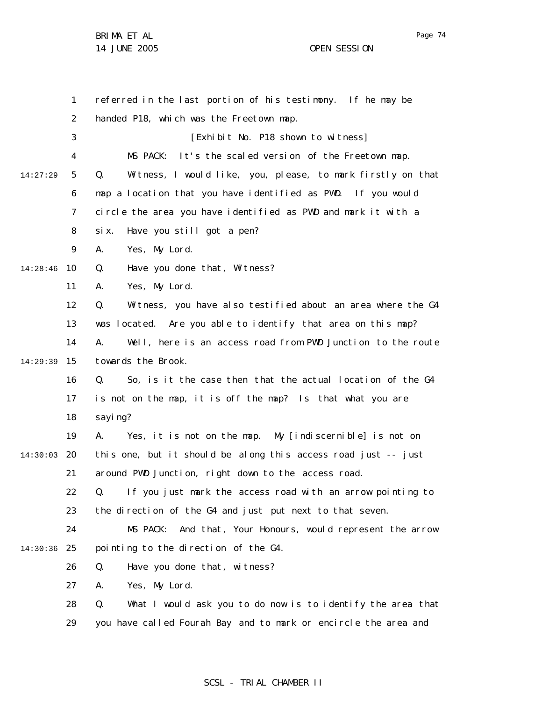Page 74

1 2 3 4 5 6 7 8 9 10 14:28:46 11 12 13 14 15 14:29:39 16 17 18 19 20 14:30:03 21 22 23 24 25 14:30:36 26 27 28 29 14:27:29 referred in the last portion of his testimony. If he may be handed P18, which was the Freetown map. [Exhibit No. P18 shown to witness] MS PACK: It's the scaled version of the Freetown map. Q. Witness, I would like, you, please, to mark firstly on that map a location that you have identified as PWD. If you would circle the area you have identified as PWD and mark it with a six. Have you still got a pen? A. Yes, My Lord. Q. Have you done that, Witness? A. Yes, My Lord. Q. Witness, you have also testified about an area where the G4 was located. Are you able to identify that area on this map? A. Well, here is an access road from PWD Junction to the route towards the Brook. Q. So, is it the case then that the actual location of the G4 is not on the map, it is off the map? Is that what you are sayi ng? A. Yes, it is not on the map. My [indiscernible] is not on this one, but it should be along this access road just -- just around PWD Junction, right down to the access road. Q. If you just mark the access road with an arrow pointing to the direction of the G4 and just put next to that seven. MS PACK: And that, Your Honours, would represent the arrow pointing to the direction of the G4. Q. Have you done that, witness? A. Yes, My Lord. Q. What I would ask you to do now is to identify the area that you have called Fourah Bay and to mark or encircle the area and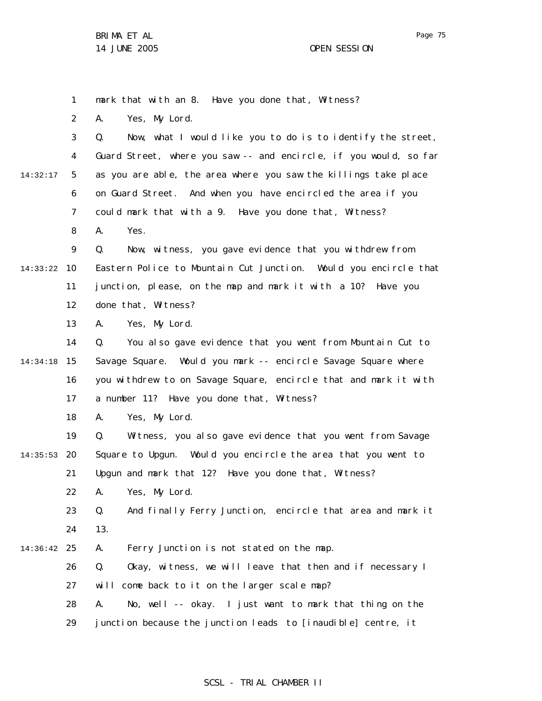1 mark that with an 8. Have you done that, Witness?

2 A. Yes, My Lord.

3 4 5 6 7 8 9 10 14:33:22 11 12 13 14 15 14:34:18 16 14:32:17 Q. Now, what I would like you to do is to identify the street, Guard Street, where you saw -- and encircle, if you would, so far as you are able, the area where you saw the killings take place on Guard Street. And when you have encircled the area if you could mark that with a 9. Have you done that, Witness? A. Yes. Q. Now, witness, you gave evidence that you withdrew from Eastern Police to Mountain Cut Junction. Would you encircle that junction, please, on the map and mark it with a 10? Have you done that, Witness? A. Yes, My Lord. Q. You also gave evidence that you went from Mountain Cut to Savage Square. Would you mark -- encircle Savage Square where you withdrew to on Savage Square, encircle that and mark it with

> 17 a number 11? Have you done that, Witness?

18 A. Yes, My Lord.

19 20 14:35:53 21 Q. Witness, you also gave evidence that you went from Savage Square to Upgun. Would you encircle the area that you went to Upgun and mark that 12? Have you done that, Witness?

> 22 A. Yes, My Lord.

23 24 Q. And finally Ferry Junction, encircle that area and mark it 13.

25 14:36:42 A. Ferry Junction is not stated on the map.

> 26 27 Q. Okay, witness, we will leave that then and if necessary I will come back to it on the larger scale map?

28 A. No, well -- okay. I just want to mark that thing on the

29 junction because the junction leads to [inaudible] centre, it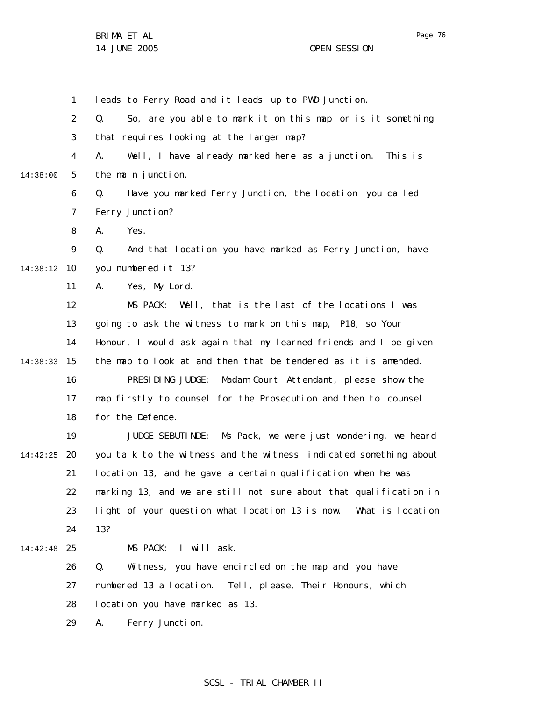1 leads to Ferry Road and it leads up to PWD Junction.

2 3 4 5 6 7 8 9 10 14:38:12 11 12 13 14 15 14:38:33 16 17 18 19 20 14:42:25 21 22 23 24 25 14:42:48 26 27 28 29 14:38:00 Q. So, are you able to mark it on this map or is it something that requires looking at the larger map? A. Well, I have already marked here as a junction. This is the main junction. Q. Have you marked Ferry Junction, the location you called Ferry Junction? A. Yes. Q. And that location you have marked as Ferry Junction, have you numbered it 13? A. Yes, My Lord. MS PACK: Well, that is the last of the locations I was going to ask the witness to mark on this map, P18, so Your Honour, I would ask again that my learned friends and I be given the map to look at and then that be tendered as it is amended. PRESIDING JUDGE: Madam Court Attendant, please show the map firstly to counsel for the Prosecution and then to counsel for the Defence. JUDGE SEBUTINDE: Ms Pack, we were just wondering, we heard you talk to the witness and the witness indicated something about location 13, and he gave a certain qualification when he was marking 13, and we are still not sure about that qualification in light of your question w hat location 13 is now. What is location 13? MS PACK: I will ask. Q. Witness, you have encircled on the map and you have numbered 13 a location. Tell, please, Their Honours, which location you have marked as 13. A. Ferry Junction.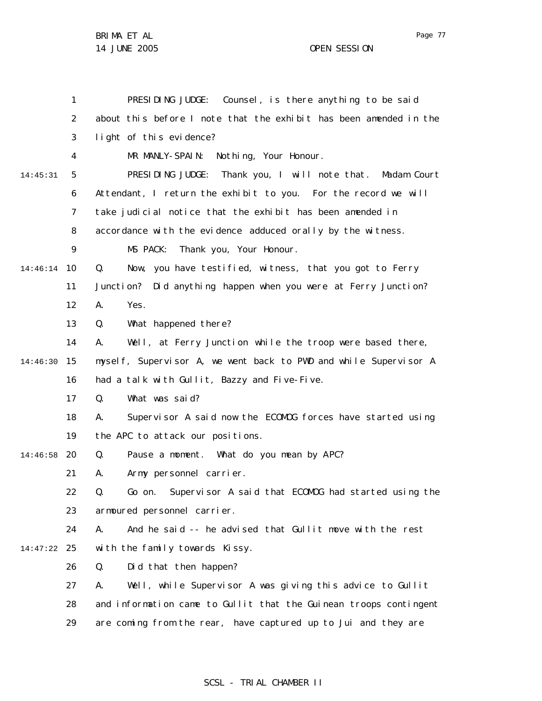|          | 1  | PRESIDING JUDGE: Counsel, is there anything to be said              |
|----------|----|---------------------------------------------------------------------|
|          | 2  | about this before I note that the exhibit has been amended in the   |
|          | 3  | light of this evidence?                                             |
|          | 4  | MR MANLY-SPAIN: Nothing, Your Honour.                               |
| 14:45:31 | 5  | PRESIDING JUDGE: Thank you, I will note that.<br>Madam Court        |
|          | 6  | Attendant, I return the exhibit to you. For the record we will      |
|          | 7  | take judicial notice that the exhibit has been amended in           |
|          | 8  | accordance with the evidence adduced orally by the witness.         |
|          | 9  | MS PACK:<br>Thank you, Your Honour.                                 |
| 14:46:14 | 10 | Q.<br>Now, you have testified, witness, that you got to Ferry       |
|          | 11 | Did anything happen when you were at Ferry Junction?<br>Junction?   |
|          | 12 | А.<br>Yes.                                                          |
|          | 13 | Q.<br>What happened there?                                          |
|          | 14 | Well, at Ferry Junction while the troop were based there,<br>А.     |
| 14:46:30 | 15 | mysel f, Supervisor A, we went back to PWD and while Supervisor A   |
|          | 16 | had a talk with Gullit, Bazzy and Five-Five.                        |
|          | 17 | What was said?<br>Q.                                                |
|          | 18 | Supervisor A said now the ECOMOG forces have started using<br>А.    |
|          | 19 | the APC to attack our positions.                                    |
| 14:46:58 | 20 | Pause a moment. What do you mean by APC?<br>Q.                      |
|          | 21 | Army personnel carrier.<br>А.                                       |
|          | 22 | Q.<br>Supervisor A said that ECOMOG had started using the<br>Go on. |
|          | 23 | armoured personnel carrier.                                         |
|          | 24 | And he said -- he advised that Gullit move with the rest<br>А.      |
| 14:47:22 | 25 | with the family towards Kissy.                                      |
|          | 26 | Did that then happen?<br>Q.                                         |
|          | 27 | Well, while Supervisor A was giving this advice to Gullit<br>А.     |
|          | 28 | and information came to Gullit that the Guinean troops contingent   |
|          | 29 | are coming from the rear, have captured up to Jui and they are      |

Page 77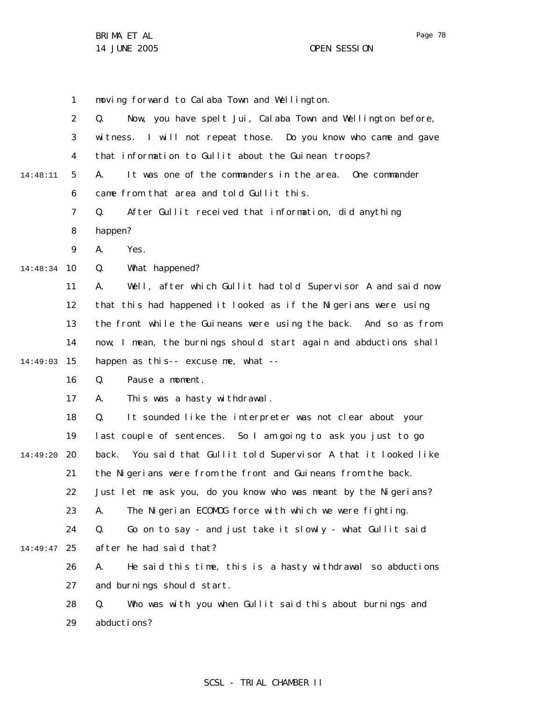1 moving forward to Calaba Town and Wellington.

|          | 2              | Now, you have spelt Jui, Calaba Town and Wellington before,<br>Q.   |
|----------|----------------|---------------------------------------------------------------------|
|          | 3              | witness. I will not repeat those. Do you know who came and gave     |
|          | 4              | that information to Gullit about the Guinean troops?                |
| 14:48:11 | 5              | It was one of the commanders in the area.<br>One commander<br>А.    |
|          | 6              | came from that area and told Gullit this.                           |
|          | $\overline{7}$ | After Gullit received that information, did anything<br>Q.          |
|          | 8              | happen?                                                             |
|          | 9              | Yes.<br>А.                                                          |
| 14:48:34 | 10             | What happened?<br>Q.                                                |
|          | 11             | Well, after which Gullit had told Supervisor A and said now<br>А.   |
|          | 12             | that this had happened it looked as if the Nigerians were using     |
|          | 13             | the front while the Guineans were using the back. And so as from    |
|          | 14             | now, I mean, the burnings should start again and abductions shall   |
| 14:49:03 | 15             | happen as this-- excuse me, what --                                 |
|          | 16             | Pause a moment.<br>Q.                                               |
|          | 17             | This was a hasty withdrawal.<br>А.                                  |
|          | 18             | Q.<br>It sounded like the interpreter was not clear about your      |
|          | 19             | last couple of sentences. So I am going to ask you just to go       |
| 14:49:20 | 20             | You said that Gullit told Supervisor A that it looked like<br>back. |
|          | 21             | the Nigerians were from the front and Guineans from the back.       |
|          | 22             | Just let me ask you, do you know who was meant by the Nigerians?    |
|          | 23             | The Nigerian ECOMOG force with which we were fighting.<br>A.        |
|          | 24             | Go on to say - and just take it slowly - what Gullit said<br>Q.     |
| 14:49:47 | 25             | after he had said that?                                             |
|          | 26             | He said this time, this is a hasty withdrawal so abductions<br>А.   |
|          | 27             | and burnings should start.                                          |
|          | 28             | Who was with you when Gullit said this about burnings and<br>Q.     |
|          | 29             | abductions?                                                         |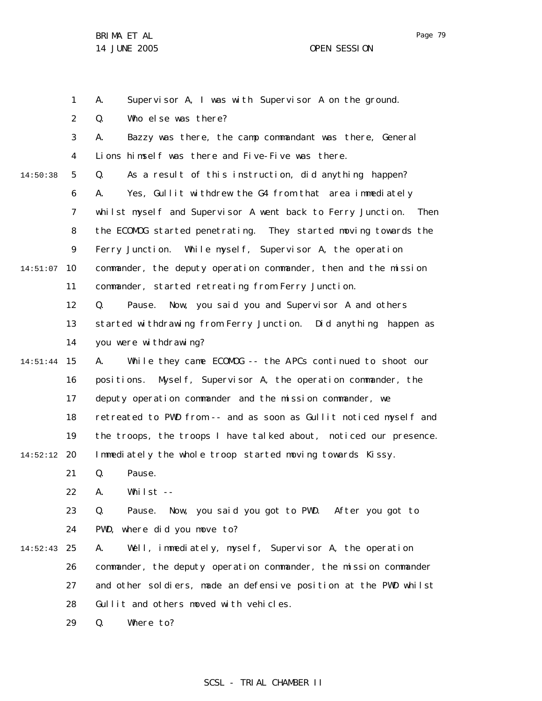1 2 3 4 5 6 7 8 9 10 14:51:07 11 12 13 14 15 14:51:44 16 17 18 19 20 14:52:12 21 22 23 24 25 14:52:43 26 27 28 29 14:50:38 A. Supervisor A, I was with Supervisor A on the ground. Q. Who else was there? A. Bazzy was there, the camp commandant was there, General Lions himself was there and Five-Five was there. Q. As a result of this instruction, did anything happen? A. Yes, Gullit withdrew the G4 from that area immediately whilst myself and Supervisor A went back to Ferry Junction. Then the ECOMOG started penetrating. They started moving towards the Ferry Junction. While myself, Supervisor A, the operation commander, the deputy operation commander, then and the mission commander, started retreating from Ferry Junction. Q. Pause. Now, you said you and Supervisor A and others started withdrawing from Ferry Junction. Did anything happen as you were withdrawing? A. While they came ECOMOG -- the A PCs continued to shoot our positions. Myself, Supervisor A, the operation commander, the deputy operation commander and the mission commander, we retreated to PWD from -- and as soon as Gullit noticed myself and the troops, the troops I have talked about, noticed our presence. Immediately the whole troop started moving towards Kissy. Q. Pause. A. Whilst -- Q. Pause. Now, you said you got to PWD. After you got to PWD, where did you move to? A. Well, immediately, myself, Supervisor A, the operation commander, the deputy operation commander, the mission commander and other soldiers, made an defensive position at the PWD whilst Gullit and others moved with vehicles. Q. Where to?

Page 79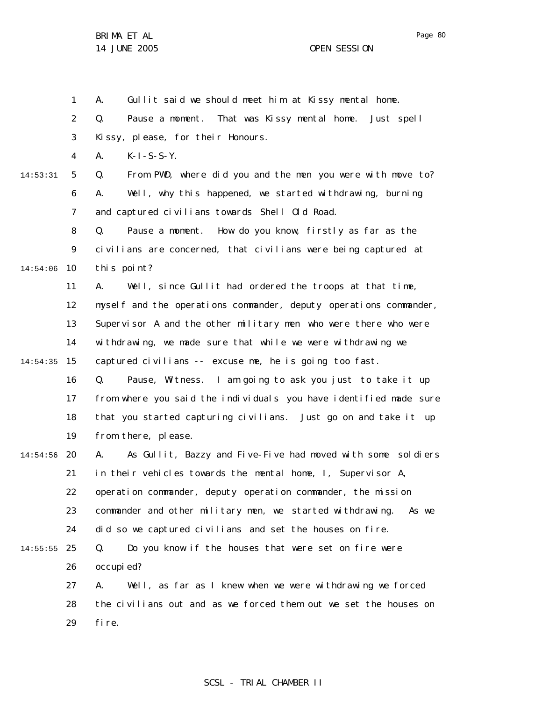Page 80

BRIMA ET AL 14 JUNE 2005 OPEN SESSION

1

2 3 4 5 6 7 8 9 10 14:54:06 11 12 13 14 15 14:54:35 16 17 18 19 20 14:54:56 21 22 23 24 25 14:55:55 26 27 14:53:31 Q. Pause a moment. That was Kissy mental home. Just spell Kissy, please, for their Honours. A. K-I-S-S-Y. Q. From PWD, where did you and the men you were with move to? A. Well, why this happened, we started withdrawing, burning and captured civilians towards Shell Old Road. Q. Pause a moment. How do you know, firstly as far as the civilians are concerned, that civilians were being captured at this point? A. Well, since Gullit had ordered the troops at that time, myself and the operations commander, deputy operations commander, Supervisor A and the other military men who were there who were withdrawing, we made sure that while we were withdrawing we captured civilians -- excuse me, he is going too fast. Q. Pause, Witness. I am going to ask you just to take it up from where you said the individuals you have identified made sure that you started capturing civilians. Just go on and take it up from there, please. A. As Gullit, Bazzy and Five-Five had moved with some soldiers in their vehicles towards the mental home, I, Supervisor A, operation commander, deputy operation commander, the mission commander and other military men, we started withdrawing. As we did so we captured civilians and set the houses on fire. Q. Do you know if the houses that were set on fire were occupi ed? A. Well, as far as I knew when we were withdrawing we forced

A. Gullit said we should meet him at Kissy mental home.

28 29 the civilians out and as we forced them out we set the houses on fire.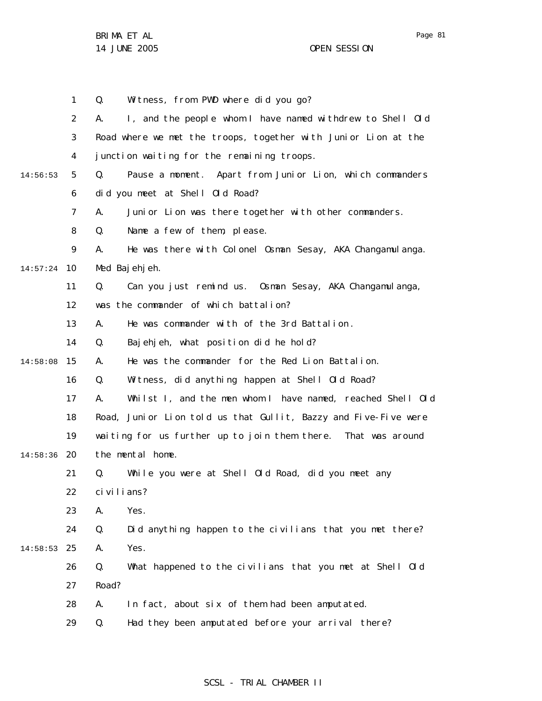Page 81

1 2 3 4 5 6 7 8 9 10 14:57:24 11 12 13 14 15 14:58:08 16 17 18 19 20 14:58:36 21 22 23 24 25 14:58:53 26 27 28 29 14:56:53 Q. Witness, from PWD where did you go? A. I, and the people whom I have named withdrew to Shell Old Road where we met the troops, together with Junior Lion at the junction waiting for the remaining troops. Q. Pause a moment. Apart from Junior Lion, which commanders did you meet at Shell Old Road? A. Junior Lion was there together with other commanders. Q. Name a few of them, please. A. He was there with Colonel Osman Sesay, AKA Changamulanga. Med Bajehjeh. Q. Can you just remind us. Osman Sesay, AKA Changamulanga, was the commander of which battalion? A. He was commander with of the 3rd Battalion . Q. Bajehjeh, what position did he hold? A. He was the commander for the Red Lion Battalion. Q. Witness, did anything happen at Shell Old Road? A. Whilst I, and the men whom I have named, reached Shell Old Road, Junior Lion told us that Gullit, Bazzy and Five-Five were waiting for us further up to join them there. That was around the mental home. Q. While you were at Shell Old Road, did you meet any civilians? A. Yes. Q. Did anything happen to the civilians that you met there? A. Yes. Q. What happened to the civilians that you met at Shell Old Road? A. In fact, about six of them had been amputated. Q. Had they been amputated before your arrival there?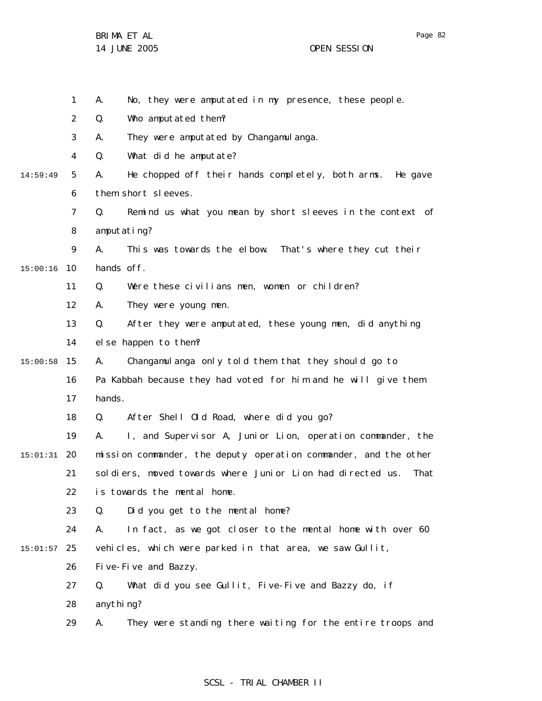Page 82

1 2 3 4 5 6 7 8 9 10 15:00:16 11 12 13 14 15 15:00:58 16 17 18 19 20 15:01:31 21 22 23 24 25 15:01:57 26 27 28 29 14:59:49 A. No, they were amputated in my presence, these people. Q. Who amputated them? A. They were amputated by Changamulanga. Q. What did he amputate? A. He chopped off their hands completely, both arms. He gave them short sleeves. Q. Remind us what you mean by short sleeves in the context of amputating? A. This was towards the elbow. That's where they cut their hands off. Q. Were these civilians men, women or children? A. They were young men. Q. After they were amputated, these young men, did anything else happen to them? A. Changamulanga only told them that they should go to Pa Kabbah because they had voted for him and he will give them hands. Q. After Shell Old Road, where did you go? A. I, and Supervisor A, Junior Lion, operation commander, the mission commander, the deputy operation commander, and the other soldiers, moved towards where Junior Lion had directed us. That is towards the mental home. Q. Did you get to the mental home? A. In fact, as we got closer to the mental home with over 60 vehicles, which were parked in that area, we saw Gullit, Five-Five and Bazzy. Q. What did you see Gullit, Five-Five and Bazzy do, if anything? A. They were standing there waiting for the entire troops and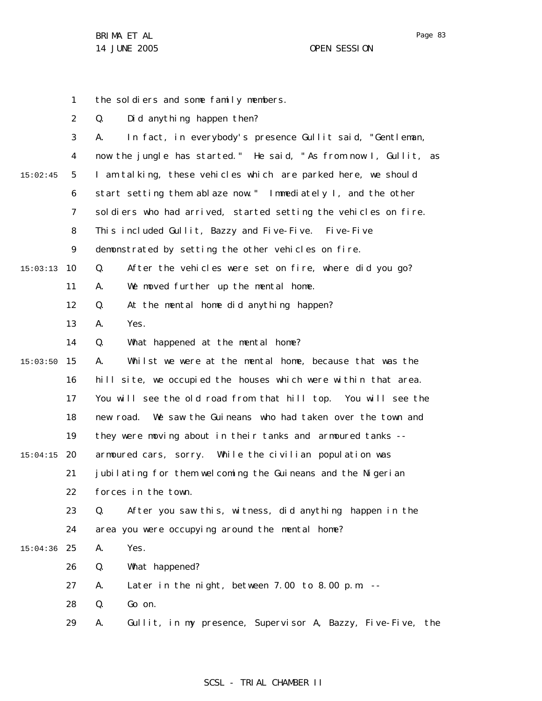Page 83

1 2 3 4 5 6 7 8 9 10 15:03:13 11 12 13 14 15 15:03:50 16 17 18 19 20 15:04:15 21 22 23 24 25 15:04:36 26 27 28 29 15:02:45 the soldiers and some family members. Q. Did anything happen then? A. In fact, in everybody's presence Gullit said, "Gentleman, now the jungle has started." He said, " As from now I, Gullit, as I am talking, these vehicles which are parked here, we should start setting them ablaze now." Immediately I, and the other sol diers who had arrived, started setting the vehicles on fire. This included Gullit, Bazzy and Five-Five. Five-Five demonstrated by setting the other vehicles on fire. Q. After the vehicles were set on fire, where did you go? A. We moved further up the mental home. Q. At the mental home did anything happen? A. Yes. Q. What happened at the mental home? A. Whilst we were at the mental home, because that was the hill site, we occupied the houses which were within that area. You will see the old road from that hill top. You will see the new road. We saw the Guineans who had taken over the town and they were moving about in their tanks and armoured tanks - armoured cars, sorry. While the civilian population was jubilating for them welcoming the Guineans and the Nigerian forces in the town. Q. After you saw this, witness, did anything happen in the area you were occupying around the mental home? A. Yes. Q. What happened? A. Later in the night, between 7.00 to 8.00 p.m. -- Q. Go on. A. Gullit, in my presence, Supervisor A, Bazzy, Five-Five, the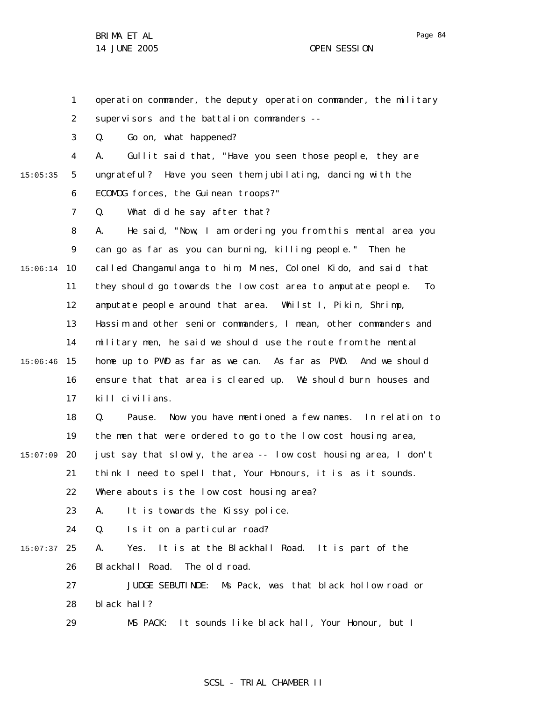1 2 3 4 operation commander, the deputy operation commander, the military supervisors and the battalion commanders --Q. Go on, what happened? A. Gullit said that, "Have you seen those people, they are

ungrateful? Have you seen them jubilating, dancing with the

15:05:35

5

6 ECOMOG forces, the Guinean troops?"

7 Q. What did he say after that?

8 9 10 15:06:14 11 12 13 14 15 15:06:46 16 17 A. He said, "Now, I am ordering you from this mental area you can go as far as you can burning, killing people." Then he called Changamulanga to him, Mines, Colonel Kido, and said that they should go towards the low cost area to amputate people. To amputate people around that area. Whilst I, Pikin, Shrimp, Hassim and other senior commanders, I mean, other commanders and military men, he said we should use the route from the mental home up to PWD as far as we can. As far as PWD. And we should ensure that that area is cleared up. We should burn houses and kill civilians.

18 19 Q. Pause. Now you have mentioned a few names. In relation to the men that were ordered to go to the low cost housing area,

20 15:07:09 just say that slowly, the area -- low cost housing area, I don't

21 think I need to spell that, Your Honours, it is as it sounds.

22 Where abouts is the low cost housing area?

23 A. It is towards the Kissy police.

24 Q. Is it on a particular road?

25 15:07:37 26 A. Yes. It is at the Blackhall Road. It is part of the Blackhall Road. The old road.

> 27 28 JUDGE SEBUTINDE: Ms Pack, was that black hollow road or black hall?

29 MS PACK: It sounds like black hall, Your Honour, but I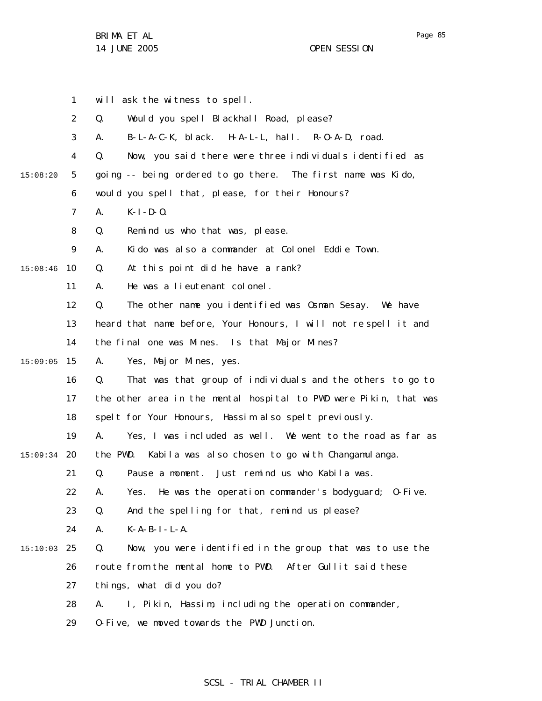Page 85

|          | $\mathbf{1}$   | will ask the witness to spell.                                    |
|----------|----------------|-------------------------------------------------------------------|
|          | $\overline{2}$ | Q.<br>Would you spell Blackhall Road, please?                     |
|          | 3              | B-L-A-C-K, black. H-A-L-L, hall. R-O-A-D, road.<br>А.             |
|          | 4              | Now, you said there were three individuals identified as<br>Q.    |
| 15:08:20 | 5              | going -- being ordered to go there. The first name was Kido,      |
|          | 6              | would you spell that, please, for their Honours?                  |
|          | $\overline{7}$ | $K-I - D - O.$<br>А.                                              |
|          | 8              | Q.<br>Remind us who that was, please.                             |
|          | 9              | Kido was also a commander at Colonel Eddie Town.<br>А.            |
| 15:08:46 | 10             | At this point did he have a rank?<br>Q.                           |
|          | 11             | He was a lieutenant colonel.<br>Α.                                |
|          | 12             | The other name you identified was Osman Sesay. We have<br>Q.      |
|          | 13             | heard that name before, Your Honours, I will not respell it and   |
|          | 14             | the final one was Mines. Is that Major Mines?                     |
| 15:09:05 | 15             | Yes, Major Mines, yes.<br>А.                                      |
|          | 16             | That was that group of individuals and the others to go to<br>Q.  |
|          | 17             | the other area in the mental hospital to PWD were Pikin, that was |
|          | 18             | spelt for Your Honours, Hassim also spelt previously.             |
|          | 19             | Yes, I was included as well. We went to the road as far as<br>А.  |
| 15:09:34 | 20             | the PWD.<br>Kabila was also chosen to go with Changamulanga.      |
|          | 21             | Pause a moment. Just remind us who Kabila was.<br>Q.              |
|          | 22             | Yes. He was the operation commander's bodyguard; 0-Five.<br>А.    |
|          | 23             | And the spelling for that, remind us please?<br>Q.                |
|          | 24             | $K - A - B - I - L - A$ .<br>А.                                   |
| 15:10:03 | 25             | Q.<br>Now, you were identified in the group that was to use the   |
|          | 26             | route from the mental home to PWD. After Gullit said these        |
|          | 27             | things, what did you do?                                          |
|          | 28             | I, Pikin, Hassim, including the operation commander,<br>А.        |
|          | 29             | 0-Five, we moved towards the PWD Junction.                        |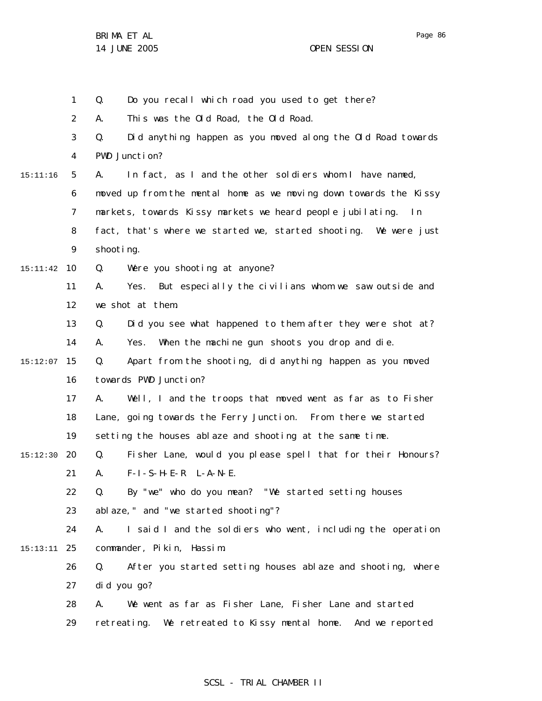1 2 3 4 5 6 7 8 9 10 15:11:42 11 12 13 14 15 15:12:07 16 17 18 19 20 15:12:30 21 22 23 24 25 15:13:11 26 27 28 29 15:11:16 Q. Do you recall which road you used to get there? A. This was the Old Road, the Old Road. Q. Did anything happen as you moved along the Old Road towards PWD Junction? A. In fact, as I and the other soldiers whom I have named, moved up from the mental home as we moving down towards the Kissy markets, towards Kissy markets we heard people jubilating. In fact, that's where we started we, started shooting. We were just shooting. Q. Were you shooting at anyone? A. Yes. But especially the civilians whom we saw outside and we shot at them. Q. Did you see what happened to them after they were shot at? A. Yes. When the machine gun shoots you drop and die. Q. Apart from the shooting, did anything happen as you moved towards PWD Junction? A. Well, I and the troops that moved went as far as to Fisher Lane, going towards the Ferry Junction. From there we started setting the houses ablaze and shooting at the same time. Q. Fisher Lane, would you please spell that for their Honours? A. F-I-S-H-E-R L-A-N-E. Q. By "we" who do you mean? "We started setting houses ablaze," and "we started shooting"? A. I said I and the soldiers who went, including the operation commander, Pikin, Hassim. Q. After you started setting houses ablaze and shooting, where did you go? A. We went as far as Fisher Lane, Fisher Lane and started retreating. We retreated to Kissy mental home. And we reported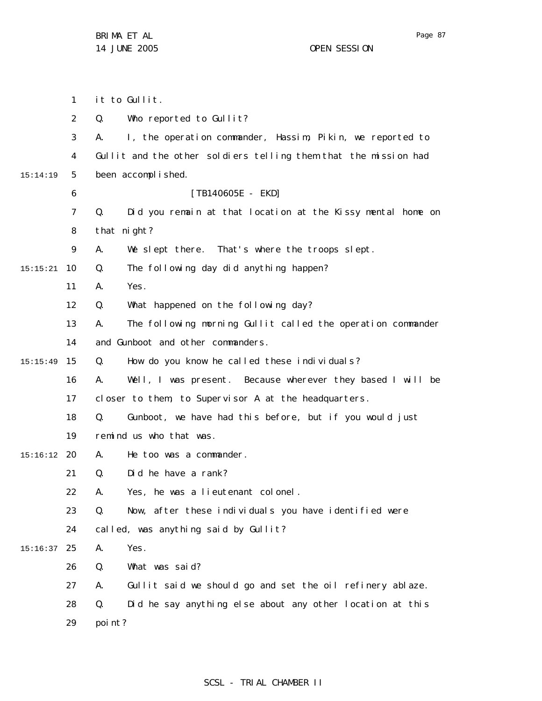|          | 1              | it to Gullit.                                                     |
|----------|----------------|-------------------------------------------------------------------|
|          | $\overline{2}$ | Q.<br>Who reported to Gullit?                                     |
|          | 3              | I, the operation commander, Hassim, Pikin, we reported to<br>А.   |
|          | 4              | Gullit and the other soldiers telling them that the mission had   |
| 15:14:19 | 5              | been accomplished.                                                |
|          | 6              | $[TB140605E - EKD]$                                               |
|          | 7              | Did you remain at that location at the Kissy mental home on<br>Q. |
|          | 8              | that night?                                                       |
|          | 9              | We slept there. That's where the troops slept.<br>А.              |
| 15:15:21 | 10             | The following day did anything happen?<br>Q.                      |
|          | 11             | Yes.<br>А.                                                        |
|          | 12             | Q.<br>What happened on the following day?                         |
|          | 13             | The following morning Gullit called the operation commander<br>А. |
|          | 14             | and Gunboot and other commanders.                                 |
| 15:15:49 | 15             | How do you know he called these individuals?<br>Q.                |
|          | 16             | Well, I was present. Because wherever they based I will be<br>А.  |
|          | 17             | closer to them, to Supervisor A at the headquarters.              |
|          | 18             | Gunboot, we have had this before, but if you would just<br>Q.     |
|          | 19             | remind us who that was.                                           |
| 15:16:12 | -20            | He too was a commander.<br>А.                                     |
|          | 21             | Q.<br>Did he have a rank?                                         |
|          | 22             | Yes, he was a lieutenant colonel.<br>А.                           |
|          | 23             | Q.<br>Now, after these individuals you have identified were       |
|          | 24             | called, was anything said by Gullit?                              |
| 15:16:37 | 25             | Yes.<br>Α.                                                        |
|          | 26             | Q.<br>What was said?                                              |
|          | 27             | Gullit said we should go and set the oil refinery ablaze.<br>А.   |
|          | 28             | Q.<br>Did he say anything else about any other location at this   |
|          | 29             | poi nt?                                                           |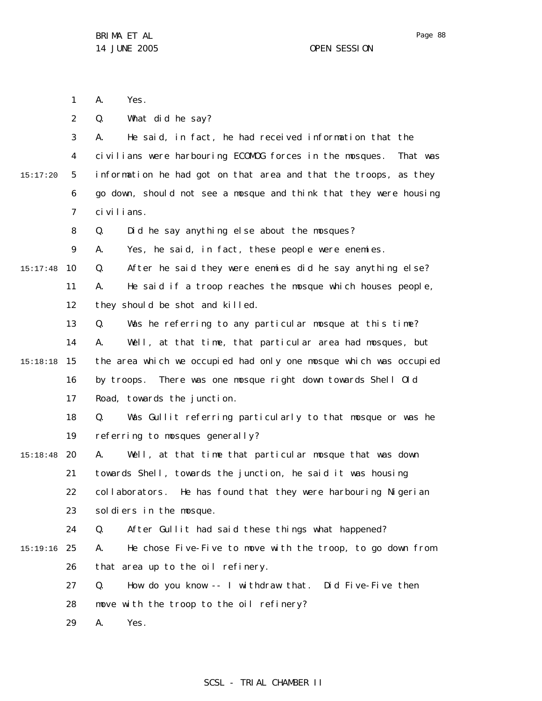1 2 3 4 5 6 7 8 9 10 15:17:48 11 12 13 14 15 15:18:18 16 17 18 19 20 15:18:48 21 22 23 24 25 15:19:16 26 27 28 29 15:17:20 A. Yes. Q. What did he say? A. He said, in fact, he had received information that the civilians were harbouring ECOMOG forces in the mosques. That was information he had got on that area and that the troops, as they go down, should not see a mosque and think that they were housing civilians. Q. Did he say anything else about the mosques? A. Yes, he said, in fact, these people were enemies. Q. After he said they were enemies did he say anything else? A. He said if a troop reaches the mosque which houses people, they should be shot and killed. Q. Was he referring to any particular mosque at this time? A. Well, at that time, that particular area had mosques, but the area which we occupied had only one mosque which was occupied by troops. There was one mosque right down towards Shell Old Road, towards the junction. Q. Was Gullit referring particularly to that mosque or was he referring to mosques generally? A. Well, at that time that particular mosque that was down towards Shell, towards the junction, he said it was housing collaborators. He has found that they were harbouring Nigerian soldiers in the mosque. Q. After Gullit had said these things what happened? A. He chose Five-Five to move with the troop, to go down from that area up to the oil refinery. Q. How do you know -- I withdraw that. Did Five-Five then move with the troop to the oil refinery? A. Yes.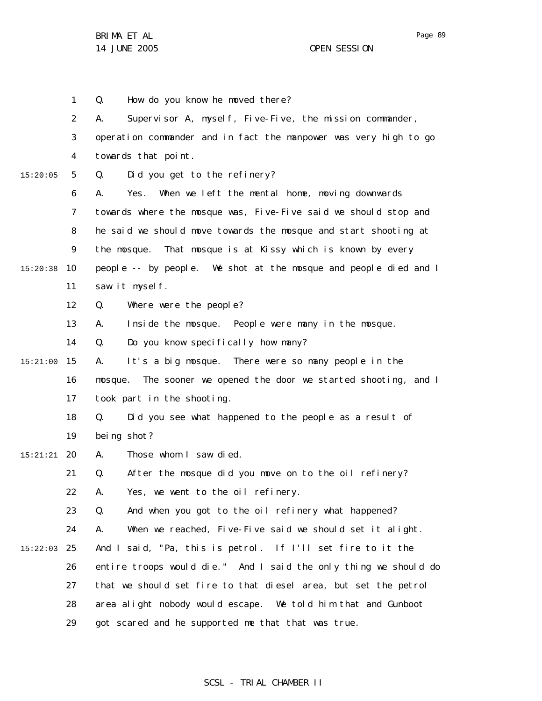1 2 3 4 5 6 7 8 9 10 15:20:38 11 12 13 14 15 15:21:00 16 17 18 19 20 15:21:21 21 22 23 24 25 15:22:03 26 27 28 29 15:20:05 Q. How do you know he moved there? A. Supervisor A, myself, Five-Five, the mission commander, operation commander and in fact the manpower was very high to go towards that point. Q. Did you get to the refinery? A. Yes. When we left the mental home, moving downwards towards where the mosque was, Five-Five said we should stop and he said we should move towards the mosque and start shooting at the mosque. That mosque is at Kissy which is known by every people -- by people. We shot at the mosque and people died and I saw it myself. Q. Where were the people? A. Inside the mosque. People were many in the mosque. Q. Do you know specifically how many? A. It's a big mosque. There were so many people in the mosque. The sooner we opened the door we started shooting, and I took part in the shooting. Q. Did you see what happened to the people as a result of being shot? A. Those whom I saw died. Q. After the mosque did you move on to the oil refinery? A. Yes, we went to the oil refinery. Q. And when you got to the oil refinery what happened? A. When we reached, Five-Five said we should set it alight. And I said, "Pa, this is petrol. If I'll set fire to it the entire troops would die." And I said the only thing we should do that we should set fire to that diesel area, but set the petrol area alight nobody would escape. We told him that and Gunboot got scared and he supported me that that was true.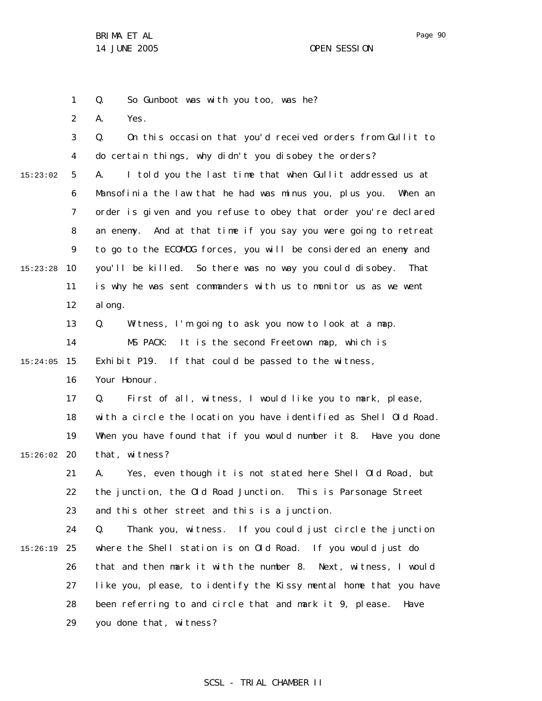1 Q. So Gunboot was with you too, was he?

2 A. Yes.

3 4 5 6 7 8 9 10 15:23:28 11 12 13 14 15 15:24:05 16 17 18 19 20 15:26:02 21 22 23 24 25 15:26:19 26 27 28 29 15:23:02 Q. On this occasion that you'd received orders from Gullit to do certain things, why didn't you disobey the orders? A. I told you the last time that when Gullit addressed us at Mansofinia the law that he had was minus you, plus you. When an order is given and you refuse to obey that order you're declared an enemy. And at that time if you say you were going to retreat to go to the ECOMOG forces, you will be considered an enemy and you'll be killed. So there was no way you could disobey. That is why he was sent commanders with us to monitor us as we went al ong. Q. Witness, I'm going to ask you now to look at a map. MS PACK: It is the second Freetown map, which is Exhibit P19. If that could be passed to the witness, Your Honour. Q. First of all, witness, I would like you to mark, please, with a circle the location you have identified as Shell Old Road. When you have found that if you would number it 8. Have you done that, witness? A. Yes, even though it is not stated here Shell Old Road, but the junction, the Old Road Junction. This is Parsonage Street and this other street and this is a junction. Q. Thank you, witness. If you could just circle the junction where the Shell station is on Old Road. If you would just do that and then mark it with the number 8. Next, witness, I would like you, please, to identify the Kissy mental home that you have been referring to and circle that and mark it 9, please. Have you done that, witness?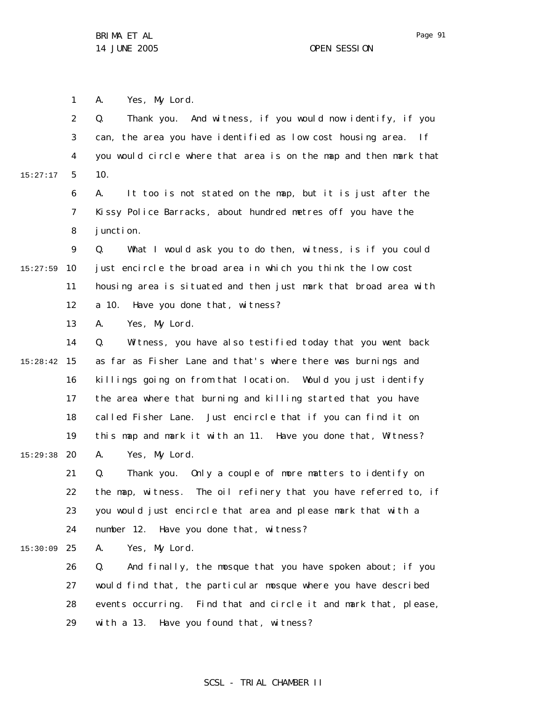1 A. Yes, My Lord.

2 3 4 5 6 7 8 9 10 15:27:59 11 12 13 14 15 15:28:42 16 17 18 19 20 15:29:38 21 22 23 24 25 15:30:09 26 27 28 29 15:27:17 Q. Thank you. And witness, if you would now identify, if you can, the area you have identified as low cost housing area. If you would circle where that area is on the map and then mark that 10. A. It too is not stated on the map, but it is just after the Kissy Police Barracks, about hundred metres off you have the junction. Q. What I would ask you to do then, witness, is if you could just encircle the broad area in which you think the low cost housing area is situated and then just mark that broad area with a 10. Have you done that, witness? A. Yes, My Lord. Q. Witness, you have also testified today that you went back as far as Fisher Lane and that's where there was burnings and killings going on from that location. Would you just identify the area where that burning and killing started that you have called Fisher Lane. Just encircle that if you can find it on this map and mark it with an 11. Have you done that, Witness? A. Yes, My Lord. Q. Thank you. Only a couple of more matters to identify on the map, witness. The oil refinery that you have referred to, if you would just encircle that area and please mark that with a number 12. Have you done that, witness? A. Yes, My Lord. Q. And finally, the mosque that you have spoken about; if you would find that, the particular mosque where you have described events occurring. Find that and circle it and mark that, please, with a 13. Have you found that, witness?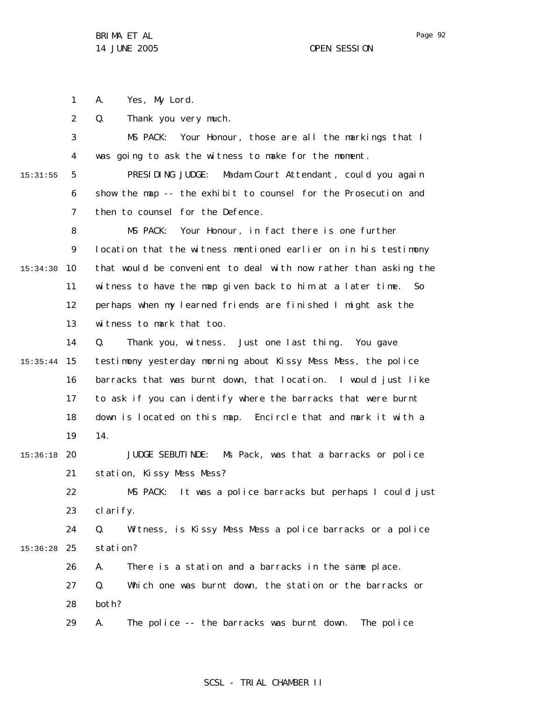1 A. Yes, My Lord.

2 Q. Thank you very much.

3 4 5 6 7 8 9 10 15:34:30 11 12 13 14 15 15:35:44 16 17 18 19 20 15:36:18 21 22 23 24 25 15:36:28 26 27 28 29 15:31:55 MS PACK: Your Honour, those are all the markings that I was going to ask the witness to make for the moment. PRESIDING JUDGE: Madam Court Attendant, could you again show the map -- the exhibit to counsel for the Prosecution and then to counsel for the Defence. MS PACK: Your Honour, in fact there is one further location that the witness mentioned earlier on in his testimony that would be convenient to deal with now rather than asking the witness to have the map given back to him at a later time. So perhaps when my learned friends are finished I might ask the witness to mark that too. Q. Thank you, witness. Just one last thing. You gave testimony yesterday morning about Kissy Mess Mess, the police barracks that was burnt down, that location. I would just like to ask if you can identify where the barracks that were burnt down is located on this map. Encircle that and mark it with a 14. JUDGE SEBUTINDE: Ms Pack, was that a barracks or police station, Kissy Mess Mess? MS PACK: It was a police barracks but perhaps I could just clarify. Q. Witness, is Kissy Mess Mess a police barracks or a police station? A. There is a station and a barracks in the same place. Q. Which one was burnt down, the station or the barracks or both? A. The police -- the barracks was burnt down. The police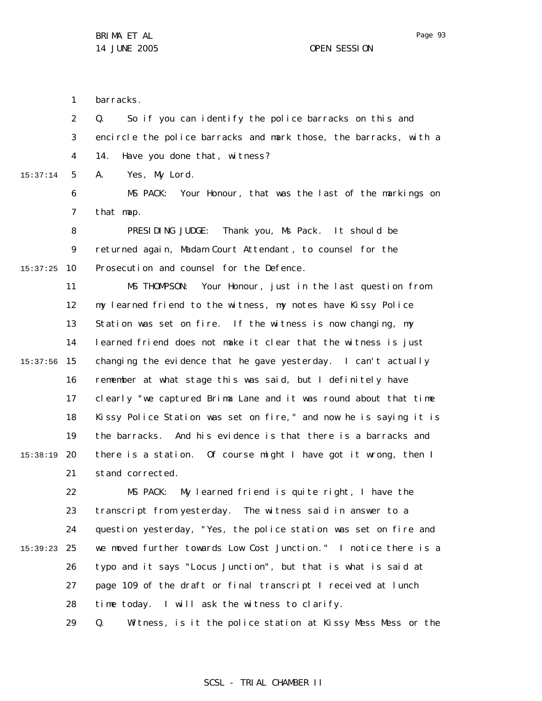1 barracks.

2 3 4 Q. So if you can identify the police barracks on this and encircle the police barracks and mark those, the barracks, with a 14. Have you done that, witness?

5 15:37:14 A. Yes, My Lord.

> 6 7 MS PACK: Your Honour, that was the last of the markings on that map.

8 9 10 15:37:25 PRESIDING JUDGE: Thank you, Ms Pack. It should be returned again, Madam Court Attendant , to counsel for the Prosecution and counsel for the Defence.

11 12 13 14 15 15:37:56 16 17 18 19 20 15:38:19 21 MS THOMPSON: Your Honour, just in the last question from my learned friend to the witness, my notes have Kissy Police Station was set on fire. If the witness is now changing, my learned friend does not make it clear that the witness is just changing the evidence that he gave yesterday. I can't actually remember at what stage this was said, but I definitely have clearly "we captured Brima Lane and it was round about that time Kissy Police Station was set on fire," and now he is saying it is the barracks. And his evidence is that there is a barracks and there is a station. Of course might I have got it wrong, then I stand corrected.

22 23 24 25 15:39:23 26 27 28 MS PACK: My learned friend is quite right, I have the transcript from yesterday. The witness said in answer to a question yesterday, "Yes, the police station was set on fire and we moved further towards Low Cost Junction." I notice there is a typo and it says "Locus Junction", but that is what is said at page 109 of the draft or final transcript I received at lunch time today. I will ask the witness to clarify.

29 Q. Witness, is it the police station at Kissy Mess Mess or the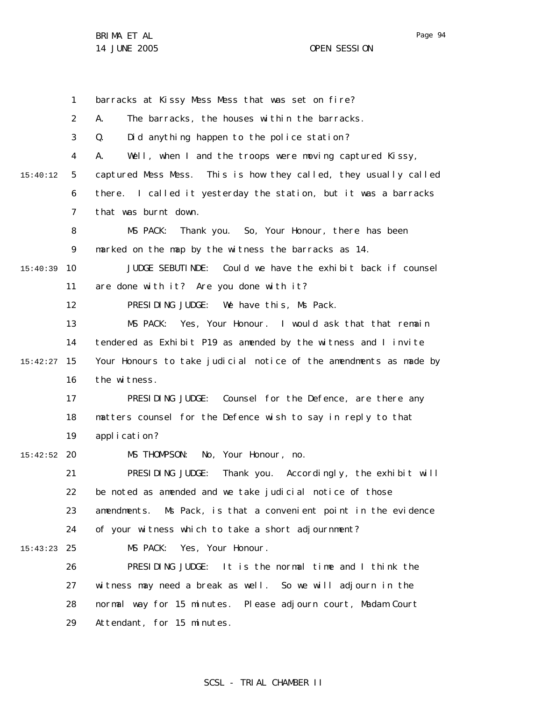Page 94

1 2 3 4 5 6 7 8 9 10 15:40:39 11 12 13 14 15 15:42:27 16 17 18 19 20 15:42:52 21 22 23 24 25 15:43:23 26 27 28 29 15:40:12 barracks at Kissy Mess Mess that was set on fire? A. The barracks, the houses within the barracks. Q. Did anything happen to the police station? A. Well, when I and the troops were moving captured Kissy, captured Mess Mess. This is how they called, they usually called there. I called it yesterday the station, but it was a barracks that was burnt down. MS PACK: Thank you. So, Your Honour, there has been marked on the map by the witness the barracks as 14. JUDGE SEBUTINDE: Could we have the exhibit back if counsel are done with it? Are you done with it? PRESIDING JUDGE: We have this, Ms Pack. MS PACK: Yes, Your Honour. I would ask that that remain tendered as Exhibit P19 as amended by the witness and I invite Your Honours to take judicial notice of the amendments as made by the witness. PRESIDING JUDGE: Counsel for the Defence, are there any matters counsel for the Defence wish to say in reply to that application? MS THOMPSON: No, Your Honour, no. PRESIDING JUDGE: Thank you. Accordingly, the exhibit will be noted as amended and we take judicial notice of those amendments. Ms Pack, is that a convenient point in the evidence of your witness which to take a short adjournment? MS PACK: Yes, Your Honour. PRESIDING JUDGE: It is the normal time and I think the witness may need a break as well. So we will adjourn in the normal way for 15 minutes. Please adjourn court, Madam Court Attendant, for 15 minutes.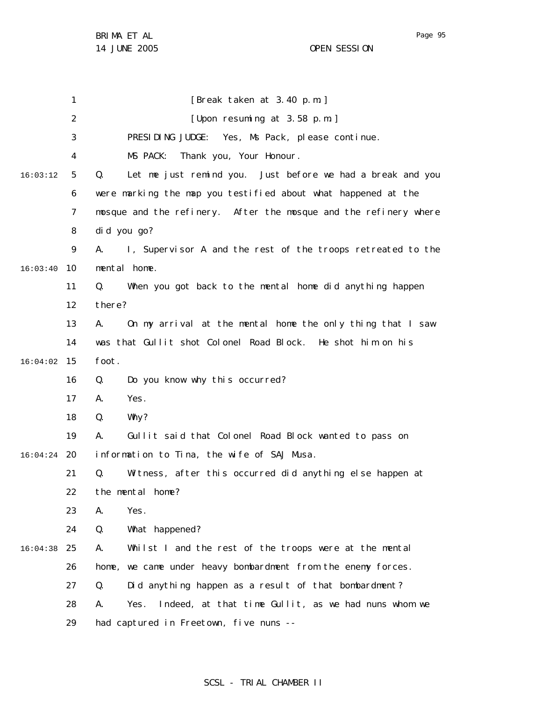1 2 3 4 5 6 7 8 9 10 16:03:40 11 12 13 14 15 16:04:02 16 17 18 19 20 16:04:24 21 22 23 24 25 16:04:38 26 27 28 29 16:03:12 [Break taken at 3.40 p.m.] [Upon resuming at 3.58 p.m.] PRESIDING JUDGE: Yes, Ms Pack, please continue. MS PACK: Thank you, Your Honour. Q. Let me just remind you. Just before we had a break and you were marking the map you testified about what happened at the mosque and the refinery. After the mosque and the refinery where did you go? A. I, Supervisor A and the rest of the troops retreated to the mental home. Q. When you got back to the mental home did anything happen there? A. On my arrival at the mental home the only thing that I saw was that Gullit shot Colonel Road Block. He shot him on his foot. Q. Do you know why this occurred? A. Yes. Q. Why? A. Gullit said that Colonel Road Block wanted to pass on information to Tina, the wife of SAJ Musa. Q. Witness, after this occurred did anything else happen at the mental home? A. Yes. Q. What happened? A. Whilst I and the rest of the troops were at the mental home, we came under heavy bombardment from the enemy forces. Q. Did anything happen as a result of that bombardment? A. Yes. Indeed, at that time Gullit, as we had nuns whom we had captured in Freetown, five nuns --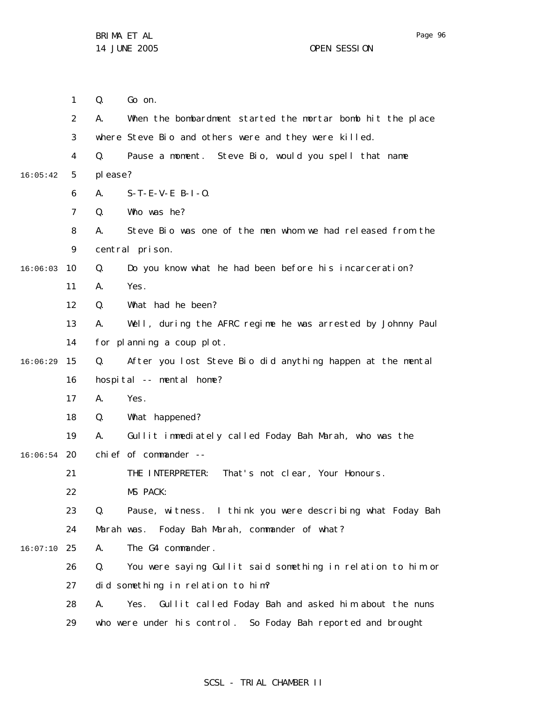1 2 3 4 5 6 7 8 9 10 16:06:03 11 12 13 14 15 16 17 18 19 20 16:06:54 21 22 23 24 25 16:07:10 26 27 28 29 16:05:42 16:06:29 Q. Go on. A. When the bombardment started the mortar bomb hit the place where Steve Bio and others were and they were killed. Q. Pause a moment. Steve Bio, would you spell that name please? A. S-T-E-V-E B-I-O. Q. Who was he? A. Steve Bio was one of the men whom we had released from the central prison. Q. Do you know what he had been before his incarceration? A. Yes. Q. What had he been? A. Well, during the AFRC regime he was arrested by Johnny Paul for planning a coup plot. Q. After you lost Steve Bio did anything happen at the mental hospital -- mental home? A. Yes. Q. What happened? A. Gullit immediately called Foday Bah Marah, who was the chief of commander -- THE INTERPRETER: That's not clear, Your Honours. MS PACK: Q. Pause, witness. I think you were describing what Foday Bah Marah was. Foday Bah Marah, commander of what? A. The G4 commander. Q. You were saying Gullit said something in relation to him or did something in relation to him? A. Yes. Gullit called Foday Bah and asked him about the nuns who were under his control. So Foday Bah reported and brought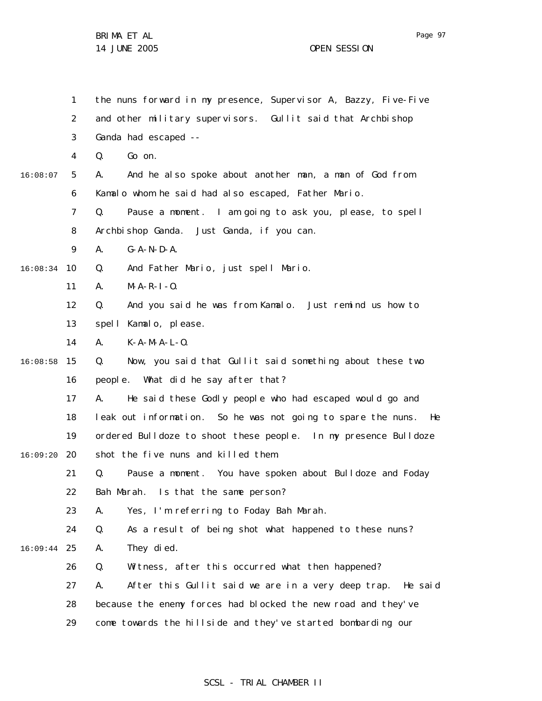1 2 3 4 5 6 7 8 9 10 16:08:34 11 12 13 14 15 16:08:58 16 17 18 19 20 16:09:20 21 22 23 24 25 16:09:44 26 27 28 29 16:08:07 the nuns forward in my presence, Supervisor A, Bazzy, Five-Five and other military supervisors. Gullit said that Archbishop Ganda had escaped -- Q. Go on. A. And he also spoke about another man, a man of God from Kamalo whom he said had also escaped, Father Mario. Q. Pause a moment. I am going to ask you, please, to spell Archbishop Ganda. Just Ganda, if you can. A. G-A-N-D-A. Q. And Father Mario, just spell Mario. A. M-A-R-I-O. Q. And you said he was from Kamalo. Just remind us how to spell Kamalo, please. A. K-A-M-A-L-O. Q. Now, you said that Gullit said something about these two people. What did he say after that? A. He said these Godly people who had escaped would go and leak out information. So he was not going to spare the nuns. He ordered Bulldoze to shoot these people. In my presence Bulldoze shot the five nuns and killed them. Q. Pause a moment. You have spoken about Bulldoze and Foday Bah Marah. Is that the same person? A. Yes, I'm referring to Foday Bah Marah. Q. As a result of being shot what happened to these nuns? A. They died. Q. Witness, after this occurred what then happened? A. After this Gullit said we are in a very deep trap. He said because the enemy forces had blocked the new road and they've come towards the hillside and they've started bombarding our

SCSL - TRIAL CHAMBER II

Page 97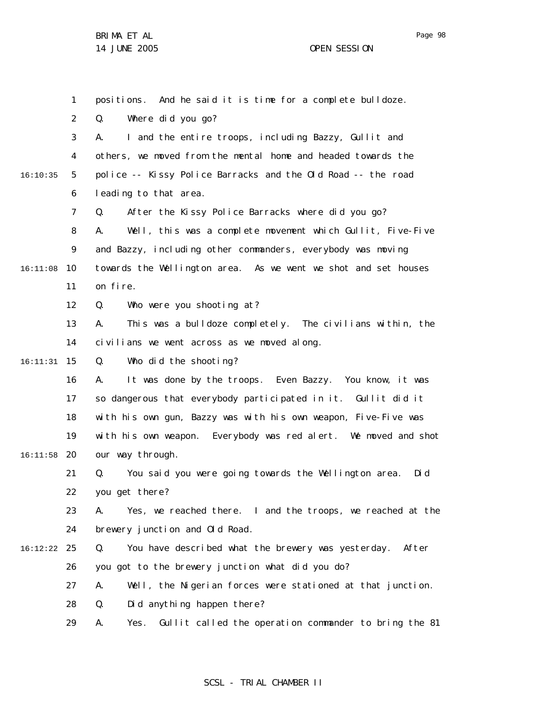1 2 3 4 5 6 7 8 9 10 16:11:08 11 12 13 14 15 16:11:31 16 17 18 19 20 16:11:58 21 22 23 24 25 16:12:22 26 27 28 29 16:10:35 positions. And he said it is time for a complete bulldoze. Q. Where did you go? A. I and the entire troops, including Bazzy, Gullit and others, we moved from the mental home and headed towards the police -- Kissy Police Barracks and the Old Road -- the road leading to that area. Q. After the Kissy Police Barracks where did you go? A. Well, this was a complete movement which Gullit, Five-Five and Bazzy, including other commanders, everybody was moving towards the Wellington area. As we went we shot and set houses on fire. Q. Who were you shooting at? A. This was a bulldoze completely. The civilians within, the civilians we went across as we moved along. Q. Who did the shooting? A. It was done by the troops. Even Bazzy. You know, it was so dangerous that everybody participated in it. Gullit did it with his own gun, Bazzy was with his own weapon, Five-Five was with his own weapon. Everybody was red alert. We moved and shot our way through. Q. You said you were going towards the Wellington area. Did you get there? A. Yes, we reached there. I and the troops, we reached at the brewery junction and Old Road. Q. You have described what the brewery was yesterday. After you got to the brewery junction what did you do? A. Well, the Nigerian forces were stationed at that junction. Q. Did anything happen there? A. Yes. Gullit called the operation commander to bring the 81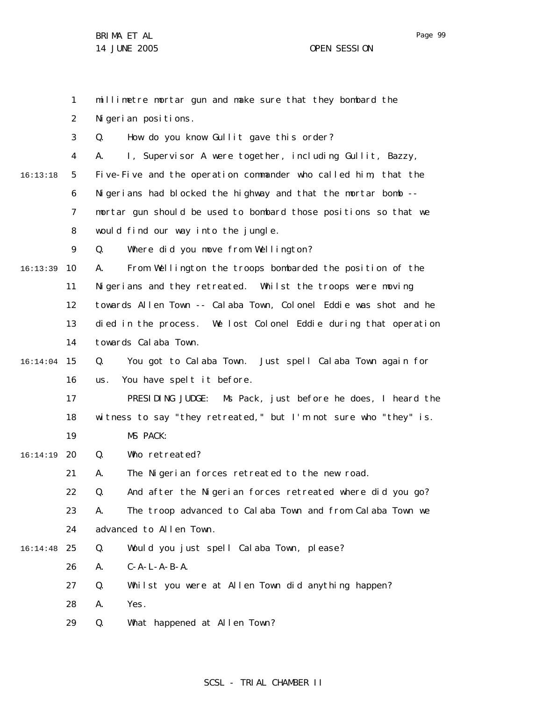1 2 3 4 5 6 7 8 9 10 16:13:39 11 12 13 14 15 16:14:04 16 17 18 19 20 16:14:19 21 22 23 24 25 16:14:48 26 27 28 29 16:13:18 millimetre mortar gun and make sure that they bombard the Nigerian positions. Q. How do you know Gullit gave this order? A. I, Supervisor A were together, including Gullit, Bazzy, Five-Five and the operation commander who called him, that the Nigerians had blocked the highway and that the mortar bomb -mortar gun should be used to bombard those positions so that we would find our way into the jungle. Q. Where did you move from Wellington? A. From Wellington the troops bombarded the position of the Nigerians and they retreated. Whilst the troops were moving towards Allen Town -- Calaba Town, Colonel Eddie was shot and he died in the process. We lost Colonel Eddie during that operation towards Calaba Town. Q. You got to Calaba Town. Just spell Calaba Town again for us. You have spelt it before. PRESIDING JUDGE: Ms Pack, just before he does, I heard the witness to say "they retreated," but I'm not sure who "they" is. MS PACK: Q. Who retreated? A. The Nigerian forces retreated to the new road. Q. And after the Nigerian forces retreated where did you go? A. The troop advanced to Calaba Town and from Calaba Town we advanced to Allen Town. Q. Would you just spell Calaba Town, please? A. C-A-L-A-B-A. Q. Whilst you were at Allen Town did anything happen? A. Yes. Q. What happened at Allen Town?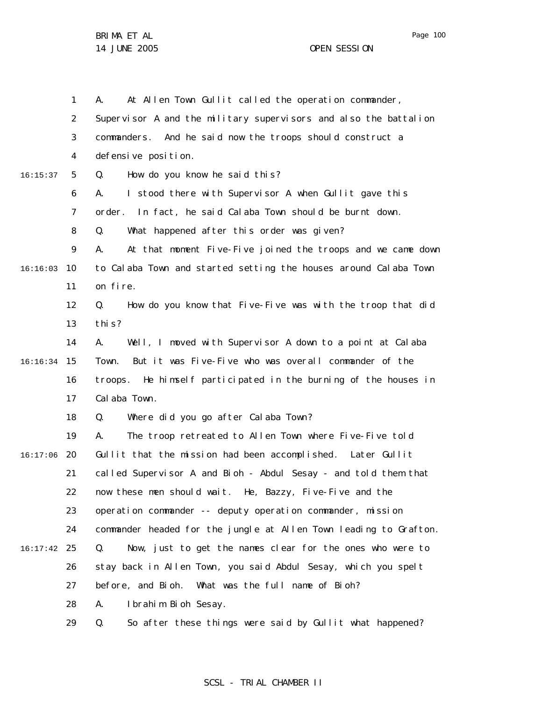|          | $\mathbf{1}$   | At Allen Town Gullit called the operation commander,<br>А.        |
|----------|----------------|-------------------------------------------------------------------|
|          | 2              | Supervisor A and the military supervisors and also the battalion  |
|          | 3              | commanders. And he said now the troops should construct a         |
|          | 4              | defensive position.                                               |
| 16:15:37 | 5              | How do you know he said this?<br>Q.                               |
|          | 6              | I stood there with Supervisor A when Gullit gave this<br>А.       |
|          | $\overline{7}$ | In fact, he said Calaba Town should be burnt down.<br>order.      |
|          | 8              | What happened after this order was given?<br>Q.                   |
|          | 9              | At that moment Five-Five joined the troops and we came down<br>А. |
| 16:16:03 | 10             | to Calaba Town and started setting the houses around Calaba Town  |
|          | 11             | on fire.                                                          |
|          | 12             | How do you know that Five-Five was with the troop that did<br>Q.  |
|          | 13             | thi s?                                                            |
|          | 14             | Well, I moved with Supervisor A down to a point at Calaba<br>А.   |
| 16:16:34 | 15             | But it was Five-Five who was overall commander of the<br>Town.    |
|          | 16             | troops. He himself participated in the burning of the houses in   |
|          | 17             | Cal aba Town.                                                     |
|          | 18             | Where did you go after Calaba Town?<br>Q.                         |
|          | 19             | The troop retreated to Allen Town where Five-Five told<br>А.      |
| 16:17:06 | 20             | Gullit that the mission had been accomplished. Later Gullit       |
|          | 21             | called Supervisor A and Bioh - Abdul Sesay - and told them that   |
|          | 22             | now these men should wait. He, Bazzy, Five-Five and the           |
|          | 23             | operation commander -- deputy operation commander, mission        |
|          | 24             | commander headed for the jungle at Allen Town leading to Grafton. |
| 16:17:42 | 25             | Now, just to get the names clear for the ones who were to<br>Q.   |
|          | 26             | stay back in Allen Town, you said Abdul Sesay, which you spelt    |
|          | 27             | What was the full name of Bioh?<br>before, and Bioh.              |
|          | 28             | Ibrahim Bioh Sesay.<br>А.                                         |
|          | 29             | So after these things were said by Gullit what happened?<br>Q.    |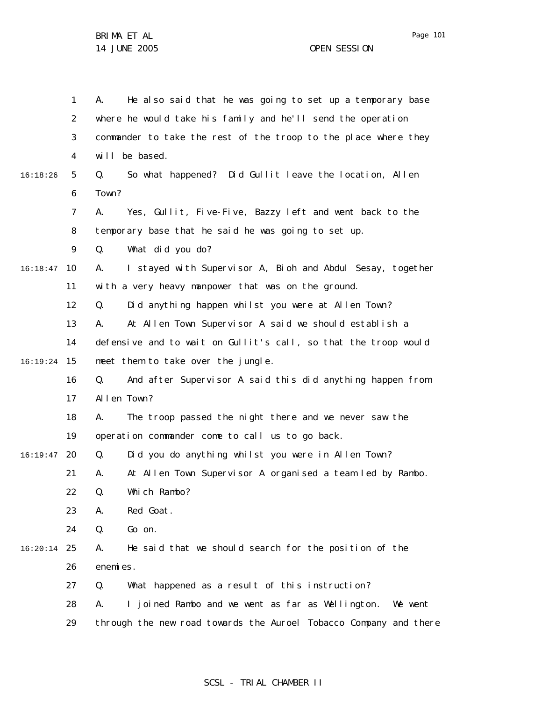|          | 1  | He also said that he was going to set up a temporary base<br>А.   |
|----------|----|-------------------------------------------------------------------|
|          | 2  | where he would take his family and he'll send the operation       |
|          | 3  | commander to take the rest of the troop to the place where they   |
|          | 4  | will be based.                                                    |
| 16:18:26 | 5  | So what happened? Did Gullit leave the location, Allen<br>Q.      |
|          | 6  | Town?                                                             |
|          | 7  | Yes, Gullit, Five-Five, Bazzy left and went back to the<br>А.     |
|          | 8  | temporary base that he said he was going to set up.               |
|          | 9  | What did you do?<br>Q.                                            |
| 16:18:47 | 10 | I stayed with Supervisor A, Bioh and Abdul Sesay, together<br>А.  |
|          | 11 | with a very heavy manpower that was on the ground.                |
|          | 12 | Did anything happen whilst you were at Allen Town?<br>Q.          |
|          | 13 | At Allen Town Supervisor A said we should establish a<br>А.       |
|          | 14 | defensive and to wait on Gullit's call, so that the troop would   |
| 16:19:24 | 15 | meet them to take over the jungle.                                |
|          | 16 | And after Supervisor A said this did anything happen from<br>Q.   |
|          | 17 | Allen Town?                                                       |
|          | 18 | The troop passed the night there and we never saw the<br>А.       |
|          | 19 | operation commander come to call us to go back.                   |
| 16:19:47 | 20 | Did you do anything whilst you were in Allen Town?<br>Q.          |
|          | 21 | At Allen Town Supervisor A organised a team led by Rambo.<br>А.   |
|          | 22 | Which Rambo?<br>Q.                                                |
|          | 23 | Red Goat.<br>А.                                                   |
|          | 24 | Q.<br>Go on.                                                      |
| 16:20:14 | 25 | He said that we should search for the position of the<br>А.       |
|          | 26 | enemies.                                                          |
|          | 27 | What happened as a result of this instruction?<br>Q.              |
|          | 28 | I joined Rambo and we went as far as Wellington. We went<br>А.    |
|          | 29 | through the new road towards the Auroel Tobacco Company and there |

# SCSL - TRIAL CHAMBER II

Page 101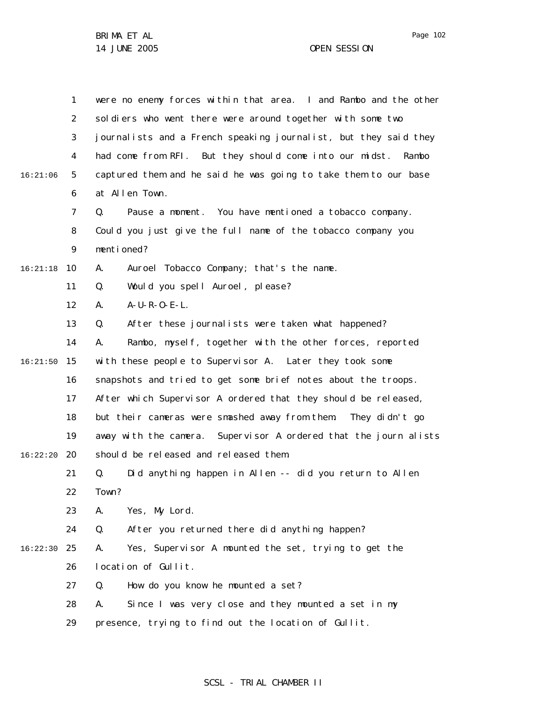|          | 1              | were no enemy forces within that area. I and Rambo and the other |
|----------|----------------|------------------------------------------------------------------|
|          | $\overline{2}$ | soldiers who went there were around together with some two       |
|          | 3              | journalists and a French speaking journalist, but they said they |
|          | 4              | had come from RFI. But they should come into our midst.<br>Rambo |
| 16:21:06 | 5              | captured them and he said he was going to take them to our base  |
|          | 6              | at Allen Town.                                                   |
|          | 7              | Pause a moment. You have mentioned a tobacco company.<br>Q.      |
|          | 8              | Could you just give the full name of the tobacco company you     |
|          | 9              | mentioned?                                                       |
| 16:21:18 | 10             | Auroel Tobacco Company; that's the name.<br>А.                   |
|          | 11             | Would you spell Auroel, please?<br>Q.                            |
|          | 12             | $A-U-R-O-E-L$ .<br>А.                                            |
|          | 13             | After these journalists were taken what happened?<br>Q.          |
|          | 14             | Rambo, myself, together with the other forces, reported<br>А.    |
| 16:21:50 | 15             | with these people to Supervisor A. Later they took some          |
|          | 16             | snapshots and tried to get some brief notes about the troops.    |
|          | 17             | After which Supervisor A ordered that they should be released,   |
|          | 18             | but their cameras were smashed away from them. They didn't go    |
|          | 19             | away with the camera. Supervisor A ordered that the journ alists |
| 16:22:20 | 20             | should be released and released them.                            |
|          | 21             | Did anything happen in Allen -- did you return to Allen<br>Q.    |
|          | 22             | Town?                                                            |
|          | 23             | Yes, My Lord.<br>А.                                              |
|          | 24             | After you returned there did anything happen?<br>Q.              |
| 16:22:30 | 25             | Yes, Supervisor A mounted the set, trying to get the<br>А.       |
|          | 26             | location of Gullit.                                              |
|          | 27             | How do you know he mounted a set?<br>Q.                          |
|          | 28             | Since I was very close and they mounted a set in my<br>А.        |
|          | 29             | presence, trying to find out the location of Gullit.             |

# SCSL - TRIAL CHAMBER II

Page 102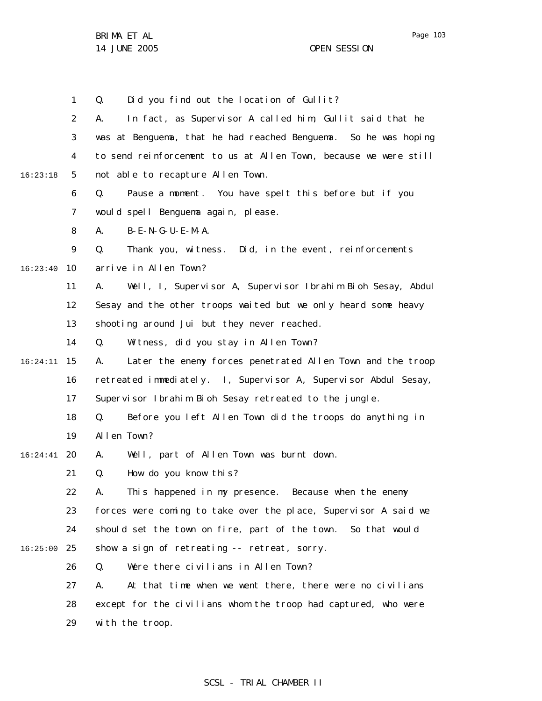1 Q. Did you find out the location of Gullit?

2 3 4 5 6 7 8 9 10 16:23:40 11 12 13 14 15 16:24:11 16 17 18 19 20 16:24:41 21 22 23 24 25 16:25:00 26 27 28 29 16:23:18 A. In fact, as Supervisor A called him, Gullit said that he was at Benguema, that he had reached Benguema. So he was hoping to send reinforcement to us at Allen Town, because we were still not able to recapture Allen Town. Q. Pause a moment. You have spelt this before but if you would spell Benguema again, please. A. B-E-N-G-U-E-M-A. Q. Thank you, witness. Did, in the event, reinforcements arrive in Allen Town? A. Well, I, Supervisor A, Supervisor Ibrahim Bioh Sesay, Abdul Sesay and the other troops waited but we only heard some heavy shooting around Jui but they never reached. Q. Witness, did you stay in Allen Town? A. Later the enemy forces penetrated Allen Town and the troop retreated immediately. I, Supervisor A, Supervisor Abdul Sesay, Supervisor Ibrahim Bioh Sesay retreated to the jungle. Q. Before you left Allen Town did the troops do anything in Allen Town? A. Well, part of Allen Town was burnt down. Q. How do you know this? A. This happened in my presence. Because when the enemy forces were coming to take over the place, Supervisor A said we should set the town on fire, part of the town. So that would show a sign of retreating -- retreat, sorry. Q. Were there civilians in Allen Town? A. At that time when we went there, there were no civilians except for the civilians whom the troop had captured, who were with the troop.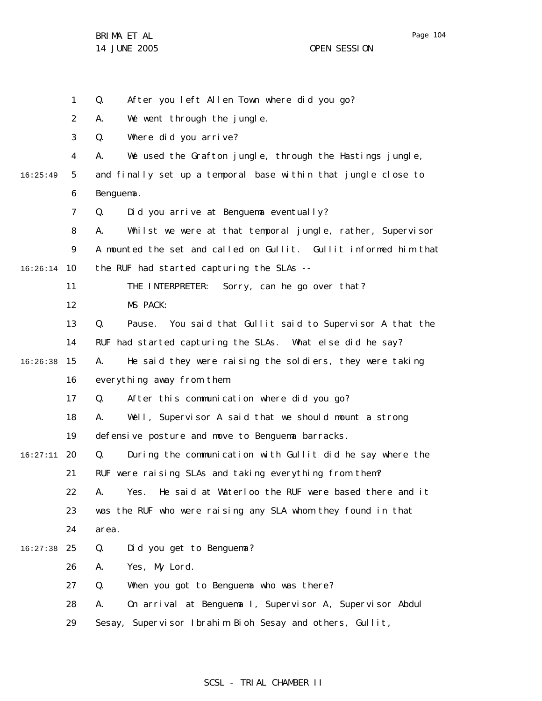1 Q. After you left Allen Town where did you go?

2 A. We went through the jungle.

3 Q. Where did you arrive?

4 A. We used the Grafton jungle, through the Hastings jungle,

5 6 16:25:49 and finally set up a temporal base within that jungle close to Benguema.

> 7 Q. Did you arrive at Benguema eventually?

8 9 10 16:26:14 A. Whilst we were at that temporal jungle, rather, Supervisor A mounted the set and called on Gullit. Gullit informed him that the RUF had started capturing the SLAs --

11 THE INTERPRETER: Sorry, can he go over that?

12 MS PACK:

13 14 Q. Pause. You said that Gullit said to Supervisor A that the RUF had started capturing the SLAs. What else did he say?

15 16:26:38 16 A. He said they were raising the soldiers, they were taking everything away from them.

> 17 Q. After this communication where did you go?

18 A. Well, Supervisor A said that we should mount a strong

19 defensive posture and move to Benguema barracks.

20 16:27:11 21 Q. During the communication with Gullit did he say where the RUF were raising SLAs and taking everything from them?

22 23 24 A. Yes. He said at Waterloo the RUF were based there and it was the RUF who were raising any SLA whom they found in that area.

25 16:27:38 Q. Did you get to Benguema?

> 26 A. Yes, My Lord.

27 Q. When you got to Benguema who was there?

28 A. On arrival at Benguema I, Supervisor A, Supervisor Abdul

29 Sesay, Supervisor Ibrahim Bioh Sesay and others, Gullit,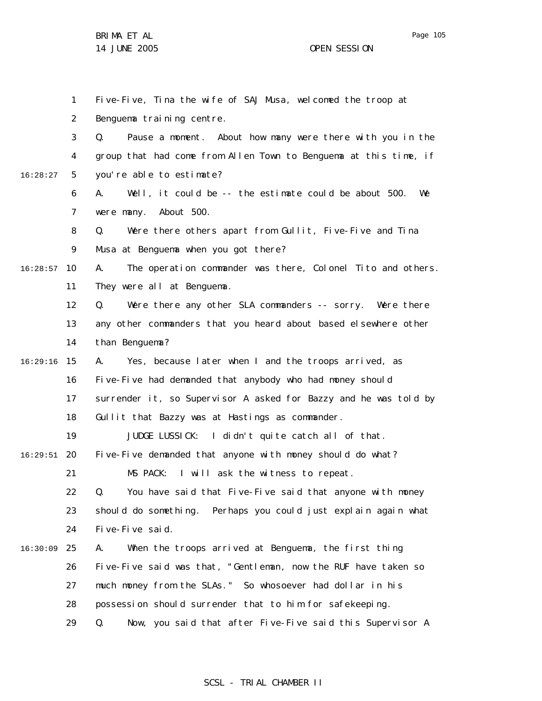Page 105

|          | 1              | Five-Five, Tina the wife of SAJ Musa, welcomed the troop at       |
|----------|----------------|-------------------------------------------------------------------|
|          | 2              | Benguema training centre.                                         |
|          | 3              | Q.<br>Pause a moment. About how many were there with you in the   |
|          | 4              | group that had come from Allen Town to Benguema at this time, if  |
| 16:28:27 | 5              | you're able to estimate?                                          |
|          | 6              | Well, it could be -- the estimate could be about 500.<br>We<br>А. |
|          | $\overline{7}$ | About 500.<br>were many.                                          |
|          | 8              | Were there others apart from Gullit, Five-Five and Tina<br>Q.     |
|          | 9              | Musa at Benguema when you got there?                              |
| 16:28:57 | 10             | The operation commander was there, Colonel Tito and others.<br>А. |
|          | 11             | They were all at Benguema.                                        |
|          | 12             | Q.<br>Were there any other SLA commanders -- sorry. Were there    |
|          | 13             | any other commanders that you heard about based elsewhere other   |
|          | 14             | than Benguema?                                                    |
| 16:29:16 | 15             | Yes, because later when I and the troops arrived, as<br>А.        |
|          | 16             | Five-Five had demanded that anybody who had money should          |
|          | 17             | surrender it, so Supervisor A asked for Bazzy and he was told by  |
|          | 18             | Gullit that Bazzy was at Hastings as commander.                   |
|          | 19             | JUDGE LUSSICK: I didn't quite catch all of that.                  |
| 16:29:51 | 20             | Five-Five demanded that anyone with money should do what?         |
|          | 21             | I will ask the witness to repeat.<br>MS PACK:                     |
|          | 22             | You have said that Five-Five said that anyone with money<br>Q.    |
|          | 23             | should do something. Perhaps you could just explain again what    |
|          | 24             | Five-Five said.                                                   |
| 16:30:09 | 25             | А.<br>When the troops arrived at Benguema, the first thing        |
|          | 26             | Five-Five said was that, "Gentleman, now the RUF have taken so    |
|          | 27             | much money from the SLAs." So whosoever had dollar in his         |
|          | 28             | possession should surrender that to him for safekeeping.          |
|          | 29             | Now, you said that after Five-Five said this Supervisor A<br>Q.   |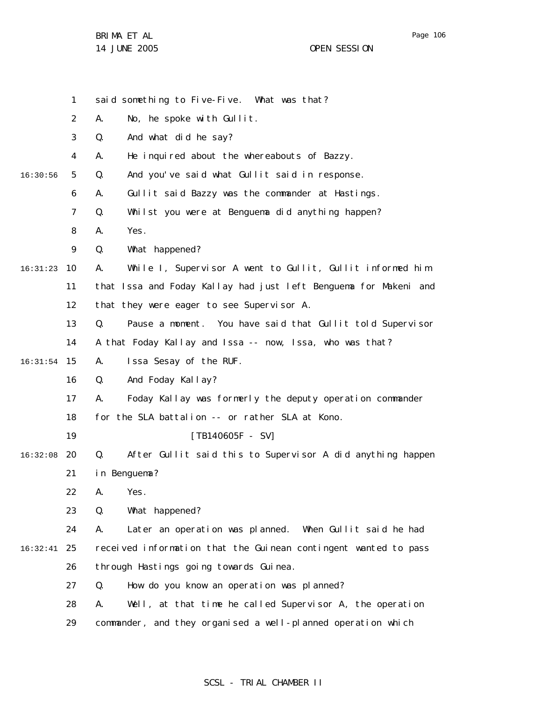|          | 1              | said something to Five-Five. What was that?                      |
|----------|----------------|------------------------------------------------------------------|
|          | 2              | No, he spoke with Gullit.<br>А.                                  |
|          | 3              | And what did he say?<br>Q.                                       |
|          | 4              | He inquired about the whereabouts of Bazzy.<br>А.                |
| 16:30:56 | 5              | Q.<br>And you've said what Gullit said in response.              |
|          | 6              | Gullit said Bazzy was the commander at Hastings.<br>А.           |
|          | $\overline{7}$ | Whilst you were at Benguema did anything happen?<br>Q.           |
|          | 8              | Yes.<br>А.                                                       |
|          | 9              | Q.<br>What happened?                                             |
| 16:31:23 | 10             | While I, Supervisor A went to Gullit, Gullit informed him<br>А.  |
|          | 11             | that Issa and Foday Kallay had just left Benguema for Makeni and |
|          | 12             | that they were eager to see Supervisor A.                        |
|          | 13             | Q.<br>Pause a moment. You have said that Gullit told Supervisor  |
|          | 14             | A that Foday Kallay and Issa -- now, Issa, who was that?         |
| 16:31:54 | 15             | Issa Sesay of the RUF.<br>А.                                     |
|          | 16             | And Foday Kallay?<br>Q.                                          |
|          | 17             | Foday Kallay was formerly the deputy operation commander<br>А.   |
|          | 18             | for the SLA battalion -- or rather SLA at Kono.                  |
|          | 19             | $[TB140605F - SV]$                                               |
| 16:32:08 | 20             | After Gullit said this to Supervisor A did anything happen<br>Q. |
|          | 21             | in Benguema?                                                     |
|          | 22             | А.<br>Yes.                                                       |
|          | 23             | Q.<br>What happened?                                             |
|          | 24             | Later an operation was planned. When Gullit said he had<br>А.    |
| 16:32:41 | 25             | received information that the Guinean contingent wanted to pass  |
|          | 26             | through Hastings going towards Guinea.                           |
|          | 27             | How do you know an operation was planned?<br>Q.                  |
|          | 28             | Well, at that time he called Supervisor A, the operation<br>А.   |
|          | 29             | commander, and they organised a well-planned operation which     |

# SCSL - TRIAL CHAMBER II

Page 106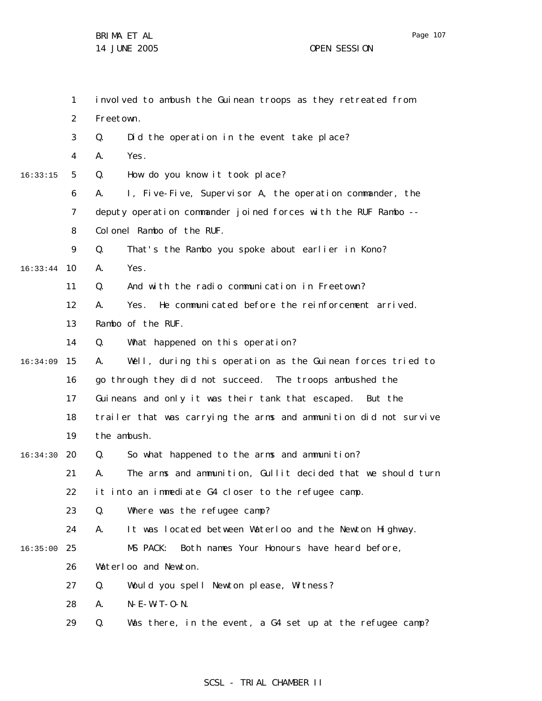Page 107

BRIMA ET AL 14 JUNE 2005 OPEN SESSION

|          | $\mathbf{1}$ | involved to ambush the Guinean troops as they retreated from      |
|----------|--------------|-------------------------------------------------------------------|
|          | 2            | Freetown.                                                         |
|          | 3            | Did the operation in the event take place?<br>Q.                  |
|          | 4            | Yes.<br>А.                                                        |
| 16:33:15 | 5            | How do you know it took place?<br>Q.                              |
|          | 6            | I, Five-Five, Supervisor A, the operation commander, the<br>А.    |
|          | 7            | deputy operation commander joined forces with the RUF Rambo --    |
|          | 8            | Colonel Rambo of the RUF.                                         |
|          | 9            | That's the Rambo you spoke about earlier in Kono?<br>Q.           |
| 16:33:44 | 10           | Yes.<br>А.                                                        |
|          | 11           | And with the radio communication in Freetown?<br>Q.               |
|          | 12           | He communicated before the reinforcement arrived.<br>А.<br>Yes.   |
|          | 13           | Rambo of the RUF.                                                 |
|          | 14           | Q.<br>What happened on this operation?                            |
| 16:34:09 | 15           | Well, during this operation as the Guinean forces tried to<br>А.  |
|          | 16           | go through they did not succeed. The troops ambushed the          |
|          | 17           | Guineans and only it was their tank that escaped.<br>But the      |
|          | 18           | trailer that was carrying the arms and ammunition did not survive |
|          | 19           | the ambush.                                                       |
| 16:34:30 | 20           | So what happened to the arms and ammunition?<br>Q.                |
|          | 21           | The arms and ammunition, Gullit decided that we should turn<br>А. |
|          | 22           | it into an immediate G4 closer to the refugee camp.               |
|          | 23           | Where was the refugee camp?<br>Q.                                 |
|          | 24           | It was located between Waterloo and the Newton Highway.<br>А.     |
| 16:35:00 | 25           | MS PACK:<br>Both names Your Honours have heard before,            |
|          | 26           | Waterloo and Newton.                                              |
|          | 27           | Would you spell Newton please, Witness?<br>Q.                     |
|          | 28           | $N - E - W - T - O - N$ .<br>А.                                   |
|          | 29           | Q.<br>Was there, in the event, a G4 set up at the refugee camp?   |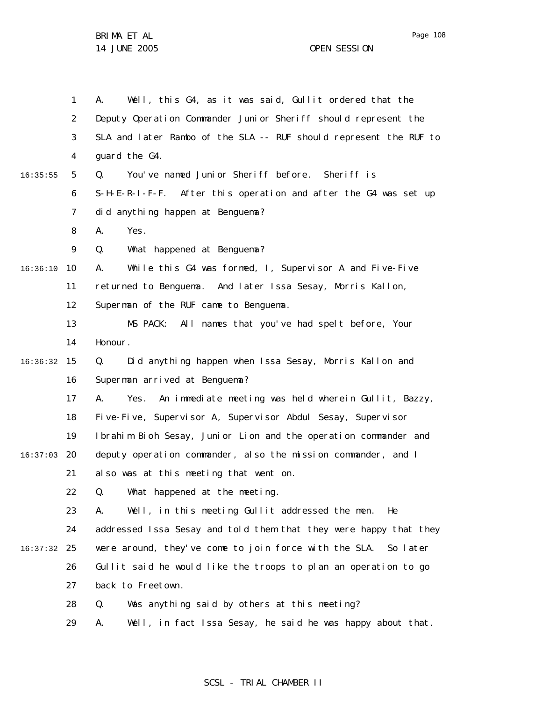1 2 3 4 5 6 7 8 9 10 16:36:10 11 12 13 14 15 16:36:32 16 17 18 19 20 16:37:03 21 22 23 24 25 16:37:32 26 27 28 29 16:35:55 A. Well, this G4, as it was said, Gullit ordered that the Deputy Operation Commander Junior Sheriff should represent the SLA and later Rambo of the SLA -- RUF should represent the RUF to guard the G4. Q. You've named Junior Sheriff before. Sheriff is S-H-E-R-I-F-F. After this operation and after the G4 was set up did anything happen at Benguema? A. Yes. Q. What happened at Benguema? A. While this G4 was formed, I, Supervisor A and Five-Five returned to Benguema. And later Issa Sesay, Morris Kallon, Superman of the RUF came to Benguema. MS PACK: All names that you've had spelt before, Your Honour. Q. Did anything happen when Issa Sesay, Morris Kallon and Superman arrived at Benguema? A. Yes. An immediate meeting was held wherein Gullit, Bazzy, Five-Five, Supervisor A, Supervisor Abdul Sesay, Supervisor Ibrahim Bioh Sesay, Junior Lion and the operation commander and deputy operation commander, also the mission commander, and I also was at this meeting that went on. Q. What happened at the meeting. A. Well, in this meeting Gullit addressed the men. He addressed Issa Sesay and told them that they were happy that they were around, they've come to join force with the SLA. So later Gullit said he would like the troops to plan an operation to go back to Freetown. Q. Was anything said by others at this meeting? A. Well, in fact Issa Sesay, he said he was happy about that.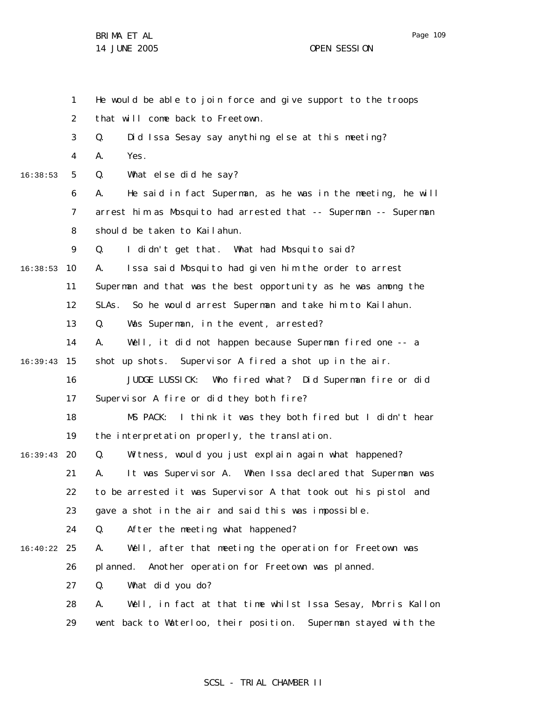Page 109

BRIMA ET AL 14 JUNE 2005 OPEN SESSION

|          | $\mathbf{1}$ | He would be able to join force and give support to the troops     |
|----------|--------------|-------------------------------------------------------------------|
|          | 2            | that will come back to Freetown.                                  |
|          | 3            | Q.<br>Did Issa Sesay say anything else at this meeting?           |
|          | 4            | А.<br>Yes.                                                        |
| 16:38:53 | 5            | What else did he say?<br>Q.                                       |
|          | 6            | He said in fact Superman, as he was in the meeting, he will<br>А. |
|          | 7            | arrest him as Mosquito had arrested that -- Superman -- Superman  |
|          | 8            | should be taken to Kailahun.                                      |
|          | 9            | I didn't get that. What had Mosquito said?<br>Q.                  |
| 16:38:53 | 10           | Issa said Mosquito had given him the order to arrest<br>А.        |
|          | 11           | Superman and that was the best opportunity as he was among the    |
|          | 12           | So he would arrest Superman and take him to Kailahun.<br>SLAs.    |
|          | 13           | Was Superman, in the event, arrested?<br>Q.                       |
|          | 14           | Well, it did not happen because Superman fired one -- a<br>А.     |
| 16:39:43 | 15           | shot up shots. Supervisor A fired a shot up in the air.           |
|          | 16           | JUDGE LUSSICK:<br>Who fired what? Did Superman fire or did        |
|          | 17           | Supervisor A fire or did they both fire?                          |
|          | 18           | I think it was they both fired but I didn't hear<br>MS PACK:      |
|          | 19           | the interpretation properly, the translation.                     |
| 16:39:43 | 20           | Witness, would you just explain again what happened?<br>Q.        |
|          | 21           | It was Supervisor A. When Issa declared that Superman was<br>А.   |
|          | 22           | to be arrested it was Supervisor A that took out his pistol and   |
|          | 23           | gave a shot in the air and said this was impossible.              |
|          | 24           | After the meeting what happened?<br>Q.                            |
| 16:40:22 | 25           | Well, after that meeting the operation for Freetown was<br>Α.     |
|          | 26           | Another operation for Freetown was planned.<br>pl anned.          |
|          | 27           | What did you do?<br>Q.                                            |
|          | 28           | Well, in fact at that time whilst Issa Sesay, Morris Kallon<br>А. |
|          | 29           | went back to Waterloo, their position. Superman stayed with the   |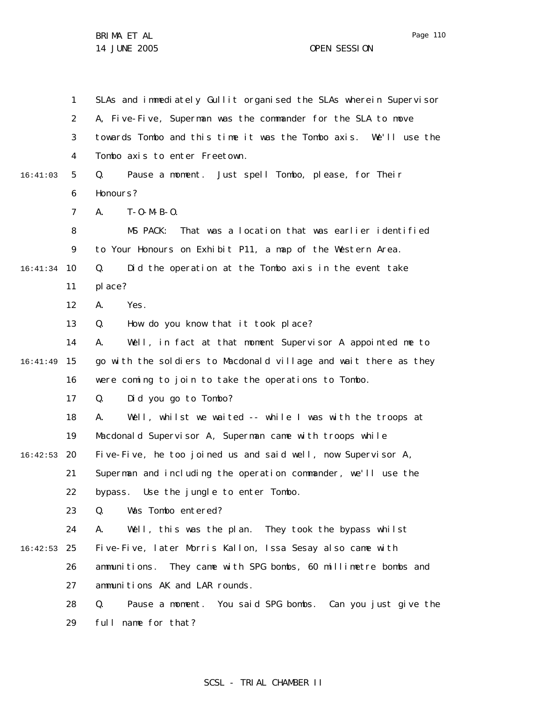Page 110

1 2 3 4 5 6 7 8 9 10 16:41:34 11 12 13 14 15 16:41:49 16 17 18 19 20 16:42:53 21 22 23 24 25 16:42:53 26 27 28 29 16:41:03 SLAs and immediately Gullit organised the SLAs wherein Supervisor A, Five-Five, Superman was the commander for the SLA to move towards Tombo and this time it was the Tombo axis. We'll use the Tombo axis to enter Freetown. Q. Pause a moment. Just spell Tombo, please, for Their Honours? A. T-O-M-B-O. MS PACK: That was a location that was earlier identified to Your Honours on Exhibit P11, a map of the Western Area. Q. Did the operation at the Tombo axis in the event take place? A. Yes. Q. How do you know that it took place? A. Well, in fact at that moment Supervisor A appointed me to go with the soldiers to Macdonald village and wait there as they were coming to join to take the operations to Tombo. Q. Did you go to Tombo? A. Well, whilst we waited -- while I was with the troops at Macdonald Supervisor A, Superman came with troops while Five-Five, he too joined us and said well, now Supervisor A, Superman and including the operation commander, we'll use the bypass. Use the jungle to enter Tombo. Q. Was Tombo entered? A. Well, this was the plan. They took the bypass whilst Five-Five, later Morris Kallon, Issa Sesay also came with ammunitions. They came with SPG bombs, 60 millimetre bombs and ammunitions AK and LAR rounds. Q. Pause a moment. You said SPG bombs. Can you just give the full name for that?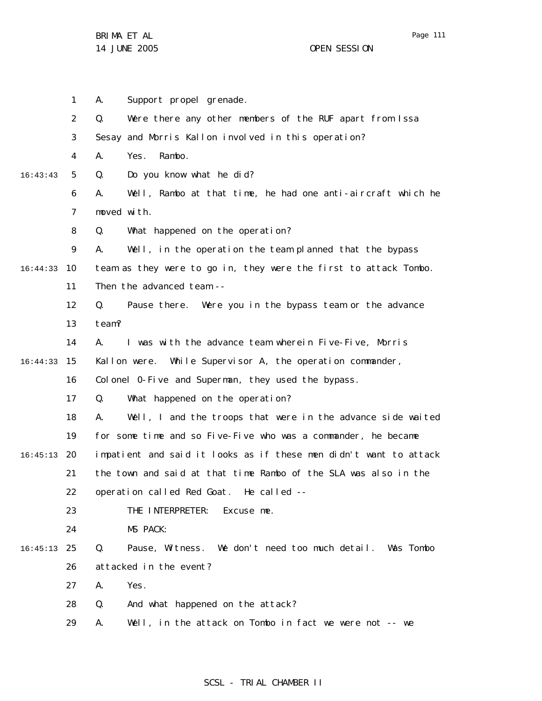|          | 1  | Support propel grenade.<br>А.                                     |  |  |  |
|----------|----|-------------------------------------------------------------------|--|--|--|
|          | 2  | Were there any other members of the RUF apart from Issa<br>Q.     |  |  |  |
|          | 3  | Sesay and Morris Kallon involved in this operation?               |  |  |  |
|          | 4  | Rambo.<br>Yes.<br>А.                                              |  |  |  |
| 16:43:43 | 5  | Do you know what he did?<br>Q.                                    |  |  |  |
|          | 6  | Well, Rambo at that time, he had one anti-aircraft which he<br>А. |  |  |  |
|          | 7  | moved with.                                                       |  |  |  |
|          | 8  | What happened on the operation?<br>Q.                             |  |  |  |
|          | 9  | А.<br>Well, in the operation the team planned that the bypass     |  |  |  |
| 16:44:33 | 10 | team as they were to go in, they were the first to attack Tombo.  |  |  |  |
|          | 11 | Then the advanced team --                                         |  |  |  |
|          | 12 | Q.<br>Pause there. Were you in the bypass team or the advance     |  |  |  |
|          | 13 | team?                                                             |  |  |  |
|          | 14 | I was with the advance team wherein Five-Five, Morris<br>А.       |  |  |  |
| 16:44:33 | 15 | Kallon were. While Supervisor A, the operation commander,         |  |  |  |
|          | 16 | Colonel 0-Five and Superman, they used the bypass.                |  |  |  |
|          | 17 | Q.<br>What happened on the operation?                             |  |  |  |
|          | 18 | Well, I and the troops that were in the advance side waited<br>А. |  |  |  |
|          | 19 | for some time and so Five-Five who was a commander, he became     |  |  |  |
| 16:45:13 | 20 | impatient and said it looks as if these men didn't want to attack |  |  |  |
|          | 21 | the town and said at that time Rambo of the SLA was also in the   |  |  |  |
|          | 22 | operation called Red Goat. He called --                           |  |  |  |
|          | 23 | THE INTERPRETER:<br>Excuse me.                                    |  |  |  |
|          | 24 | MS PACK:                                                          |  |  |  |
| 16:45:13 | 25 | Pause, Witness. We don't need too much detail. Was Tombo<br>Q.    |  |  |  |
|          | 26 | attacked in the event?                                            |  |  |  |
|          | 27 | Yes.<br>А.                                                        |  |  |  |
|          | 28 | Q.<br>And what happened on the attack?                            |  |  |  |
|          | 29 | Well, in the attack on Tombo in fact we were not -- we<br>А.      |  |  |  |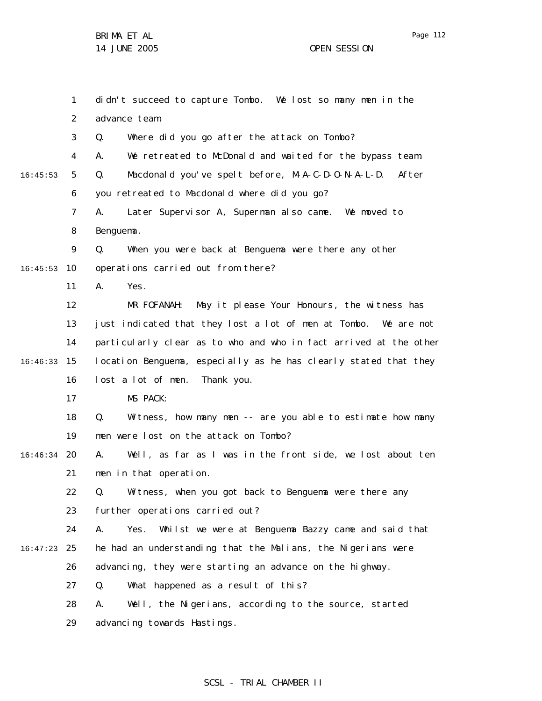Page 112

|          | $\mathbf{1}$   | didn't succeed to capture Tombo. We lost so many men in the        |
|----------|----------------|--------------------------------------------------------------------|
|          | $\overline{2}$ | advance team.                                                      |
|          | 3              | Where did you go after the attack on Tombo?<br>Q.                  |
|          | 4              | We retreated to McDonald and waited for the bypass team.<br>А.     |
| 16:45:53 | 5              | Macdonald you've spelt before, M-A-C-D-O-N-A-L-D.<br>After<br>Q.   |
|          | 6              | you retreated to Macdonald where did you go?                       |
|          | 7              | Later Supervisor A, Superman also came. We moved to<br>А.          |
|          | 8              | Benguema.                                                          |
|          | 9              | Q.<br>When you were back at Benguema were there any other          |
| 16:45:53 | 10             | operations carried out from there?                                 |
|          | 11             | А.<br>Yes.                                                         |
|          | 12             | MR FOFANAH: May it please Your Honours, the witness has            |
|          | 13             | just indicated that they lost a lot of men at Tombo.<br>We are not |
|          | 14             | particularly clear as to who and who in fact arrived at the other  |
| 16:46:33 | 15             | location Benguema, especially as he has clearly stated that they   |
|          | 16             | lost a lot of men. Thank you.                                      |
|          | 17             | MS PACK:                                                           |
|          | 18             | Q.<br>Witness, how many men -- are you able to estimate how many   |
|          | 19             | men were lost on the attack on Tombo?                              |
| 16:46:34 | -20            | Well, as far as I was in the front side, we lost about ten<br>А.   |
|          | 21             | men in that operation.                                             |
|          | 22             | Q. Witness, when you got back to Benguema were there any           |
|          | 23             | further operations carried out?                                    |
|          | 24             | А.<br>Yes.<br>Whilst we were at Benguema Bazzy came and said that  |
| 16:47:23 | 25             | he had an understanding that the Malians, the Nigerians were       |
|          | 26             | advancing, they were starting an advance on the highway.           |
|          | 27             | What happened as a result of this?<br>Q.                           |
|          | 28             | Well, the Nigerians, according to the source, started<br>А.        |
|          | 29             | advancing towards Hastings.                                        |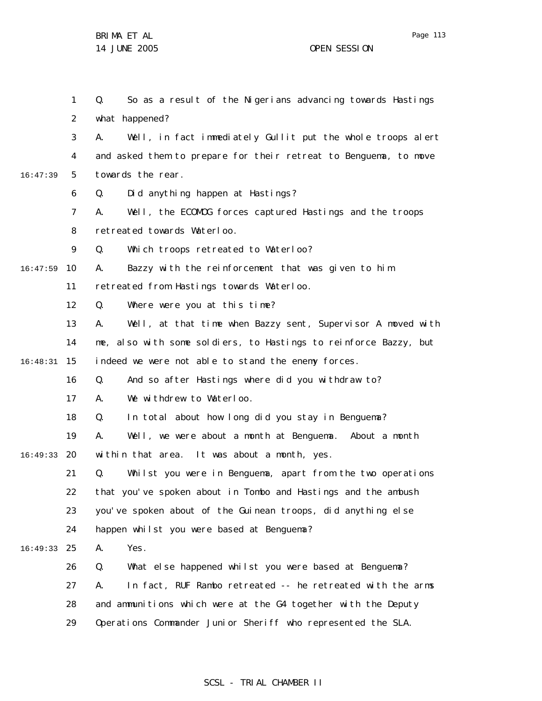1 2 3 4 5 6 7 8 9 10 16:47:59 11 12 13 14 15 16:48:31 16 17 18 19 20 16:49:33 21 22 23 24 25 16:49:33 26 27 28 29 16:47:39 Q. So as a result of the Nigerians advancing towards Hastings what happened? A. Well, in fact immediately Gullit put the whole troops alert and asked them to prepare for their retreat to Benguema, to move towards the rear. Q. Did anything happen at Hastings? A. Well, the ECOMOG forces captured Hastings and the troops retreated towards Waterloo. Q. Which troops retreated to Waterloo? A. Bazzy with the reinforcement that was given to him retreated from Hastings towards Waterloo. Q. Where were you at this time? A. Well, at that time when Bazzy sent, Supervisor A moved with me, also with some soldiers, to Hastings to reinforce Bazzy, but indeed we were not able to stand the enemy forces. Q. And so after Hastings where did you withdraw to? A. We withdrew to Waterloo. Q. In total about how long did you stay in Benguema? A. Well, we were about a month at Benguema. About a month within that area. It was about a month, yes. Q. Whilst you were in Benguema, apart from the two operations that you've spoken about in Tombo and Hastings and the ambush you've spoken about of the Guinean troops, did anything else happen whilst you were based at Benguema? A. Yes. Q. What else happened whilst you were based at Benguema? A. In fact, RUF Rambo retreated -- he retreated with the arms and ammunitions which were at the G4 together with the Deputy Operations Commander Junior Sheriff who represented the SLA.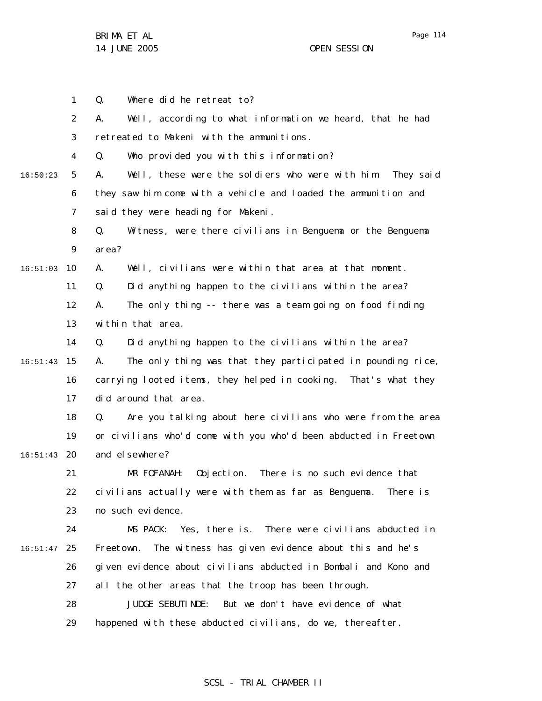1 2 3 4 5 6 7 8 9 10 16:51:03 11 12 13 14 15 16:51:43 16 17 18 19 20 16:51:43 21 22 23 24 25 16:51:47 26 27 28 29 16:50:23 Q. Where did he retreat to? A. Well, according to what information we heard, that he had retreated to Makeni with the ammunitions. Q. Who provided you with this information? A. Well, these were the soldiers who were with him. They said they saw him come with a vehicle and loaded the ammunition and said they were heading for Makeni. Q. Witness, were there civilians in Benguema or the Benguema area? A. Well, civilians were within that area at that moment. Q. Did anything happen to the civilians within the area? A. The only thing -- there was a team going on food finding within that area. Q. Did anything happen to the civilians within the area? A. The only thing was that they participated in pounding rice, carrying looted items, they helped in cooking. That's what they did around that area. Q. Are you talking about here civilians who were from the area or civilians who'd come with you who'd been abducted in Freetown and el sewhere? MR FOFANAH: Objection. There is no such evidence that civilians actually were with them as far as Benguema. There is no such evidence. MS PACK: Yes, there is. There were civilians abducted in Freetown. The witness has given evidence about this and he's given evidence about civilians abducted in Bombali and Kono and all the other areas that the troop has been through. JUDGE SEBUTINDE: But we don't have evidence of what happened with these abducted civilians, do we, thereafter.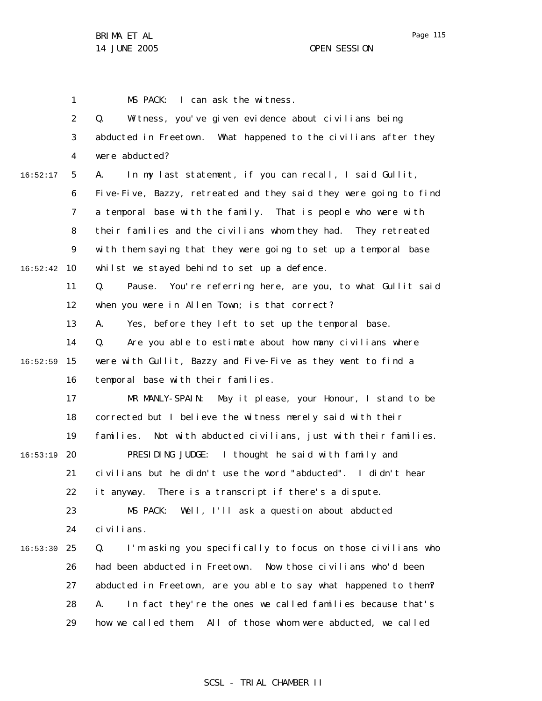1 MS PACK: I can ask the witness.

2 3 4 5 6 7 8 9 10 16:52:42 11 12 13 14 15 16:52:59 16 17 18 19 20 16:53:19 21 22 23 24 25 16:53:30 26 27 28 29 16:52:17 Q. Witness, you've given evidence about civilians being abducted in Freetown. What happened to the civilians after they were abducted? A. In my last statement, if you can recall, I said Gullit, Five-Five, Bazzy, retreated and they said they were going to find a temporal base with the family. That is people who were with their families and the civilians whom they had. They retreated with them saying that they were going to set up a temporal base whilst we stayed behind to set up a defence. Q. Pause. You're referring here, are you, to what Gullit said when you were in Allen Town; is that correct? A. Yes, before they left to set up the temporal base. Q. Are you able to estimate about how many civilians where were with Gullit, Bazzy and Five-Five as they went to find a temporal base with their families. MR MANLY-SPAIN: May it please, your Honour, I stand to be corrected but I believe the witness merely said with their families. Not with abducted civilians, just with their families. PRESIDING JUDGE: I thought he said with family and civilians but he didn't use the word "abducted". I didn't hear it anyway. There is a transcript if there's a dispute. MS PACK: Well, I'll ask a question about abducted civilians. Q. I'm asking you specifically to focus on those civilians who had been abducted in Freetown. Now those civilians who'd been abducted in Freetown, are you able to say what happened to them? A. In fact they're the ones we called families because that's how we called them. All of those whom were abducted, we called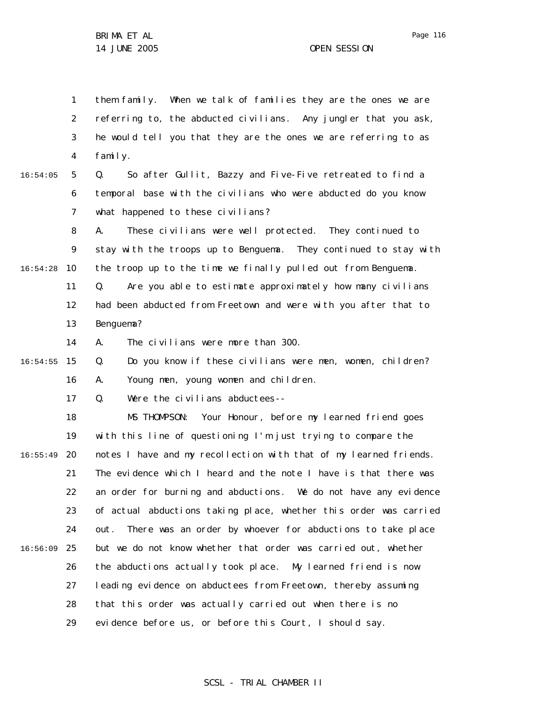1 2 3 4 them family. When we talk of families they are the ones we are referring to, the abducted civilians. Any jungler that you ask, he would tell you that they are the ones we are referring to as family.

5 6 7 16:54:05 Q. So after Gullit, Bazzy and Five-Five retreated to find a temporal base with the civilians who were abducted do you know what happened to these civilians?

8 9 10 11 12 13 16:54:28 A. These civilians were well protected. They continued to stay with the troops up to Benguema. They continued to stay with the troop up to the time we finally pulled out from Benguema. Q. Are you able to estimate approximately how many civilians had been abducted from Freetown and were with you after that to Benguema?

> 14 A. The civilians were more than 300.

15 16:54:55 16 Q. Do you know if these civilians were men, women, children? A. Young men, young women and children.

> 17 Q. Were the civilians abductees--

18 19 20 16:55:49 21 22 23 24 25 16:56:09 26 27 28 29 MS THOMPSON: Your Honour, before my learned friend goes with this line of questioning I'm just trying to compare the notes I have and my recollection with that of my learned friends. The evidence which I heard and the note I have is that there was an order for burning and abductions. We do not have any evidence of actual abductions taking place, whether this order was carried out. There was an order by whoever for abductions to take place but we do not know whether that order was carried out, whether the abductions actually took place. My learned friend is now leading evidence on abductees from Freetown, thereby assuming that this order was actually carried out when there is no evidence before us, or before this Court, I should say.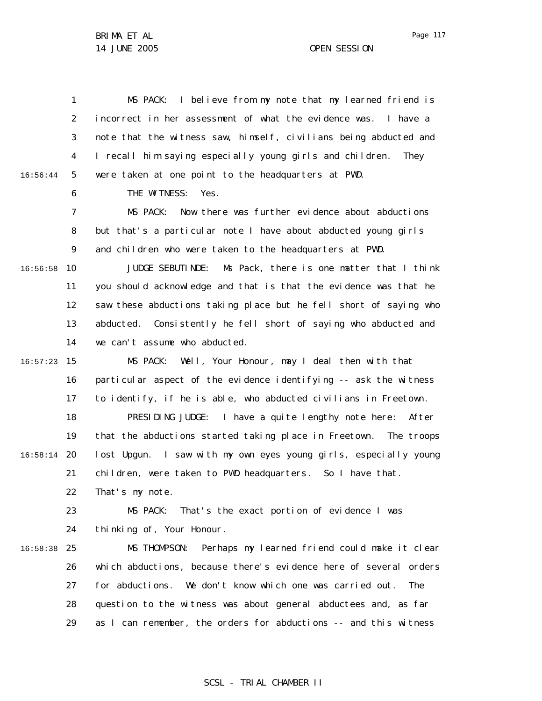1 2 3 4 5 6 7 8 9 10 16:56:58 11 12 13 14 15 16:57:23 16 17 18 19 20 16:58:14 21 22 23 24 25 16:58:38 26 27 28 29 16:56:44 MS PACK: I believe from my note that my learned friend is incorrect in her assessment of what the evidence was. I have a note that the witness saw, himself, civilians being abducted and I recall him saying especially young girls and children. They were taken at one point to the headquarters at PWD. THE WITNESS: Yes. MS PACK: Now there was further evidence about abductions but that's a particular note I have about abducted young girls and children who were taken to the headquarters at PWD. JUDGE SEBUTINDE: Ms Pack, there is one matter that I think you should acknowledge and that is that the evidence was that he saw these abductions taking place but he fell short of saying who abducted. Consistently he fell short of saying who abducted and we can't assume who abducted. MS PACK: Well, Your Honour, may I deal then with that particular aspect of the evidence identifying -- ask the witness to identify, if he is able, who abducted civilians in Freetown. PRESIDING JUDGE: I have a quite lengthy note here: After that the abductions started taking place in Freetown. The troops lost Upgun. I saw with my own eyes young girls, especially young children, were taken to PWD headquarters. So I have that. That's my note. MS PACK: That's the exact portion of evidence I was thinking of, Your Honour. MS THOMPSON: Perhaps my learned friend could make it clear which abductions, because there's evidence here of several orders for abductions. We don't know which one was carried out. The question to the witness was about general abductees and, as far as I can remember, the orders for abductions -- and this witness

#### Page 117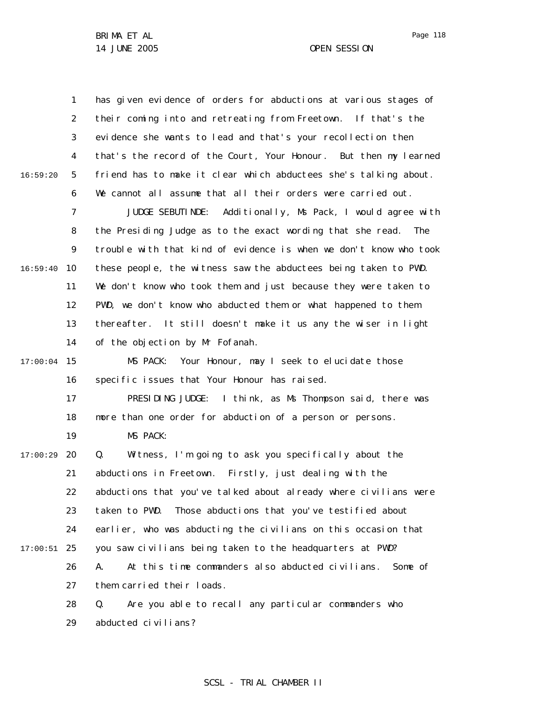1 2 3 4 5 6 7 8 9 10 16:59:40 11 12 13 14 15 17:00:04 16 17 18 19 20 17:00:29 21 22 23 24 25 17:00:51 26 27 28 29 16:59:20 has given evidence of orders for abductions at various stages of their coming into and retreating from Freetown. If that's the evidence she wants to lead and that's your recollection then that's the record of the Court, Your Honour. But then my learned friend has to make it clear which abductees she's talking about. We cannot all assume that all their orders were carried out. JUDGE SEBUTINDE: Additionally, Ms Pack, I would agree with the Presiding Judge as to the exact wording that she read. The trouble with that kind of evidence is when we don't know who took these people, the witness saw the abductees being taken to PWD. We don't know who took them and just because they were taken to PWD, we don't know who abducted them or what happened to them thereafter. It still doesn't make it us any the wiser in light of the objection by Mr Fofanah. MS PACK: Your Honour, may I seek to elucidate those specific issues that Your Honour has raised. PRESIDING JUDGE: I think, as Ms Thompson said, there was more than one order for abduction of a person or persons. MS PACK: Q. Witness, I'm going to ask you specifically about the abductions in Freetown. Firstly, just dealing with the abductions that you've talked about already where civilians were taken to PWD. Those abductions that you've testified about earlier, who was abducting the civilians on this occasion that you saw civilians being taken to the headquarters at PWD? A. At this time commanders also abducted civilians. Some of them carried their loads. Q. Are you able to recall any particular commanders who abducted civilians?

Page 118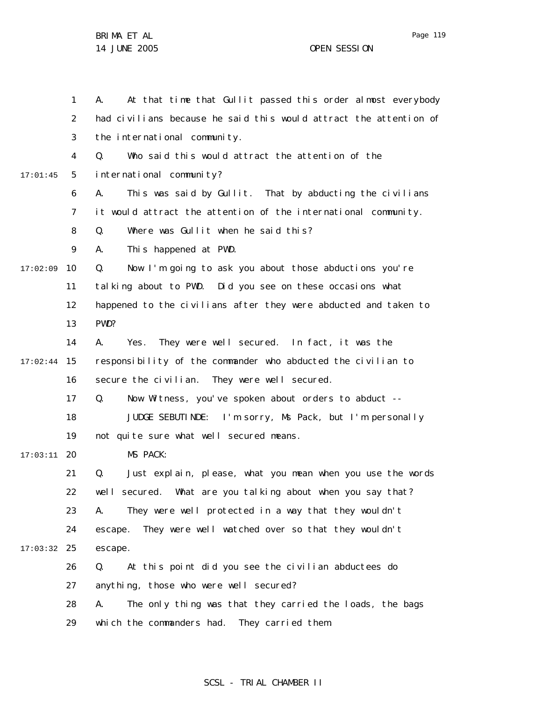Page 119

1 2 3 4 5 6 7 8 9 10 17:02:09 11 12 13 14 15 17:02:44 16 17 18 19 20 17:03:11 21 22 23 24 25 17:03:32 26 27 28 29 17:01:45 A. At that time that Gullit passed this order almost everybody had civilians because he said this would attract the attention of the international community. Q. Who said this would attract the attention of the international community? A. This was said by Gullit. That by abducting the civilians it would attract the attention of the international community. Q. Where was Gullit when he said this? A. This happened at PWD. Q. Now I'm going to ask you about those abductions you're talking about to PWD. Did you see on these occasions what happened to the civilians after they were abducted and taken to PWD? A. Yes. They were well secured. In fact, it was the responsibility of the commander who abducted the civilian to secure the civilian. They were well secured. Q. Now Witness, you've spoken about orders to abduct -- JUDGE SEBUTINDE: I'm sorry, Ms Pack, but I'm personally not quite sure what well secured means. MS PACK: Q. Just explain, please, what you mean when you use the words well secured. What are you talking about when you say that? A. They were well protected in a way that they wouldn't escape. They were well watched over so that they wouldn't escape. Q. At this point did you see the civilian abductees do anything, those who were well secured? A. The only thing was that they carried the loads, the bags which the commanders had. They carried them.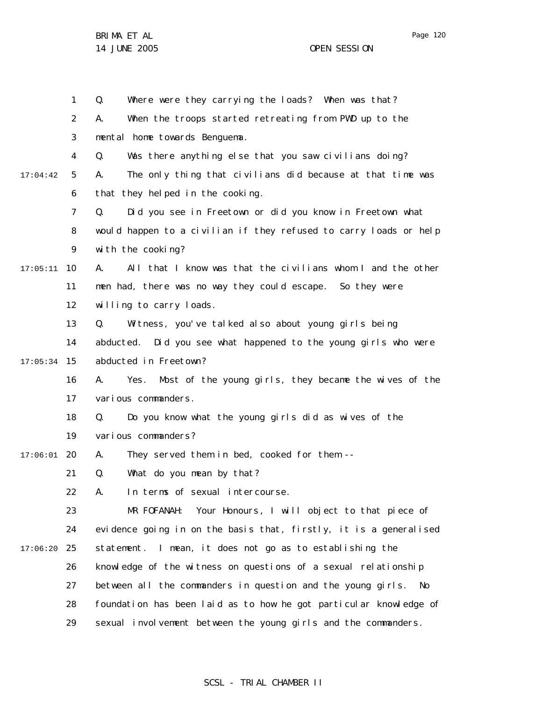Page 120

BRIMA ET AL 14 JUNE 2005 OPEN SESSION

|          | $\mathbf{1}$   | Where were they carrying the loads? When was that?<br>Q.            |
|----------|----------------|---------------------------------------------------------------------|
|          | $\overline{2}$ | When the troops started retreating from PWD up to the<br>Α.         |
|          | 3              | mental home towards Benguema.                                       |
|          | 4              | Was there anything else that you saw civilians doing?<br>Q.         |
| 17:04:42 | 5              | The only thing that civilians did because at that time was<br>А.    |
|          | 6              | that they helped in the cooking.                                    |
|          | $\overline{7}$ | Did you see in Freetown or did you know in Freetown what<br>Q.      |
|          | 8              | would happen to a civilian if they refused to carry loads or help   |
|          | 9              | with the cooking?                                                   |
| 17:05:11 | 10             | All that I know was that the civilians whom I and the other<br>А.   |
|          | 11             | men had, there was no way they could escape. So they were           |
|          | 12             | willing to carry loads.                                             |
|          | 13             | Witness, you've talked also about young girls being<br>Q.           |
|          | 14             | abducted. Did you see what happened to the young girls who were     |
| 17:05:34 | 15             | abducted in Freetown?                                               |
|          | 16             | Most of the young girls, they became the wives of the<br>Yes.<br>А. |
|          | 17             | various commanders.                                                 |
|          | 18             | Do you know what the young girls did as wives of the<br>Q.          |
|          | 19             | various commanders?                                                 |
| 17:06:01 | 20             | They served them in bed, cooked for them --<br>А.                   |
|          | 21             | What do you mean by that?<br>Q.                                     |
|          | 22             | In terms of sexual intercourse.<br>А.                               |
|          | 23             | MR FOFANAH: Your Honours, I will object to that piece of            |
|          | 24             | evidence going in on the basis that, firstly, it is a generalised   |
| 17:06:20 | 25             | statement. I mean, it does not go as to establishing the            |
|          | 26             | knowledge of the witness on questions of a sexual relationship      |
|          | 27             | between all the commanders in question and the young girls.<br>No   |
|          | 28             | foundation has been laid as to how he got particular knowledge of   |
|          | 29             | sexual involvement between the young girls and the commanders.      |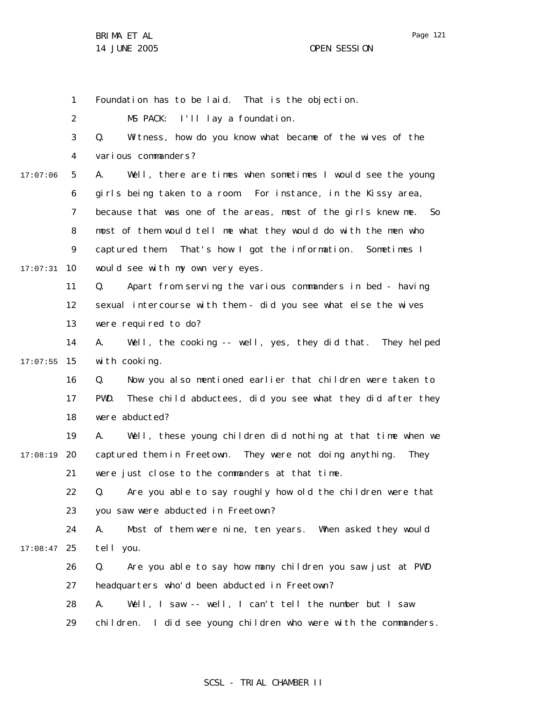1

Foundation has to be laid. That is the objection.

2 MS PACK: I'll lay a foundation.

3 4 Q. Witness, how do you know what became of the wives of the various commanders?

5 6 7 8 9 10 17:07:31 17:07:06 A. Well, there are times when sometimes I would see the young girls being taken to a room. For instance, in the Kissy area, because that was one of the areas, most of the girls knew me. So most of them would tell me what they would do with the men who captured them. That's how I got the information. Sometimes I would see with my own very eyes.

> 11 12 13 Q. Apart from serving the various commanders in bed - having sexual intercourse with them - did you see what else the wives were required to do?

14 15 17:07:55 A. Well, the cooking -- well, yes, they did that. They helped with cooking.

> 16 17 18 Q. Now you also mentioned earlier that children were taken to PWD. These child abductees, did you see what they did after they were abducted?

19 20 17:08:19 21 A. Well, these young children did nothing at that time when we captured them in Freetown. They were not doing anything. They were just close to the commanders at that time.

22 23 Q. Are you able to say roughly how old the children were that you saw were abducted in Freetown?

24 25 17:08:47 A. Most of them were nine, ten years. When asked they would tell you.

26 27 Q. Are you able to say how many children you saw just at PWD headquarters who'd been abducted in Freetown?

28 A. Well, I saw -- well, I can't tell the number but I saw

29 children. I did see young children who were with the commanders.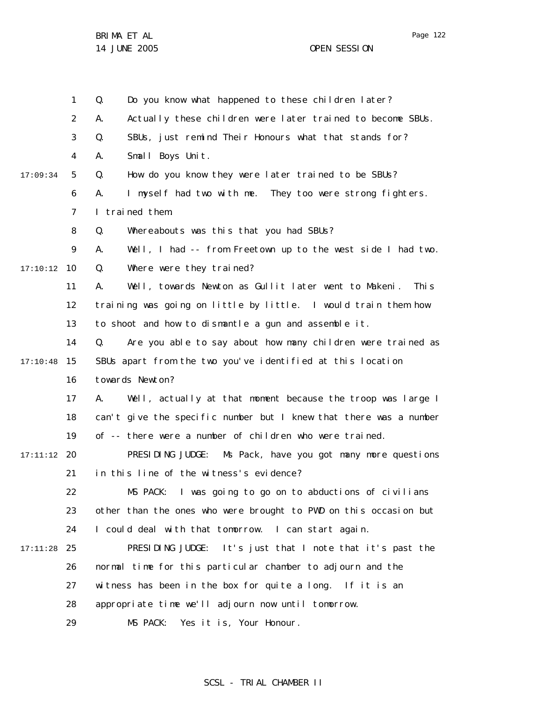1 2 3 4 5 6 7 8 9 10 17:10:12 11 12 13 14 15 17:10:48 16 17 18 19 20 17:11:12 21 22 23 24 25 17:11:28 26 27 28 29 17:09:34 Q. Do you know what happened to these children later? A. Actually these children were later trained to become SBUs. Q. SBUs, just remind Their Honours what that stands for? A. Small Boys Unit. Q. How do you know they were later trained to be SBUs? A. I myself had two with me. They too were strong fighters. I trained them. Q. Whereabouts was this that you had SBUs? A. Well, I had -- from Freetown up to the west side I had two. Q. Where were they trained? A. Well, towards Newton as Gullit later went to Makeni. This training was going on little by little. I would train them how to shoot and how to dismantle a gun and assemble it. Q. Are you able to say about how many children were trained as SBUs apart from the two you've identified at this location towards Newton? A. Well, actually at that moment because the troop was large I can't give the specific number but I knew that there was a number of -- there were a number of children who were trained. PRESIDING JUDGE: Ms Pack, have you got many more questions in this line of the witness's evidence? MS PACK: I was going to go on to abductions of civilians other than the ones who were brought to PWD on this occasion but I could deal with that tomorrow. I can start again. PRESIDING JUDGE: It's just that I note that it's past the normal time for this particular chamber to adjourn and the witness has been in the box for quite a long. If it is an appropriate time we'll adjourn now until tomorrow. MS PACK: Yes it is, Your Honour.

### SCSL - TRIAL CHAMBER II

Page 122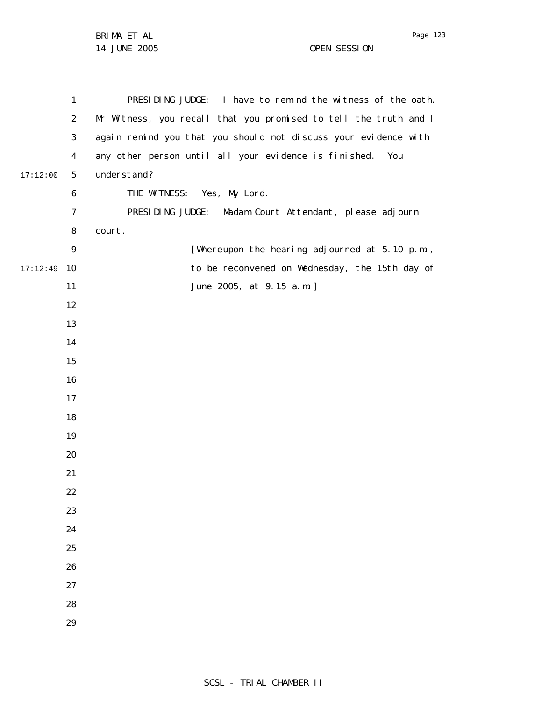|          | 1              | PRESIDING JUDGE: I have to remind the witness of the oath.       |
|----------|----------------|------------------------------------------------------------------|
|          | 2              | Mr Witness, you recall that you promised to tell the truth and I |
|          | 3              | again remind you that you should not discuss your evidence with  |
|          | 4              | any other person until all your evidence is finished.<br>You     |
| 17:12:00 | 5              | understand?                                                      |
|          | 6              | THE WITNESS: Yes, My Lord.                                       |
|          | $\overline{7}$ | PRESIDING JUDGE: Madam Court Attendant, please adjourn           |
|          | 8              | court.                                                           |
|          | 9              | [Whereupon the hearing adjourned at 5.10 p.m.,                   |
| 17:12:49 | 10             | to be reconvened on Wednesday, the 15th day of                   |
|          | 11             | June 2005, at 9.15 a.m.]                                         |
|          | 12             |                                                                  |
|          | 13             |                                                                  |
|          | 14             |                                                                  |
|          | 15             |                                                                  |
|          | 16             |                                                                  |
|          | 17             |                                                                  |
|          | 18             |                                                                  |
|          | 19             |                                                                  |
|          | 20             |                                                                  |
|          | 21             |                                                                  |
|          | 22             |                                                                  |
|          | 23             |                                                                  |
|          | 24             |                                                                  |
|          | 25             |                                                                  |
|          | 26             |                                                                  |
|          | 27             |                                                                  |
|          | 28             |                                                                  |
|          | 29             |                                                                  |

Page 123